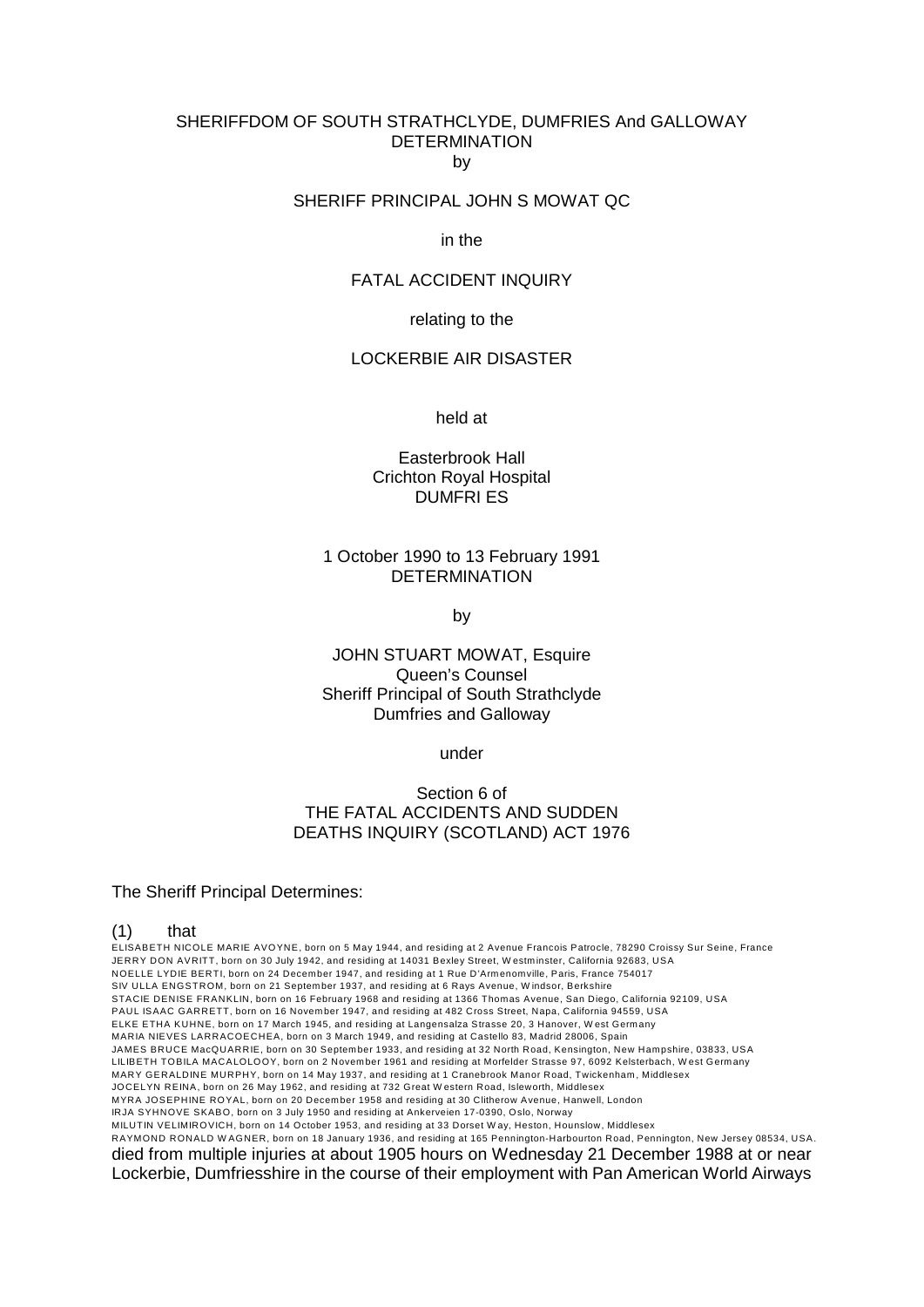#### SHERIFFDOM OF SOUTH STRATHCLYDE, DUMFRIES And GALLOWAY DETERMINATION by

#### SHERIFF PRINCIPAL JOHN S MOWAT QC

in the

## FATAL ACCIDENT INQUIRY

relating to the

# LOCKERBIE AIR DISASTER

held at

## Easterbrook Hall Crichton Royal Hospital DUMFRI ES

#### 1 October 1990 to 13 February 1991 DETERMINATION

by

# JOHN STUART MOWAT, Esquire Queen's Counsel Sheriff Principal of South Strathclyde Dumfries and Galloway

under

## Section 6 of THE FATAL ACCIDENTS AND SUDDEN DEATHS INQUIRY (SCOTLAND) ACT 1976

#### The Sheriff Principal Determines:

#### $(1)$  that

ELISABETH NICOLE MARIE AVOYNE, born on 5 May 1944, and residing at 2 Avenue Francois Patrocle, 78290 Croissy Sur Seine, France JERRY DON AVRITT, born on 30 July 1942, and residing at 14031 Bexley Street, W estm inster, California 92683, USA NOELLE LYDIE BERTI, born on 24 Decem ber 1947, and residing at 1 Rue D'Armenom ville, Paris, France 754017 SIV ULLA ENGSTROM, born on 21 September 1937, and residing at 6 Rays Avenue, Windsor, Berkshire STACIE DENISE FRANKLIN, born on 16 February 1968 and residing at 1366 Thomas Avenue, San Diego, California 92109, USA PAUL ISAAC GARRETT, born on 16 Novem ber 1947, and residing at 482 Cross Street, Napa, California 94559, USA ELKE ETHA KUHNE, born on 17 March 1945, and residing at Langensalza Strasse 20, 3 Hanover, W est Germ any MARIA NIEVES LARRACOECHEA, born on 3 March 1949, and residing at Castello 83, Madrid 28006, Spain JAMES BRUCE MacQUARRIE, born on 30 September 1933, and residing at 32 North Road, Kensington, New Hampshire, 03833, USA LILIBETH TOBILA MACALOLOOY, born on 2 November 1961 and residing at Morfelder Strasse 97, 6092 Kelsterbach, West Germany MARY GERALDINE MURPHY, born on 14 May 1937, and residing at 1 Cranebrook Manor Road, Twickenham , Middlesex JOCELYN REINA, born on 26 May 1962, and residing at 732 Great W estern Road, Isleworth, Middlesex MYRA JOSEPHINE ROYAL, born on 20 Decem ber 1958 and residing at 30 Clitherow Avenue, Hanwell, London IRJA SYHNOVE SKABO, born on 3 July 1950 and residing at Ankerveien 17-0390, Oslo, Norway MILUTIN VELIMIROVICH, born on 14 October 1953, and residing at 33 Dorset W ay, Heston, Hounslow, Middlesex RAYMOND RONALD W AGNER, born on 18 January 1936, and residing at 165 Pennington-Harbourton Road, Pennington, New Jersey 08534, USA. died from multiple injuries at about 1905 hours on Wednesday 21 December 1988 at or near

Lockerbie, Dumfriesshire in the course of their employment with Pan American World Airways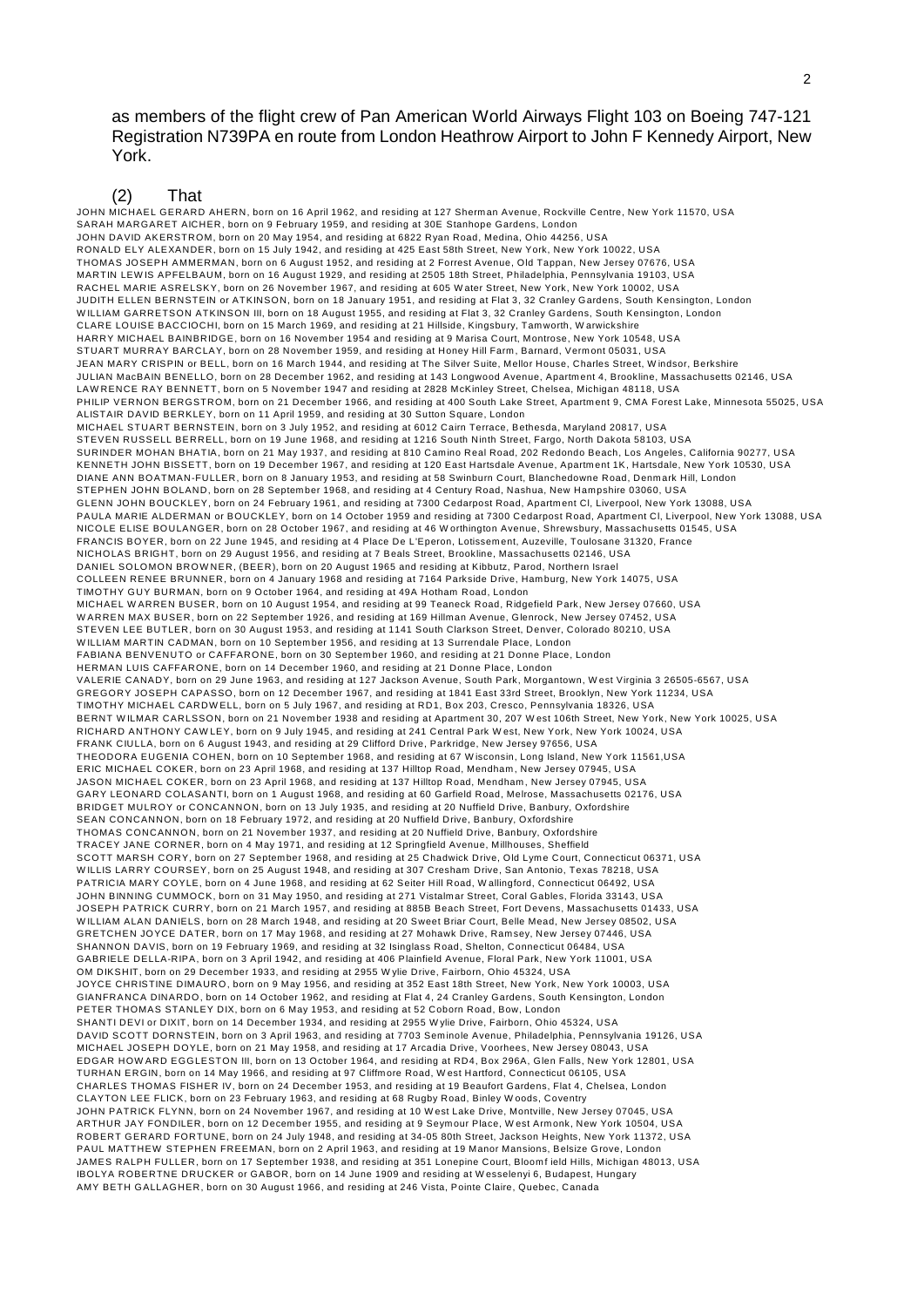## as members of the flight crew of Pan American World Airways Flight 103 on Boeing 747-121 Registration N739PA en route from London Heathrow Airport to John F Kennedy Airport, New York.

#### (2) That

JOHN MICHAEL GERARD AHERN, born on 16 April 1962, and residing at 127 Sherm an Avenue, Rockville Centre, New York 11570, USA SARAH MARGARET AICHER, born on 9 February 1959, and residing at 30E Stanhope Gardens, London JOHN DAVID AKERSTROM, born on 20 May 1954, and residing at 6822 Ryan Road, Medina, Ohio 44256, USA RONALD ELY ALEXANDER, born on 15 July 1942, and residing at 425 East 58th Street, New York, New York 10022, USA THOMAS JOSEPH AMMERMAN, born on 6 August 1952, and residing at 2 Forrest Avenue, Old Tappan, New Jersey 07676, USA MARTIN LEW IS APFELBAUM, born on 16 August 1929, and residing at 2505 18th Street, Philadelphia, Pennsylvania 19103, USA RACHEL MARIE ASRELSKY, born on 26 November 1967, and residing at 605 W ater Street, New York, New York 10002, USA JUDITH ELLEN BERNSTEIN or ATKINSON, born on 18 January 1951, and residing at Flat 3, 32 Cranley Gardens, South Kensington, London W ILLIAM GARRETSON ATKINSON III, born on 18 August 1955, and residing at Flat 3, 32 Cranley Gardens, South Kensington, London CLARE LOUISE BACCIOCHI, born on 15 March 1969, and residing at 21 Hillside, Kingsbury, Tam worth, W arwickshire HARRY MICHAEL BAINBRIDGE, born on 16 Novem ber 1954 and residing at 9 Marisa Court, Montrose, New York 10548, USA STUART MURRAY BARCLAY, born on 28 November 1959, and residing at Honey Hill Farm, Barnard, Vermont 05031, USA JEAN MARY CRISPIN or BELL, born on 16 March 1944, and residing at The Silver Suite, Mellor House, Charles Street, W indsor, Berkshire JULIAN MacBAIN BENELLO, born on 28 Decem ber 1962, and residing at 143 Longwood Avenue, Apartm ent 4, Brookline, Massachusetts 02146, USA LAW RENCE RAY BENNETT, born on 5 Novem ber 1947 and residing at 2828 McKinley Street, Chelsea, Michigan 48118, USA PHILIP VERNON BERGSTROM, born on 21 December 1966, and residing at 400 South Lake Street, Apartm ent 9, CMA Forest Lake, Minnesota 55025, USA ALISTAIR DAVID BERKLEY, born on 11 April 1959, and residing at 30 Sutton Square, London MICHAEL STUART BERNSTEIN, born on 3 July 1952, and residing at 6012 Cairn Terrace, Bethesda, Maryland 20817, USA STEVEN RUSSELL BERRELL, born on 19 June 1968, and residing at 1216 South Ninth Street, Fargo, North Dakota 58103, USA SURINDER MOHAN BHATIA, born on 21 May 1937, and residing at 810 Cam ino Real Road, 202 Redondo Beach, Los Angeles, California 90277, USA KENNETH JOHN BISSETT, born on 19 Decem ber 1967, and residing at 120 East Hartsdale Avenue, Apartm ent 1K, Hartsdale, New York 10530, USA DIANE ANN BOATMAN-FULLER, born on 8 January 1953, and residing at 58 Swinburn Court, Blanchedowne Road, Denmark Hill, London STEPHEN JOHN BOLAND, born on 28 September 1968, and residing at 4 Century Road, Nashua, New Hampshire 03060, USA GLENN JOHN BOUCKLEY, born on 24 February 1961, and residing at 7300 Cedarpost Road, Apartm ent Cl, Liverpool, New York 13088, USA PAULA MARIE ALDERMAN or BOUCKLEY, born on 14 October 1959 and residing at 7300 Cedarpost Road, Apartment Cl, Liverpool, New York 13088, USA NICOLE ELISE BOULANGER, born on 28 October 1967, and residing at 46 W orthington Avenue, Shrewsbury, Massachusetts 01545, USA FRANCIS BOYER, born on 22 June 1945, and residing at 4 Place De L'Eperon, Lotissem ent, Auzeville, Toulosane 31320, France NICHOLAS BRIGHT, born on 29 August 1956, and residing at 7 Beals Street, Brookline, Massachusetts 02146, USA DANIEL SOLOMON BROW NER, (BEER), born on 20 August 1965 and residing at Kibbutz, Parod, Northern Israel COLLEEN RENEE BRUNNER, born on 4 January 1968 and residing at 7164 Parkside Drive, Ham burg, New York 14075, USA TIMOTHY GUY BURMAN, born on 9 October 1964, and residing at 49A Hotham Road, London MICHAEL W ARREN BUSER, born on 10 August 1954, and residing at 99 Teaneck Road, Ridgefield Park, New Jersey 07660, USA WARREN MAX BUSER, born on 22 September 1926, and residing at 169 Hillman Avenue, Glenrock, New Jersey 07452, USA STEVEN LEE BUTLER, born on 30 August 1953, and residing at 1141 South Clarkson Street, Denver, Colorado 80210, USA W ILLIAM MARTIN CADMAN, born on 10 Septem ber 1956, and residing at 13 Surrendale Place, London FABIANA BENVENUTO or CAFFARONE, born on 30 Septem ber 1960, and residing at 21 Donne Place, London HERMAN LUIS CAFFARONE, born on 14 December 1960, and residing at 21 Donne Place, London VALERIE CANADY, born on 29 June 1963, and residing at 127 Jackson Avenue, South Park, Morgantown, W est Virginia 3 26505-6567, USA GREGORY JOSEPH CAPASSO, born on 12 Decem ber 1967, and residing at 1841 East 33rd Street, Brooklyn, New York 11234, USA TIMOTHY MICHAEL CARDW ELL, born on 5 July 1967, and residing at RD1, Box 203, Cresco, Pennsylvania 18326, USA BERNT W ILMAR CARLSSON, born on 21 November 1938 and residing at Apartment 30, 207 W est 106th Street, New York, New York 10025, USA RICHARD ANTHONY CAW LEY, born on 9 July 1945, and residing at 241 Central Park W est, New York, New York 10024, USA FRANK CIULLA, born on 6 August 1943, and residing at 29 Clifford Drive, Parkridge, New Jersey 97656, USA THEODORA EUGENIA COHEN, born on 10 September 1968, and residing at 67 W isconsin, Long Island, New York 11561,USA ERIC MICHAEL COKER, born on 23 April 1968, and residing at 137 Hilltop Road, Mendham , New Jersey 07945, USA JASON MICHAEL COKER, born on 23 April 1968, and residing at 137 Hilltop Road, Mendham , New Jersey 07945, USA GARY LEONARD COLASANTI, born on 1 August 1968, and residing at 60 Garfield Road, Melrose, Massachusetts 02176, USA BRIDGET MULROY or CONCANNON, born on 13 July 1935, and residing at 20 Nuffield Drive, Banbury, Oxfordshire SEAN CONCANNON, born on 18 February 1972, and residing at 20 Nuffield Drive, Banbury, Oxfordshire THOMAS CONCANNON, born on 21 November 1937, and residing at 20 Nuffield Drive, Banbury, Oxfordshire TRACEY JANE CORNER, born on 4 May 1971, and residing at 12 Springfield Avenue, Millhouses, Sheffield SCOTT MARSH CORY, born on 27 Septem ber 1968, and residing at 25 Chadwick Drive, Old Lym e Court, Connecticut 06371, USA W ILLIS LARRY COURSEY, born on 25 August 1948, and residing at 307 Cresham Drive, San Antonio, Texas 78218, USA PATRICIA MARY COYLE, born on 4 June 1968, and residing at 62 Seiter Hill Road, W allingford, Connecticut 06492, USA JOHN BINNING CUMMOCK, born on 31 May 1950, and residing at 271 Vistalm ar Street, Coral Gables, Florida 33143, USA JOSEPH PATRICK CURRY, born on 21 March 1957, and residing at 885B Beach Street, Fort Devens, Massachusetts 01433, USA W ILLIAM ALAN DANIELS, born on 28 March 1948, and residing at 20 Sweet Briar Court, Belle Mead, New Jersey 08502, USA GRETCHEN JOYCE DATER, born on 17 May 1968, and residing at 27 Mohawk Drive, Ram sey, New Jersey 07446, USA SHANNON DAVIS, born on 19 February 1969, and residing at 32 Isinglass Road, Shelton, Connecticut 06484, USA GABRIELE DELLA-RIPA, born on 3 April 1942, and residing at 406 Plainfield Avenue, Floral Park, New York 11001, USA OM DIKSHIT, born on 29 Decem ber 1933, and residing at 2955 W ylie Drive, Fairborn, Ohio 45324, USA JOYCE CHRISTINE DIMAURO, born on 9 May 1956, and residing at 352 East 18th Street, New York, New York 10003, USA GIANFRANCA DINARDO, born on 14 October 1962, and residing at Flat 4, 24 Cranley Gardens, South Kensington, London PETER THOMAS STANLEY DIX, born on 6 May 1953, and residing at 52 Coborn Road, Bow, London SHANTI DEVI or DIXIT, born on 14 Decem ber 1934, and residing at 2955 W ylie Drive, Fairborn, Ohio 45324, USA DAVID SCOTT DORNSTEIN, born on 3 April 1963, and residing at 7703 Sem inole Avenue, Philadelphia, Pennsylvania 19126, USA MICHAEL JOSEPH DOYLE, born on 21 May 1958, and residing at 17 Arcadia Drive, Voorhees, New Jersey 08043, USA EDGAR HOW ARD EGGLESTON III, born on 13 October 1964, and residing at RD4, Box 296A, Glen Falls, New York 12801, USA TURHAN ERGIN, born on 14 May 1966, and residing at 97 Cliffmore Road, W est Hartford, Connecticut 06105, USA CHARLES THOMAS FISHER IV, born on 24 December 1953, and residing at 19 Beaufort Gardens, Flat 4, Chelsea, London CLAYTON LEE FLICK, born on 23 February 1963, and residing at 68 Rugby Road, Binley W oods, Coventry JOHN PATRICK FLYNN, born on 24 November 1967, and residing at 10 W est Lake Drive, Montville, New Jersey 07045, USA ARTHUR JAY FONDILER, born on 12 Decem ber 1955, and residing at 9 Seym our Place, W est Arm onk, New York 10504, USA ROBERT GERARD FORTUNE, born on 24 July 1948, and residing at 34-05 80th Street, Jackson Heights, New York 11372, USA PAUL MATTHEW STEPHEN FREEMAN, born on 2 April 1963, and residing at 19 Manor Mansions, Belsize Grove, London JAMES RALPH FULLER, born on 17 September 1938, and residing at 351 Lonepine Court, Bloomf ield Hills, Michigan 48013, USA IBOLYA ROBERTNE DRUCKER or GABOR, born on 14 June 1909 and residing at W esselenyi 6, Budapest, Hungary AMY BETH GALLAGHER, born on 30 August 1966, and residing at 246 Vista, Pointe Claire, Quebec, Canada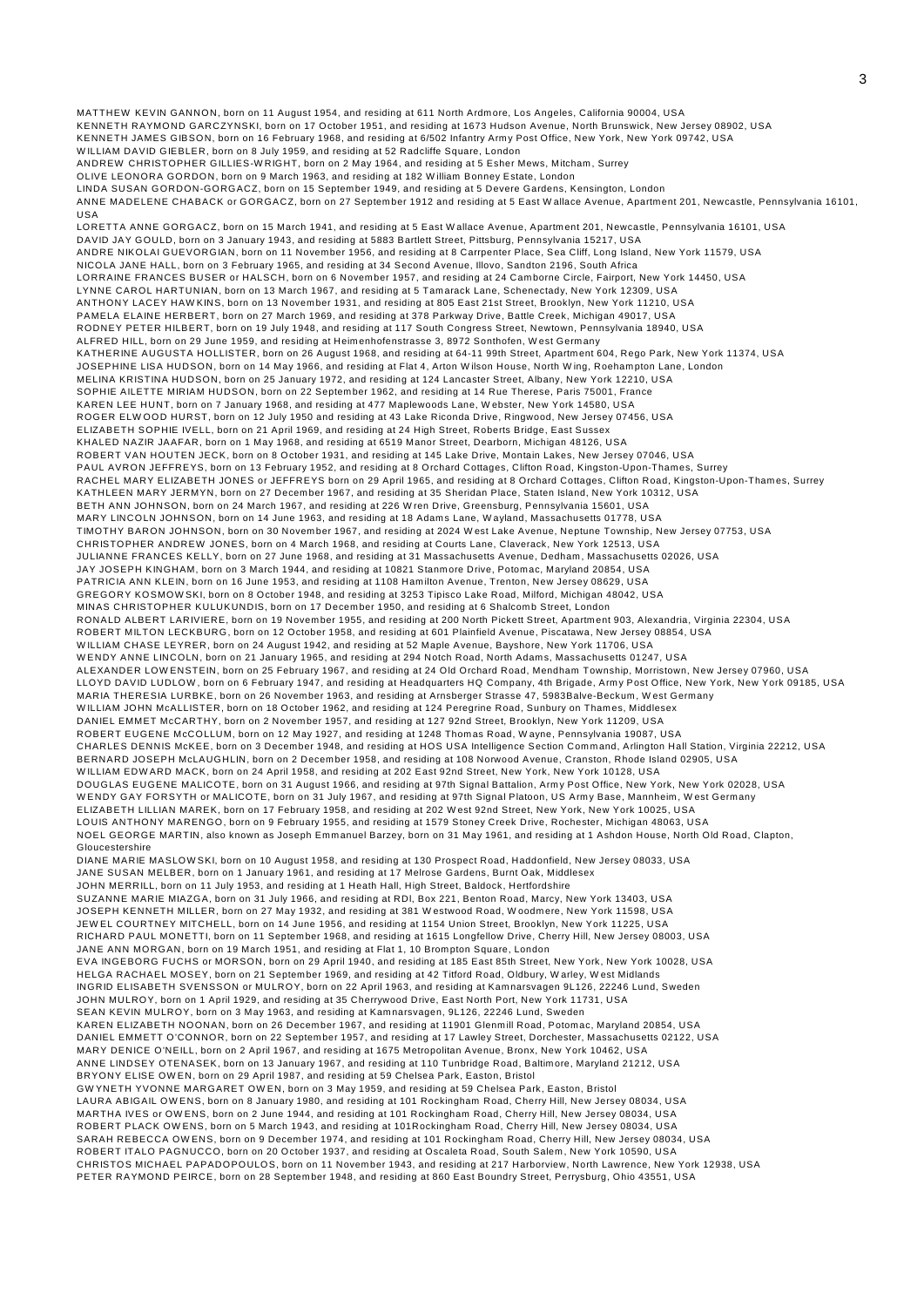KENNETH RAYMOND GARCZYNSKI, born on 17 October 1951, and residing at 1673 Hudson Avenue, North Brunswick, New Jersey 08902, USA KENNETH JAMES GIBSON, born on 16 February 1968, and residing at 6/502 Infantry Arm y Post Office, New York, New York 09742, USA W ILLIAM DAVID GIEBLER, born on 8 July 1959, and residing at 52 Radcliffe Square, London ANDREW CHRISTOPHER GILLIES-W RIGHT, born on 2 May 1964, and residing at 5 Esher Mews, Mitcham , Surrey OLIVE LEONORA GORDON, born on 9 March 1963, and residing at 182 W illiam Bonney Estate, London LINDA SUSAN GORDON-GORGACZ, born on 15 Septem ber 1949, and residing at 5 Devere Gardens, Kensington, London ANNE MADELENE CHABACK or GORGACZ, born on 27 Septem ber 1912 and residing at 5 East W allace Avenue, Apartm ent 201, Newcastle, Pennsylvania 16101, USA LORETTA ANNE GORGACZ, born on 15 March 1941, and residing at 5 East Wallace Avenue, Apartment 201, Newcastle, Pennsylvania 16101, USA DAVID JAY GOULD, born on 3 January 1943, and residing at 5883 Bartlett Street, Pittsburg, Pennsylvania 15217, USA ANDRE NIKOLAI GUEVORGIAN, born on 11 November 1956, and residing at 8 Carrpenter Place, Sea Cliff, Long Island, New York 11579, USA NICOLA JANE HALL, born on 3 February 1965, and residing at 34 Second Avenue, Illovo, Sandton 2196, South Africa LORRAINE FRANCES BUSER or HALSCH, born on 6 Novem ber 1957, and residing at 24 Cam borne Circle, Fairport, New York 14450, USA LYNNE CAROL HARTUNIAN, born on 13 March 1967, and residing at 5 Tam arack Lane, Schenectady, New York 12309, USA ANTHONY LACEY HAW KINS, born on 13 Novem ber 1931, and residing at 805 East 21st Street, Brooklyn, New York 11210, USA PAMELA ELAINE HERBERT, born on 27 March 1969, and residing at 378 Parkway Drive, Battle Creek, Michigan 49017, USA RODNEY PETER HILBERT, born on 19 July 1948, and residing at 117 South Congress Street, Newtown, Pennsylvania 18940, USA ALFRED HILL, born on 29 June 1959, and residing at Heimenhofenstrasse 3, 8972 Sonthofen, W est Germ any KATHERINE AUGUSTA HOLLISTER, born on 26 August 1968, and residing at 64-11 99th Street, Apartm ent 604, Rego Park, New York 11374, USA JOSEPHINE LISA HUDSON, born on 14 May 1966, and residing at Flat 4, Arton W ilson House, North W ing, Roeham pton Lane, London MELINA KRISTINA HUDSON, born on 25 January 1972, and residing at 124 Lancaster Street, Albany, New York 12210, USA SOPHIE AILETTE MIRIAM HUDSON, born on 22 Septem ber 1962, and residing at 14 Rue Therese, Paris 75001, France KAREN LEE HUNT, born on 7 January 1968, and residing at 477 Maplewoods Lane, W ebster, New York 14580, USA ROGER ELW OOD HURST, born on 12 July 1950 and residing at 43 Lake Riconda Drive, Ringwood, New Jersey 07456, USA ELIZABETH SOPHIE IVELL, born on 21 April 1969, and residing at 24 High Street, Roberts Bridge, East Sussex KHALED NAZIR JAAFAR, born on 1 May 1968, and residing at 6519 Manor Street, Dearborn, Michigan 48126, USA ROBERT VAN HOUTEN JECK, born on 8 October 1931, and residing at 145 Lake Drive, Montain Lakes, New Jersey 07046, USA PAUL AVRON JEFFREYS, born on 13 February 1952, and residing at 8 Orchard Cottages, Clifton Road, Kingston-Upon-Thames, Surrey RACHEL MARY ELIZABETH JONES or JEFFREYS born on 29 April 1965, and residing at 8 Orchard Cottages, Clifton Road, Kingston-Upon-Tham es, Surrey KATHLEEN MARY JERMYN, born on 27 Decem ber 1967, and residing at 35 Sheridan Place, Staten Island, New York 10312, USA BETH ANN JOHNSON, born on 24 March 1967, and residing at 226 W ren Drive, Greensburg, Pennsylvania 15601, USA MARY LINCOLN JOHNSON, born on 14 June 1963, and residing at 18 Adam s Lane, W ayland, Massachusetts 01778, USA TIMOTHY BARON JOHNSON, born on 30 Novem ber 1967, and residing at 2024 W est Lake Avenue, Neptune Township, New Jersey 07753, USA CHRISTOPHER ANDREW JONES, born on 4 March 1968, and residing at Courts Lane, Claverack, New York 12513, USA JULIANNE FRANCES KELLY, born on 27 June 1968, and residing at 31 Massachusetts Avenue, Dedham , Massachusetts 02026, USA JAY JOSEPH KINGHAM, born on 3 March 1944, and residing at 10821 Stanm ore Drive, Potomac, Maryland 20854, USA PATRICIA ANN KLEIN, born on 16 June 1953, and residing at 1108 Ham ilton Avenue, Trenton, New Jersey 08629, USA GREGORY KOSMOW SKI, born on 8 October 1948, and residing at 3253 Tipisco Lake Road, Milford, Michigan 48042, USA MINAS CHRISTOPHER KULUKUNDIS, born on 17 December 1950, and residing at 6 Shalcomb Street, London RONALD ALBERT LARIVIERE, born on 19 Novem ber 1955, and residing at 200 North Pickett Street, Apartm ent 903, Alexandria, Virginia 22304, USA ROBERT MILTON LECKBURG, born on 12 October 1958, and residing at 601 Plainfield Avenue, Piscatawa, New Jersey 08854, USA W ILLIAM CHASE LEYRER, born on 24 August 1942, and residing at 52 Maple Avenue, Bayshore, New York 11706, USA W ENDY ANNE LINCOLN, born on 21 January 1965, and residing at 294 Notch Road, North Adams, Massachusetts 01247, USA ALEXANDER LOW ENSTEIN, born on 25 February 1967, and residing at 24 Old Orchard Road, Mendham Township, Morristown, New Jersey 07960, USA LLOYD DAVID LUDLOW , born on 6 February 1947, and residing at Headquarters HQ Company, 4th Brigade, Arm y Post Office, New York, New York 09185, USA MARIA THERESIA LURBKE, born on 26 Novem ber 1963, and residing at Arnsberger Strasse 47, 5983Balve-Beckum , W est Germany W ILLIAM JOHN McALLISTER, born on 18 October 1962, and residing at 124 Peregrine Road, Sunbury on Thames, Middlesex DANIEL EMMET McCARTHY, born on 2 Novem ber 1957, and residing at 127 92nd Street, Brooklyn, New York 11209, USA ROBERT EUGENE McCOLLUM, born on 12 May 1927, and residing at 1248 Thom as Road, W ayne, Pennsylvania 19087, USA CHARLES DENNIS McKEE, born on 3 December 1948, and residing at HOS USA Intelligence Section Com mand, Arlington Hall Station, Virginia 22212, USA BERNARD JOSEPH McLAUGHLIN, born on 2 Decem ber 1958, and residing at 108 Norwood Avenue, Cranston, Rhode Island 02905, USA W ILLIAM EDW ARD MACK, born on 24 April 1958, and residing at 202 East 92nd Street, New York, New York 10128, USA DOUGLAS EUGENE MALICOTE, born on 31 August 1966, and residing at 97th Signal Battalion, Arm y Post Office, New York, New York 02028, USA W ENDY GAY FORSYTH or MALICOTE, born on 31 July 1967, and residing at 97th Signal Platoon, US Arm y Base, Mannheim , W est Germany ELIZABETH LILLIAN MAREK, born on 17 February 1958, and residing at 202 W est 92nd Street, New York, New York 10025, USA LOUIS ANTHONY MARENGO, born on 9 February 1955, and residing at 1579 Stoney Creek Drive, Rochester, Michigan 48063, USA NOEL GEORGE MARTIN, also known as Joseph Emmanuel Barzey, born on 31 May 1961, and residing at 1 Ashdon House, North Old Road, Clapton, Gloucestershire DIANE MARIE MASLOW SKI, born on 10 August 1958, and residing at 130 Prospect Road, Haddonfield, New Jersey 08033, USA JANE SUSAN MELBER, born on 1 January 1961, and residing at 17 Melrose Gardens, Burnt Oak, Middlesex JOHN MERRILL, born on 11 July 1953, and residing at 1 Heath Hall, High Street, Baldock, Hertfordshire SUZANNE MARIE MIAZGA, born on 31 July 1966, and residing at RDl, Box 221, Benton Road, Marcy, New York 13403, USA JOSEPH KENNETH MILLER, born on 27 May 1932, and residing at 381 W estwood Road, W oodm ere, New York 11598, USA JEW EL COURTNEY MITCHELL, born on 14 June 1956, and residing at 1154 Union Street, Brooklyn, New York 11225, USA RICHARD PAUL MONETTI, born on 11 Septem ber 1968, and residing at 1615 Longfellow Drive, Cherry Hill, New Jersey 08003, USA JANE ANN MORGAN, born on 19 March 1951, and residing at Flat 1, 10 Brom pton Square, London EVA INGEBORG FUCHS or MORSON, born on 29 April 1940, and residing at 185 East 85th Street, New York, New York 10028, USA HELGA RACHAEL MOSEY, born on 21 Septem ber 1969, and residing at 42 Titford Road, Oldbury, W arley, W est Midlands INGRID ELISABETH SVENSSON or MULROY, born on 22 April 1963, and residing at Kam narsvagen 9L126, 22246 Lund, Sweden JOHN MULROY, born on 1 April 1929, and residing at 35 Cherrywood Drive, East North Port, New York 11731, USA SEAN KEVIN MULROY, born on 3 May 1963, and residing at Kam narsvagen, 9L126, 22246 Lund, Sweden KAREN ELIZABETH NOONAN, born on 26 Decem ber 1967, and residing at 11901 Glenm ill Road, Potomac, Maryland 20854, USA DANIEL EMMETT O'CONNOR, born on 22 Septem ber 1957, and residing at 17 Lawley Street, Dorchester, Massachusetts 02122, USA MARY DENICE O'NEILL, born on 2 April 1967, and residing at 1675 Metropolitan Avenue, Bronx, New York 10462, USA ANNE LINDSEY OTENASEK, born on 13 January 1967, and residing at 110 Tunbridge Road, Baltim ore, Maryland 21212, USA BRYONY ELISE OW EN, born on 29 April 1987, and residing at 59 Chelsea Park, Easton, Bristol GW YNETH YVONNE MARGARET OW EN, born on 3 May 1959, and residing at 59 Chelsea Park, Easton, Bristol LAURA ABIGAIL OW ENS, born on 8 January 1980, and residing at 101 Rockingham Road, Cherry Hill, New Jersey 08034, USA MARTHA IVES or OW ENS, born on 2 June 1944, and residing at 101 Rockingham Road, Cherry Hill, New Jersey 08034, USA ROBERT PLACK OW ENS, born on 5 March 1943, and residing at 101Rockingham Road, Cherry Hill, New Jersey 08034, USA SARAH REBECCA OW ENS, born on 9 December 1974, and residing at 101 Rockingham Road, Cherry Hill, New Jersey 08034, USA ROBERT ITALO PAGNUCCO, born on 20 October 1937, and residing at Oscaleta Road, South Salem , New York 10590, USA CHRISTOS MICHAEL PAPADOPOULOS, born on 11 Novem ber 1943, and residing at 217 Harborview, North Lawrence, New York 12938, USA PETER RAYMOND PEIRCE, born on 28 Septem ber 1948, and residing at 860 East Boundry Street, Perrysburg, Ohio 43551, USA

MATTHEW KEVIN GANNON, born on 11 August 1954, and residing at 611 North Ardm ore, Los Angeles, California 90004, USA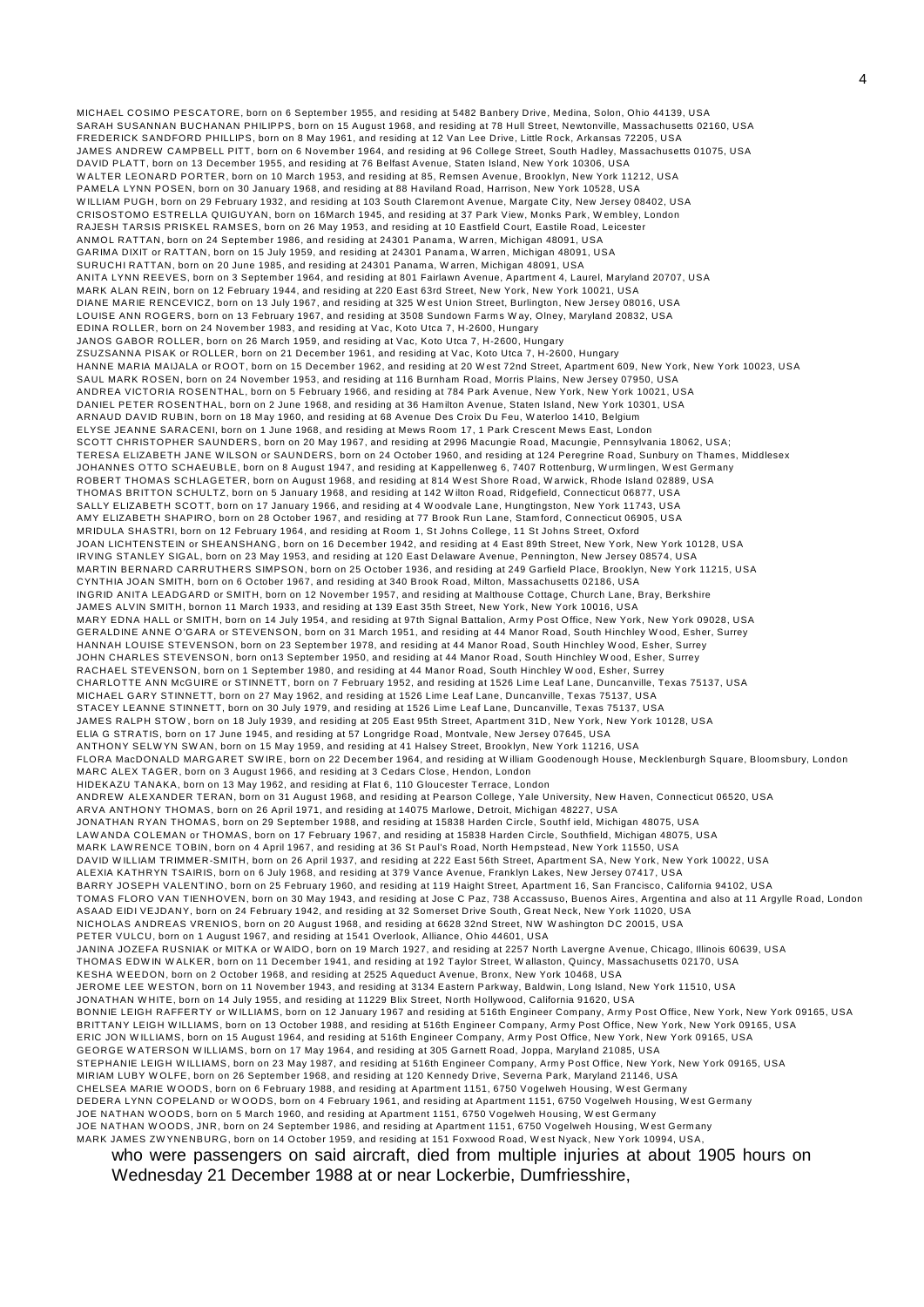SARAH SUSANNAN BUCHANAN PHILIPPS, born on 15 August 1968, and residing at 78 Hull Street, Newtonville, Massachusetts 02160, USA FREDERICK SANDFORD PHILLIPS, born on 8 May 1961, and residing at 12 Van Lee Drive, Little Rock, Arkansas 72205, USA JAMES ANDREW CAMPBELL PITT, born on 6 Novem ber 1964, and residing at 96 College Street, South Hadley, Massachusetts 01075, USA DAVID PLATT, born on 13 Decem ber 1955, and residing at 76 Belfast Avenue, Staten Island, New York 10306, USA W ALTER LEONARD PORTER, born on 10 March 1953, and residing at 85, Remsen Avenue, Brooklyn, New York 11212, USA PAMELA LYNN POSEN, born on 30 January 1968, and residing at 88 Haviland Road, Harrison, New York 10528, USA W ILLIAM PUGH, born on 29 February 1932, and residing at 103 South Claremont Avenue, Margate City, New Jersey 08402, USA CRISOSTOMO ESTRELLA QUIGUYAN, born on 16March 1945, and residing at 37 Park View, Monks Park, W em bley, London RAJESH TARSIS PRISKEL RAMSES, born on 26 May 1953, and residing at 10 Eastfield Court, Eastile Road, Leicester ANMOL RATTAN, born on 24 Septem ber 1986, and residing at 24301 Panama, W arren, Michigan 48091, USA GARIMA DIXIT or RATTAN, born on 15 July 1959, and residing at 24301 Panam a, W arren, Michigan 48091, USA SURUCHI RATTAN, born on 20 June 1985, and residing at 24301 Panama, W arren, Michigan 48091, USA ANITA LYNN REEVES, born on 3 September 1964, and residing at 801 Fairlawn Avenue, Apartment 4, Laurel, Maryland 20707, USA MARK ALAN REIN, born on 12 February 1944, and residing at 220 East 63rd Street, New York, New York 10021, USA DIANE MARIE RENCEVICZ, born on 13 July 1967, and residing at 325 W est Union Street, Burlington, New Jersey 08016, USA LOUISE ANN ROGERS, born on 13 February 1967, and residing at 3508 Sundown Farms Way, Olney, Maryland 20832, USA EDINA ROLLER, born on 24 Novem ber 1983, and residing at Vac, Koto Utca 7, H-2600, Hungary JANOS GABOR ROLLER, born on 26 March 1959, and residing at Vac, Koto Utca 7, H-2600, Hungary ZSUZSANNA PISAK or ROLLER, born on 21 Decem ber 1961, and residing at Vac, Koto Utca 7, H-2600, Hungary HANNE MARIA MAIJALA or ROOT, born on 15 Decem ber 1962, and residing at 20 W est 72nd Street, Apartment 609, New York, New York 10023, USA SAUL MARK ROSEN, born on 24 November 1953, and residing at 116 Burnham Road, Morris Plains, New Jersey 07950, USA ANDREA VICTORIA ROSENTHAL, born on 5 February 1966, and residing at 784 Park Avenue, New York, New York 10021, USA DANIEL PETER ROSENTHAL, born on 2 June 1968, and residing at 36 Ham ilton Avenue, Staten Island, New York 10301, USA ARNAUD DAVID RUBIN, born on 18 May 1960, and residing at 68 Avenue Des Croix Du Feu, W aterloo 1410, Belgium ELYSE JEANNE SARACENI, born on 1 June 1968, and residing at Mews Room 17, 1 Park Crescent Mews East, London SCOTT CHRISTOPHER SAUNDERS, born on 20 May 1967, and residing at 2996 Macungie Road, Macungie, Pennsylvania 18062, USA; TERESA ELIZABETH JANE W ILSON or SAUNDERS, born on 24 October 1960, and residing at 124 Peregrine Road, Sunbury on Tham es, Middlesex JOHANNES OTTO SCHAEUBLE, born on 8 August 1947, and residing at Kappellenweg 6, 7407 Rottenburg, W urm lingen, W est Germ any ROBERT THOMAS SCHLAGETER, born on August 1968, and residing at 814 W est Shore Road, W arwick, Rhode Island 02889, USA THOMAS BRITTON SCHULTZ, born on 5 January 1968, and residing at 142 W ilton Road, Ridgefield, Connecticut 06877, USA SALLY ELIZABETH SCOTT, born on 17 January 1966, and residing at 4 W oodvale Lane, Hungtingston, New York 11743, USA AMY ELIZABETH SHAPIRO, born on 28 October 1967, and residing at 77 Brook Run Lane, Stam ford, Connecticut 06905, USA MRIDULA SHASTRI, born on 12 February 1964, and residing at Room 1, St Johns College, 11 St Johns Street, Oxford JOAN LICHTENSTEIN or SHEANSHANG, born on 16 December 1942, and residing at 4 East 89th Street, New York, New York 10128, USA IRVING STANLEY SIGAL, born on 23 May 1953, and residing at 120 East Delaware Avenue, Pennington, New Jersey 08574, USA MARTIN BERNARD CARRUTHERS SIMPSON, born on 25 October 1936, and residing at 249 Garfield Place, Brooklyn, New York 11215, USA CYNTHIA JOAN SMITH, born on 6 October 1967, and residing at 340 Brook Road, Milton, Massachusetts 02186, USA INGRID ANITA LEADGARD or SMITH, born on 12 Novem ber 1957, and residing at Malthouse Cottage, Church Lane, Bray, Berkshire JAMES ALVIN SMITH, bornon 11 March 1933, and residing at 139 East 35th Street, New York, New York 10016, USA MARY EDNA HALL or SMITH, born on 14 July 1954, and residing at 97th Signal Battalion, Army Post Office, New York, New York 09028, USA GERALDINE ANNE O'GARA or STEVENSON, born on 31 March 1951, and residing at 44 Manor Road, South Hinchley W ood, Esher, Surrey HANNAH LOUISE STEVENSON, born on 23 Septem ber 1978, and residing at 44 Manor Road, South Hinchley W ood, Esher, Surrey JOHN CHARLES STEVENSON, born on13 Septem ber 1950, and residing at 44 Manor Road, South Hinchley W ood, Esher, Surrey RACHAEL STEVENSON, born on 1 Septem ber 1980, and residing at 44 Manor Road, South Hinchley W ood, Esher, Surrey CHARLOTTE ANN McGUIRE or STINNETT, born on 7 February 1952, and residing at 1526 Lime Leaf Lane, Duncanville, Texas 75137, USA MICHAEL GARY STINNETT, born on 27 May 1962, and residing at 1526 Lime Leaf Lane, Duncanville, Texas 75137, USA STACEY LEANNE STINNETT, born on 30 July 1979, and residing at 1526 Lim e Leaf Lane, Duncanville, Texas 75137, USA JAMES RALPH STOW , born on 18 July 1939, and residing at 205 East 95th Street, Apartm ent 31D, New York, New York 10128, USA ELlA G STRATIS, born on 17 June 1945, and residing at 57 Longridge Road, Montvale, New Jersey 07645, USA ANTHONY SELW YN SW AN, born on 15 May 1959, and residing at 41 Halsey Street, Brooklyn, New York 11216, USA FLORA MacDONALD MARGARET SW IRE, born on 22 Decem ber 1964, and residing at W illiam Goodenough House, Mecklenburgh Square, Bloom sbury, London MARC ALEX TAGER, born on 3 August 1966, and residing at 3 Cedars Close, Hendon, London HIDEKAZU TANAKA, born on 13 May 1962, and residing at Flat 6, 110 Gloucester Terrace, London ANDREW ALEXANDER TERAN, born on 31 August 1968, and residing at Pearson College, Yale University, New Haven, Connecticut 06520, USA ARVA ANTHONY THOMAS, born on 26 April 1971, and residing at 14075 Marlowe, Detroit, Michigan 48227, USA JONATHAN RYAN THOMAS, born on 29 Septem ber 1988, and residing at 15838 Harden Circle, Southf ield, Michigan 48075, USA LAW ANDA COLEMAN or THOMAS, born on 17 February 1967, and residing at 15838 Harden Circle, Southfield, Michigan 48075, USA MARK LAW RENCE TOBIN, born on 4 April 1967, and residing at 36 St Paul's Road, North Hem pstead, New York 11550, USA DAVID W ILLIAM TRIMMER-SMITH, born on 26 April 1937, and residing at 222 East 56th Street, Apartment SA, New York, New York 10022, USA ALEXIA KATHRYN TSAIRIS, born on 6 July 1968, and residing at 379 Vance Avenue, Franklyn Lakes, New Jersey 07417, USA BARRY JOSEPH VALENTINO, born on 25 February 1960, and residing at 119 Haight Street, Apartm ent 16, San Francisco, California 94102, USA TOMAS FLORO VAN TIENHOVEN, born on 30 May 1943, and residing at Jose C Paz, 738 Accassuso, Buenos Aires, Argentina and also at 11 Argylle Road, London ASAAD EIDI VEJDANY, born on 24 February 1942, and residing at 32 Somerset Drive South, Great Neck, New York 11020, USA NICHOLAS ANDREAS VRENIOS, born on 20 August 1968, and residing at 6628 32nd Street, NW W ashington DC 20015, USA PETER VULCU, born on 1 August 1967, and residing at 1541 Overlook, Alliance, Ohio 44601, USA JANINA JOZEFA RUSNIAK or MITKA or W AlDO, born on 19 March 1927, and residing at 2257 North Lavergne Avenue, Chicago, Illinois 60639, USA THOMAS EDW IN W ALKER, born on 11 Decem ber 1941, and residing at 192 Taylor Street, W allaston, Quincy, Massachusetts 02170, USA KESHA W EEDON, born on 2 October 1968, and residing at 2525 Aqueduct Avenue, Bronx, New York 10468, USA JEROME LEE W ESTON, born on 11 Novem ber 1943, and residing at 3134 Eastern Parkway, Baldwin, Long Island, New York 11510, USA JONATHAN W HITE, born on 14 July 1955, and residing at 11229 Blix Street, North Hollywood, California 91620, USA BONNIE LEIGH RAFFERTY or WILLIAMS, born on 12 January 1967 and residing at 516th Engineer Company, Army Post Office, New York, New York 09165, USA BRITTANY LEIGH W ILLIAMS, born on 13 October 1988, and residing at 516th Engineer Com pany, Arm y Post Office, New York, New York 09165, USA ERIC JON W ILLIAMS, born on 15 August 1964, and residing at 516th Engineer Company, Army Post Office, New York, New York 09165, USA GEORGE W ATERSON W ILLIAMS, born on 17 May 1964, and residing at 305 Garnett Road, Joppa, Maryland 21085, USA STEPHANIE LEIGH W ILLIAMS, born on 23 May 1987, and residing at 516th Engineer Company, Army Post Office, New York, New York 09165, USA MIRIAM LUBY W OLFE, born on 26 Septem ber 1968, and residing at 120 Kennedy Drive, Severna Park, Maryland 21146, USA CHELSEA MARIE W OODS, born on 6 February 1988, and residing at Apartment 1151, 6750 Vogelweh Housing, W est Germ any DEDERA LYNN COPELAND or WOODS, born on 4 February 1961, and residing at Apartment 1151, 6750 Vogelweh Housing, West Germany JOE NATHAN WOODS, born on 5 March 1960, and residing at Apartment 1151, 6750 Vogelweh Housing, West Germany JOE NATHAN WOODS, JNR, born on 24 September 1986, and residing at Apartment 1151, 6750 Vogelweh Housing, West Germany MARK JAMES ZW YNENBURG, born on 14 October 1959, and residing at 151 Foxwood Road, W est Nyack, New York 10994, USA, who were passengers on said aircraft, died from multiple injuries at about 1905 hours on

MICHAEL COSIMO PESCATORE, born on 6 Septem ber 1955, and residing at 5482 Banbery Drive, Medina, Solon, Ohio 44139, USA

# Wednesday 21 December 1988 at or near Lockerbie, Dumfriesshire,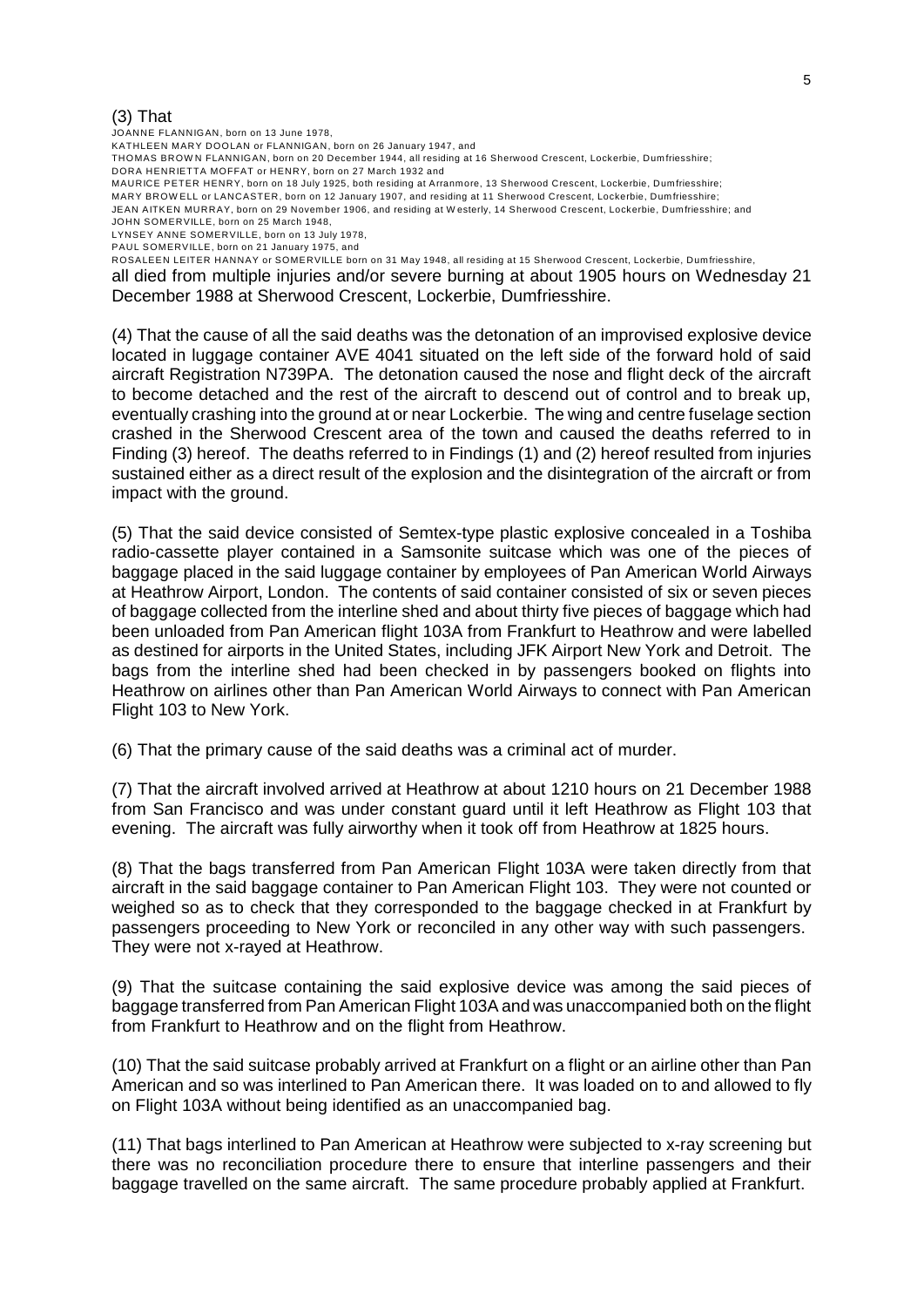#### (3) That

JOANNE FLANNIGAN, born on 13 June 1978,

KATHLEEN MARY DOOLAN or FLANNIGAN, born on 26 January 1947, and

THOMAS BROW N FLANNIGAN, born on 20 Decem ber 1944, all residing at 16 Sherwood Crescent, Lockerbie, Dum friesshire; DORA HENRIETTA MOFFAT or HENRY, born on 27 March 1932 and

MAURICE PETER HENRY, born on 18 July 1925, both residing at Arranmore, 13 Sherwood Crescent, Lockerbie, Dum friesshire;

MARY BROW ELL or LANCASTER, born on 12 January 1907, and residing at 11 Sherwood Crescent, Lockerbie, Dum friesshire;

JEAN AITKEN MURRAY, born on 29 November 1906, and residing at Westerly, 14 Sherwood Crescent, Lockerbie, Dumfriesshire; and

JOHN SOMERVILLE, born on 25 March 1948, LYNSEY ANNE SOMERVILLE, born on 13 July 1978,

PAUL SOMERVILLE, born on 21 January 1975, and

ROSALEEN LEITER HANNAY or SOMERVILLE born on 31 May 1948, all residing at 15 Sherwood Crescent, Lockerbie, Dumfriesshire,

all died from multiple injuries and/or severe burning at about 1905 hours on Wednesday 21 December 1988 at Sherwood Crescent, Lockerbie, Dumfriesshire.

(4) That the cause of all the said deaths was the detonation of an improvised explosive device located in luggage container AVE 4041 situated on the left side of the forward hold of said aircraft Registration N739PA. The detonation caused the nose and flight deck of the aircraft to become detached and the rest of the aircraft to descend out of control and to break up, eventually crashing into the ground at or near Lockerbie. The wing and centre fuselage section crashed in the Sherwood Crescent area of the town and caused the deaths referred to in Finding (3) hereof. The deaths referred to in Findings (1) and (2) hereof resulted from injuries sustained either as a direct result of the explosion and the disintegration of the aircraft or from impact with the ground.

(5) That the said device consisted of Semtex-type plastic explosive concealed in a Toshiba radio-cassette player contained in a Samsonite suitcase which was one of the pieces of baggage placed in the said luggage container by employees of Pan American World Airways at Heathrow Airport, London. The contents of said container consisted of six or seven pieces of baggage collected from the interline shed and about thirty five pieces of baggage which had been unloaded from Pan American flight 103A from Frankfurt to Heathrow and were labelled as destined for airports in the United States, including JFK Airport New York and Detroit. The bags from the interline shed had been checked in by passengers booked on flights into Heathrow on airlines other than Pan American World Airways to connect with Pan American Flight 103 to New York.

(6) That the primary cause of the said deaths was a criminal act of murder.

(7) That the aircraft involved arrived at Heathrow at about 1210 hours on 21 December 1988 from San Francisco and was under constant guard until it left Heathrow as Flight 103 that evening. The aircraft was fully airworthy when it took off from Heathrow at 1825 hours.

(8) That the bags transferred from Pan American Flight 103A were taken directly from that aircraft in the said baggage container to Pan American Flight 103. They were not counted or weighed so as to check that they corresponded to the baggage checked in at Frankfurt by passengers proceeding to New York or reconciled in any other way with such passengers. They were not x-rayed at Heathrow.

(9) That the suitcase containing the said explosive device was among the said pieces of baggage transferred from Pan American Flight 103A and was unaccompanied both on the flight from Frankfurt to Heathrow and on the flight from Heathrow.

(10) That the said suitcase probably arrived at Frankfurt on a flight or an airline other than Pan American and so was interlined to Pan American there. It was loaded on to and allowed to fly on Flight 103A without being identified as an unaccompanied bag.

(11) That bags interlined to Pan American at Heathrow were subjected to x-ray screening but there was no reconciliation procedure there to ensure that interline passengers and their baggage travelled on the same aircraft. The same procedure probably applied at Frankfurt.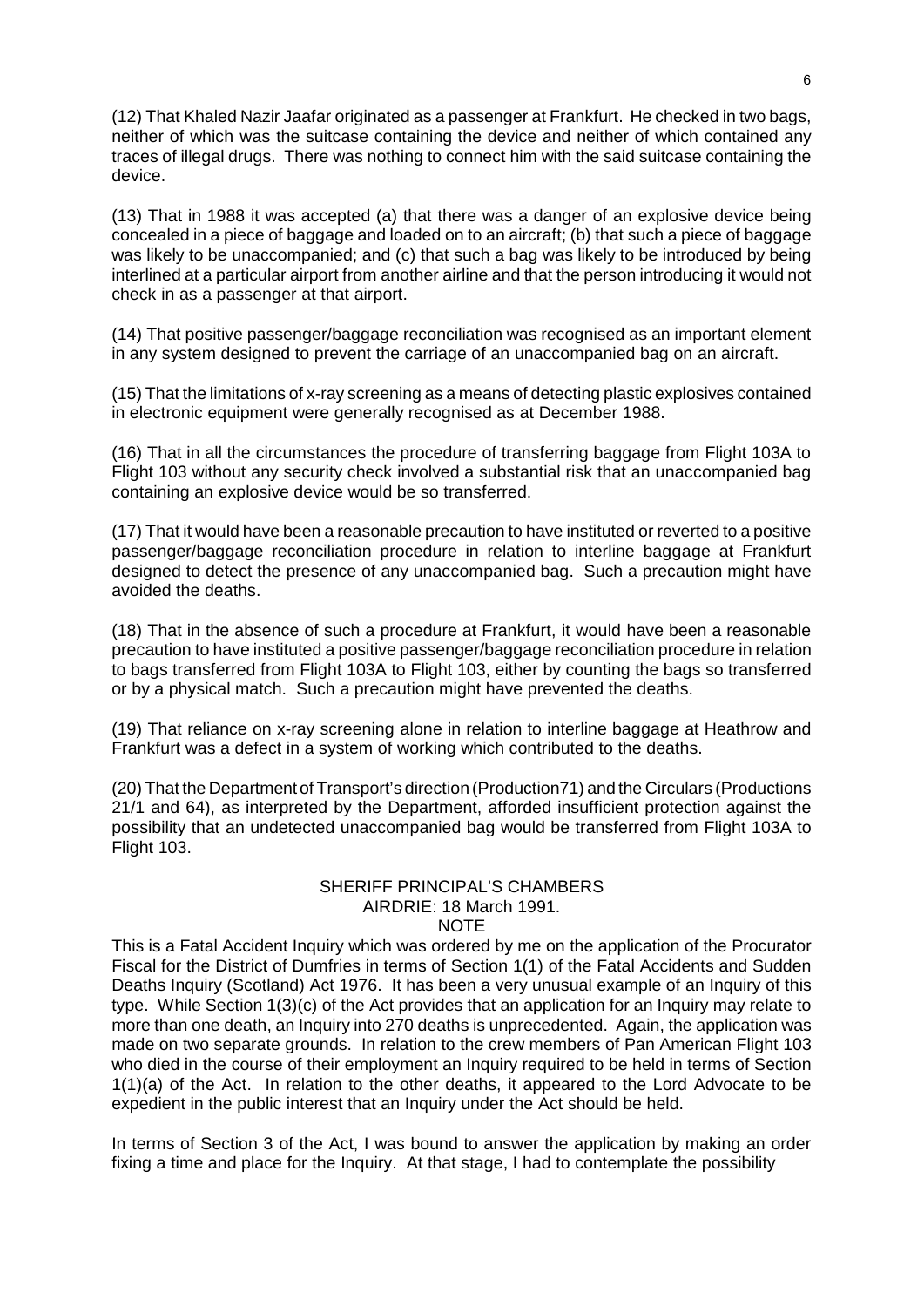(12) That Khaled Nazir Jaafar originated as a passenger at Frankfurt. He checked in two bags, neither of which was the suitcase containing the device and neither of which contained any traces of illegal drugs. There was nothing to connect him with the said suitcase containing the device.

(13) That in 1988 it was accepted (a) that there was a danger of an explosive device being concealed in a piece of baggage and loaded on to an aircraft; (b) that such a piece of baggage was likely to be unaccompanied; and (c) that such a bag was likely to be introduced by being interlined at a particular airport from another airline and that the person introducing it would not check in as a passenger at that airport.

(14) That positive passenger/baggage reconciliation was recognised as an important element in any system designed to prevent the carriage of an unaccompanied bag on an aircraft.

(15) That the limitations of x-ray screening as a means of detecting plastic explosives contained in electronic equipment were generally recognised as at December 1988.

(16) That in all the circumstances the procedure of transferring baggage from Flight 103A to Flight 103 without any security check involved a substantial risk that an unaccompanied bag containing an explosive device would be so transferred.

(17) That it would have been a reasonable precaution to have instituted or reverted to a positive passenger/baggage reconciliation procedure in relation to interline baggage at Frankfurt designed to detect the presence of any unaccompanied bag. Such a precaution might have avoided the deaths.

(18) That in the absence of such a procedure at Frankfurt, it would have been a reasonable precaution to have instituted a positive passenger/baggage reconciliation procedure in relation to bags transferred from Flight 103A to Flight 103, either by counting the bags so transferred or by a physical match. Such a precaution might have prevented the deaths.

(19) That reliance on x-ray screening alone in relation to interline baggage at Heathrow and Frankfurt was a defect in a system of working which contributed to the deaths.

(20) That the Department of Transport's direction (Production71) and the Circulars (Productions 21/1 and 64), as interpreted by the Department, afforded insufficient protection against the possibility that an undetected unaccompanied bag would be transferred from Flight 103A to Flight 103.

#### SHERIFF PRINCIPAL'S CHAMBERS AIRDRIE: 18 March 1991. **NOTE**

This is a Fatal Accident Inquiry which was ordered by me on the application of the Procurator Fiscal for the District of Dumfries in terms of Section 1(1) of the Fatal Accidents and Sudden Deaths Inquiry (Scotland) Act 1976. It has been a very unusual example of an Inquiry of this type. While Section 1(3)(c) of the Act provides that an application for an Inquiry may relate to more than one death, an Inquiry into 270 deaths is unprecedented. Again, the application was made on two separate grounds. In relation to the crew members of Pan American Flight 103 who died in the course of their employment an Inquiry required to be held in terms of Section 1(1)(a) of the Act. In relation to the other deaths, it appeared to the Lord Advocate to be expedient in the public interest that an Inquiry under the Act should be held.

In terms of Section 3 of the Act, I was bound to answer the application by making an order fixing a time and place for the Inquiry. At that stage, I had to contemplate the possibility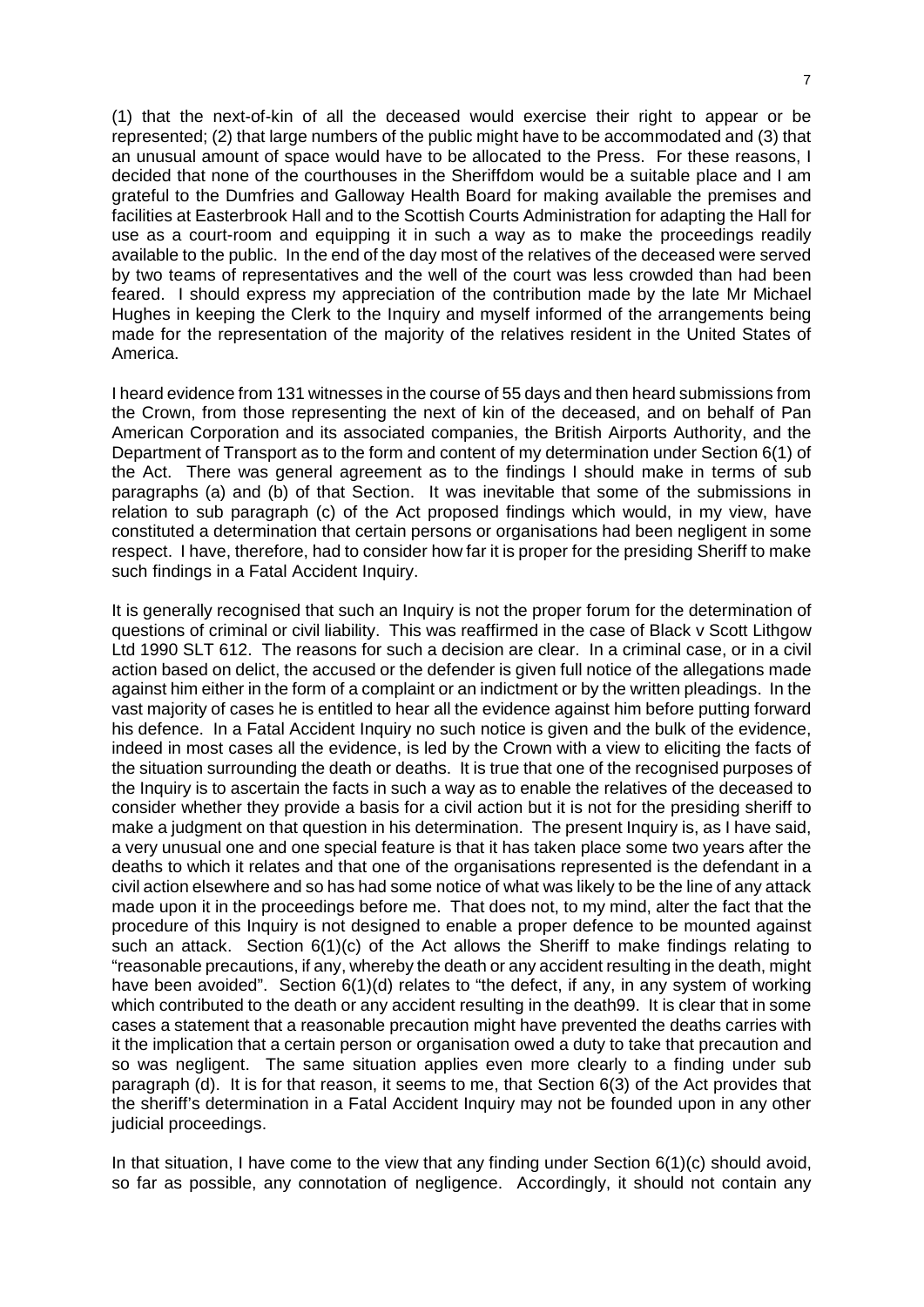(1) that the next-of-kin of all the deceased would exercise their right to appear or be represented; (2) that large numbers of the public might have to be accommodated and (3) that an unusual amount of space would have to be allocated to the Press. For these reasons, I decided that none of the courthouses in the Sheriffdom would be a suitable place and I am grateful to the Dumfries and Galloway Health Board for making available the premises and facilities at Easterbrook Hall and to the Scottish Courts Administration for adapting the Hall for use as a court-room and equipping it in such a way as to make the proceedings readily available to the public. In the end of the day most of the relatives of the deceased were served by two teams of representatives and the well of the court was less crowded than had been feared. I should express my appreciation of the contribution made by the late Mr Michael Hughes in keeping the Clerk to the Inquiry and myself informed of the arrangements being made for the representation of the majority of the relatives resident in the United States of America.

I heard evidence from 131 witnesses in the course of 55 days and then heard submissions from the Crown, from those representing the next of kin of the deceased, and on behalf of Pan American Corporation and its associated companies, the British Airports Authority, and the Department of Transport as to the form and content of my determination under Section 6(1) of the Act. There was general agreement as to the findings I should make in terms of sub paragraphs (a) and (b) of that Section. It was inevitable that some of the submissions in relation to sub paragraph (c) of the Act proposed findings which would, in my view, have constituted a determination that certain persons or organisations had been negligent in some respect. I have, therefore, had to consider how far it is proper for the presiding Sheriff to make such findings in a Fatal Accident Inquiry.

It is generally recognised that such an Inquiry is not the proper forum for the determination of questions of criminal or civil liability. This was reaffirmed in the case of Black v Scott Lithgow Ltd 1990 SLT 612. The reasons for such a decision are clear. In a criminal case, or in a civil action based on delict, the accused or the defender is given full notice of the allegations made against him either in the form of a complaint or an indictment or by the written pleadings. In the vast majority of cases he is entitled to hear all the evidence against him before putting forward his defence. In a Fatal Accident Inquiry no such notice is given and the bulk of the evidence, indeed in most cases all the evidence, is led by the Crown with a view to eliciting the facts of the situation surrounding the death or deaths. It is true that one of the recognised purposes of the Inquiry is to ascertain the facts in such a way as to enable the relatives of the deceased to consider whether they provide a basis for a civil action but it is not for the presiding sheriff to make a judgment on that question in his determination. The present Inquiry is, as I have said, a very unusual one and one special feature is that it has taken place some two years after the deaths to which it relates and that one of the organisations represented is the defendant in a civil action elsewhere and so has had some notice of what was likely to be the line of any attack made upon it in the proceedings before me. That does not, to my mind, alter the fact that the procedure of this Inquiry is not designed to enable a proper defence to be mounted against such an attack. Section  $6(1)(c)$  of the Act allows the Sheriff to make findings relating to "reasonable precautions, if any, whereby the death or any accident resulting in the death, might have been avoided". Section 6(1)(d) relates to "the defect, if any, in any system of working which contributed to the death or any accident resulting in the death99. It is clear that in some cases a statement that a reasonable precaution might have prevented the deaths carries with it the implication that a certain person or organisation owed a duty to take that precaution and so was negligent. The same situation applies even more clearly to a finding under sub paragraph (d). It is for that reason, it seems to me, that Section 6(3) of the Act provides that the sheriff's determination in a Fatal Accident Inquiry may not be founded upon in any other judicial proceedings.

In that situation, I have come to the view that any finding under Section  $6(1)(c)$  should avoid, so far as possible, any connotation of negligence. Accordingly, it should not contain any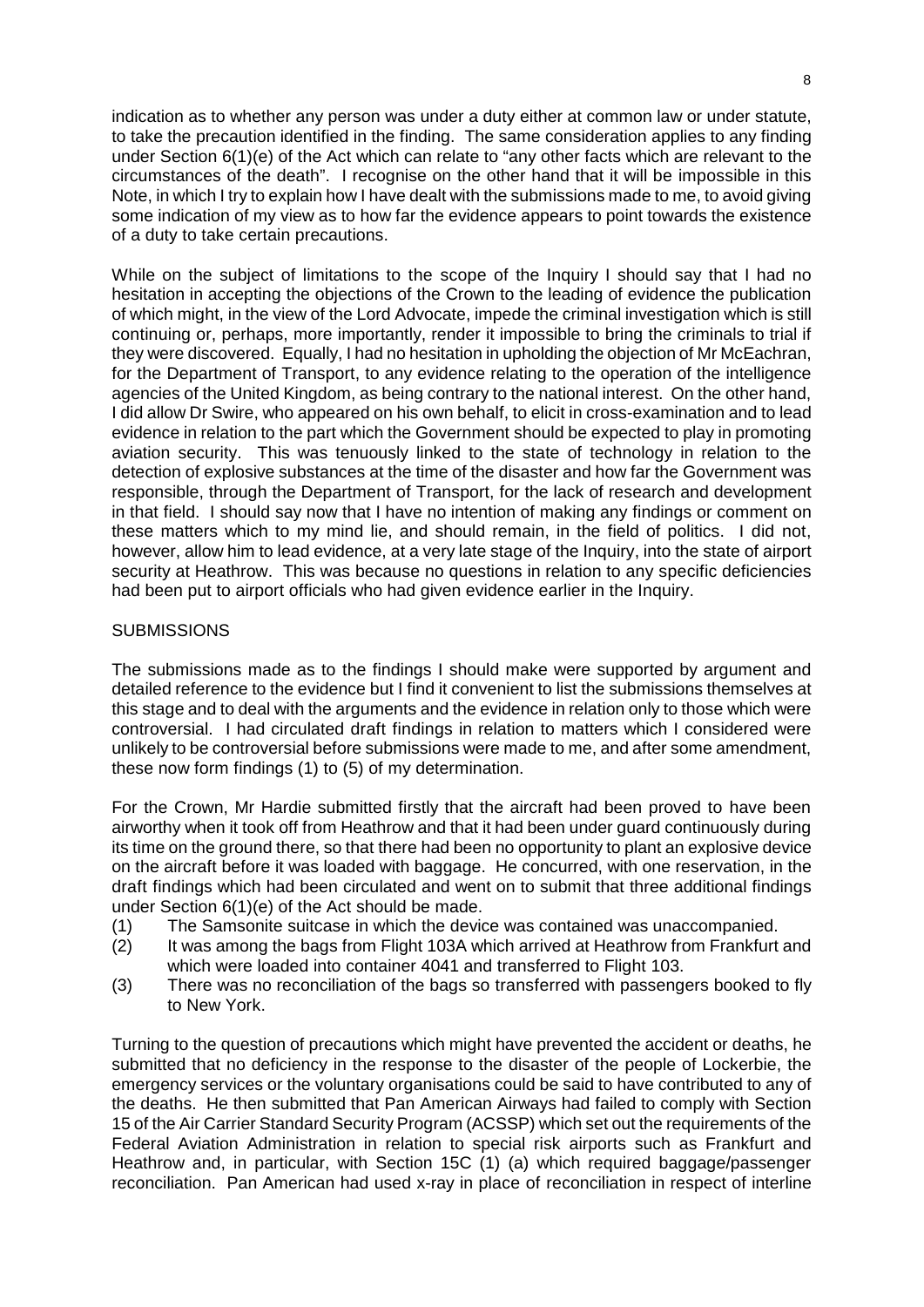indication as to whether any person was under a duty either at common law or under statute, to take the precaution identified in the finding. The same consideration applies to any finding under Section 6(1)(e) of the Act which can relate to "any other facts which are relevant to the circumstances of the death". I recognise on the other hand that it will be impossible in this Note, in which I try to explain how I have dealt with the submissions made to me, to avoid giving some indication of my view as to how far the evidence appears to point towards the existence of a duty to take certain precautions.

While on the subject of limitations to the scope of the Inquiry I should say that I had no hesitation in accepting the objections of the Crown to the leading of evidence the publication of which might, in the view of the Lord Advocate, impede the criminal investigation which is still continuing or, perhaps, more importantly, render it impossible to bring the criminals to trial if they were discovered. Equally, I had no hesitation in upholding the objection of Mr McEachran, for the Department of Transport, to any evidence relating to the operation of the intelligence agencies of the United Kingdom, as being contrary to the national interest. On the other hand, I did allow Dr Swire, who appeared on his own behalf, to elicit in cross-examination and to lead evidence in relation to the part which the Government should be expected to play in promoting aviation security. This was tenuously linked to the state of technology in relation to the detection of explosive substances at the time of the disaster and how far the Government was responsible, through the Department of Transport, for the lack of research and development in that field. I should say now that I have no intention of making any findings or comment on these matters which to my mind lie, and should remain, in the field of politics. I did not, however, allow him to lead evidence, at a very late stage of the Inquiry, into the state of airport security at Heathrow. This was because no questions in relation to any specific deficiencies had been put to airport officials who had given evidence earlier in the Inquiry.

# **SUBMISSIONS**

The submissions made as to the findings I should make were supported by argument and detailed reference to the evidence but I find it convenient to list the submissions themselves at this stage and to deal with the arguments and the evidence in relation only to those which were controversial. I had circulated draft findings in relation to matters which I considered were unlikely to be controversial before submissions were made to me, and after some amendment, these now form findings (1) to (5) of my determination.

For the Crown, Mr Hardie submitted firstly that the aircraft had been proved to have been airworthy when it took off from Heathrow and that it had been under guard continuously during its time on the ground there, so that there had been no opportunity to plant an explosive device on the aircraft before it was loaded with baggage. He concurred, with one reservation, in the draft findings which had been circulated and went on to submit that three additional findings under Section 6(1)(e) of the Act should be made.

- (1) The Samsonite suitcase in which the device was contained was unaccompanied.
- (2) It was among the bags from Flight 103A which arrived at Heathrow from Frankfurt and which were loaded into container 4041 and transferred to Flight 103.
- (3) There was no reconciliation of the bags so transferred with passengers booked to fly to New York.

Turning to the question of precautions which might have prevented the accident or deaths, he submitted that no deficiency in the response to the disaster of the people of Lockerbie, the emergency services or the voluntary organisations could be said to have contributed to any of the deaths. He then submitted that Pan American Airways had failed to comply with Section 15 of the Air Carrier Standard Security Program (ACSSP) which set out the requirements of the Federal Aviation Administration in relation to special risk airports such as Frankfurt and Heathrow and, in particular, with Section 15C (1) (a) which required baggage/passenger reconciliation. Pan American had used x-ray in place of reconciliation in respect of interline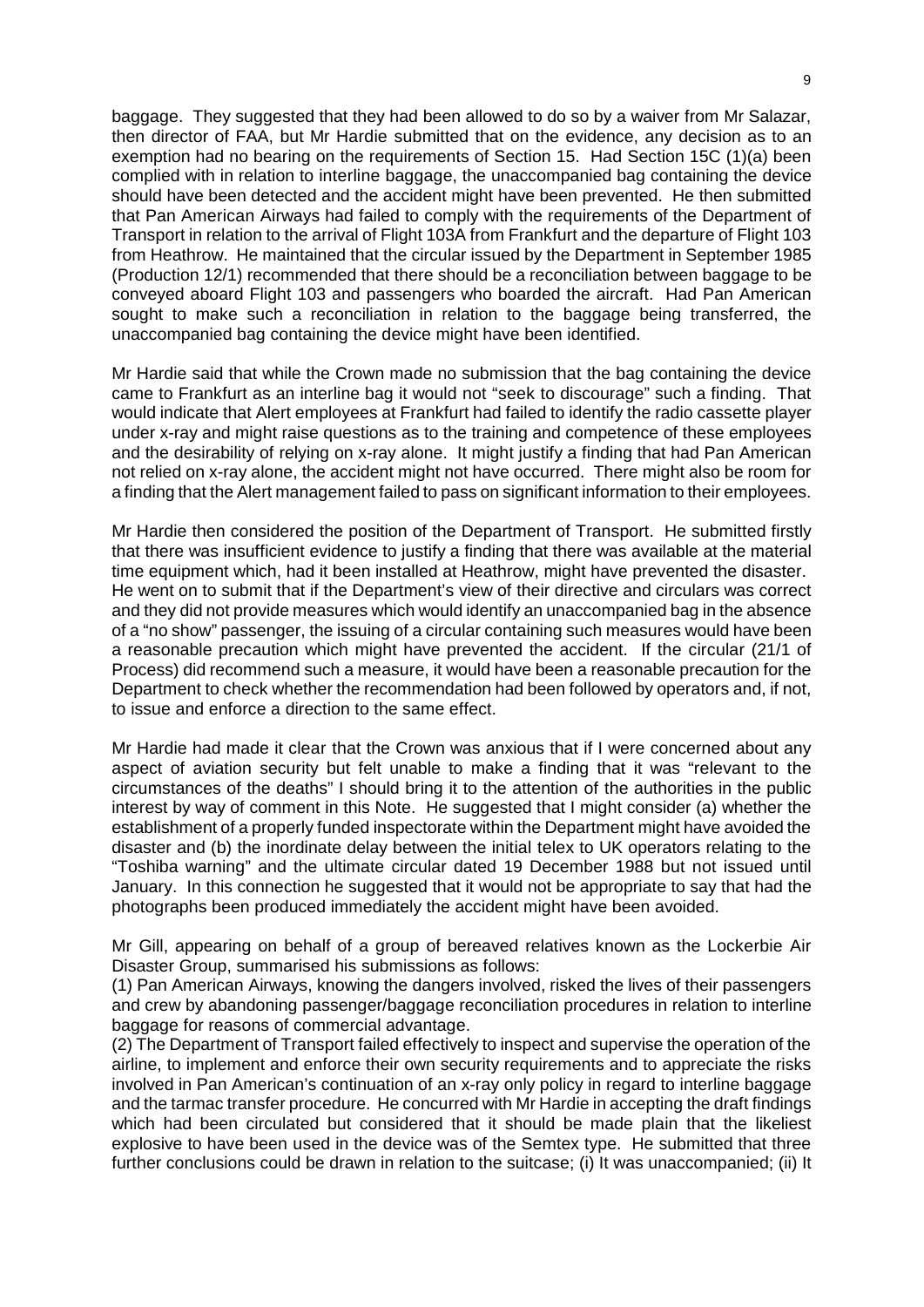baggage. They suggested that they had been allowed to do so by a waiver from Mr Salazar, then director of FAA, but Mr Hardie submitted that on the evidence, any decision as to an exemption had no bearing on the requirements of Section 15. Had Section 15C (1)(a) been complied with in relation to interline baggage, the unaccompanied bag containing the device should have been detected and the accident might have been prevented. He then submitted that Pan American Airways had failed to comply with the requirements of the Department of Transport in relation to the arrival of Flight 103A from Frankfurt and the departure of Flight 103 from Heathrow. He maintained that the circular issued by the Department in September 1985 (Production 12/1) recommended that there should be a reconciliation between baggage to be conveyed aboard Flight 103 and passengers who boarded the aircraft. Had Pan American sought to make such a reconciliation in relation to the baggage being transferred, the unaccompanied bag containing the device might have been identified.

Mr Hardie said that while the Crown made no submission that the bag containing the device came to Frankfurt as an interline bag it would not "seek to discourage" such a finding. That would indicate that Alert employees at Frankfurt had failed to identify the radio cassette player under x-ray and might raise questions as to the training and competence of these employees and the desirability of relying on x-ray alone. It might justify a finding that had Pan American not relied on x-ray alone, the accident might not have occurred. There might also be room for a finding that the Alert management failed to pass on significant information to their employees.

Mr Hardie then considered the position of the Department of Transport. He submitted firstly that there was insufficient evidence to justify a finding that there was available at the material time equipment which, had it been installed at Heathrow, might have prevented the disaster. He went on to submit that if the Department's view of their directive and circulars was correct and they did not provide measures which would identify an unaccompanied bag in the absence of a "no show" passenger, the issuing of a circular containing such measures would have been a reasonable precaution which might have prevented the accident. If the circular (21/1 of Process) did recommend such a measure, it would have been a reasonable precaution for the Department to check whether the recommendation had been followed by operators and, if not, to issue and enforce a direction to the same effect.

Mr Hardie had made it clear that the Crown was anxious that if I were concerned about any aspect of aviation security but felt unable to make a finding that it was "relevant to the circumstances of the deaths" I should bring it to the attention of the authorities in the public interest by way of comment in this Note. He suggested that I might consider (a) whether the establishment of a properly funded inspectorate within the Department might have avoided the disaster and (b) the inordinate delay between the initial telex to UK operators relating to the "Toshiba warning" and the ultimate circular dated 19 December 1988 but not issued until January. In this connection he suggested that it would not be appropriate to say that had the photographs been produced immediately the accident might have been avoided.

Mr Gill, appearing on behalf of a group of bereaved relatives known as the Lockerbie Air Disaster Group, summarised his submissions as follows:

(1) Pan American Airways, knowing the dangers involved, risked the lives of their passengers and crew by abandoning passenger/baggage reconciliation procedures in relation to interline baggage for reasons of commercial advantage.

(2) The Department of Transport failed effectively to inspect and supervise the operation of the airline, to implement and enforce their own security requirements and to appreciate the risks involved in Pan American's continuation of an x-ray only policy in regard to interline baggage and the tarmac transfer procedure. He concurred with Mr Hardie in accepting the draft findings which had been circulated but considered that it should be made plain that the likeliest explosive to have been used in the device was of the Semtex type. He submitted that three further conclusions could be drawn in relation to the suitcase; (i) It was unaccompanied; (ii) It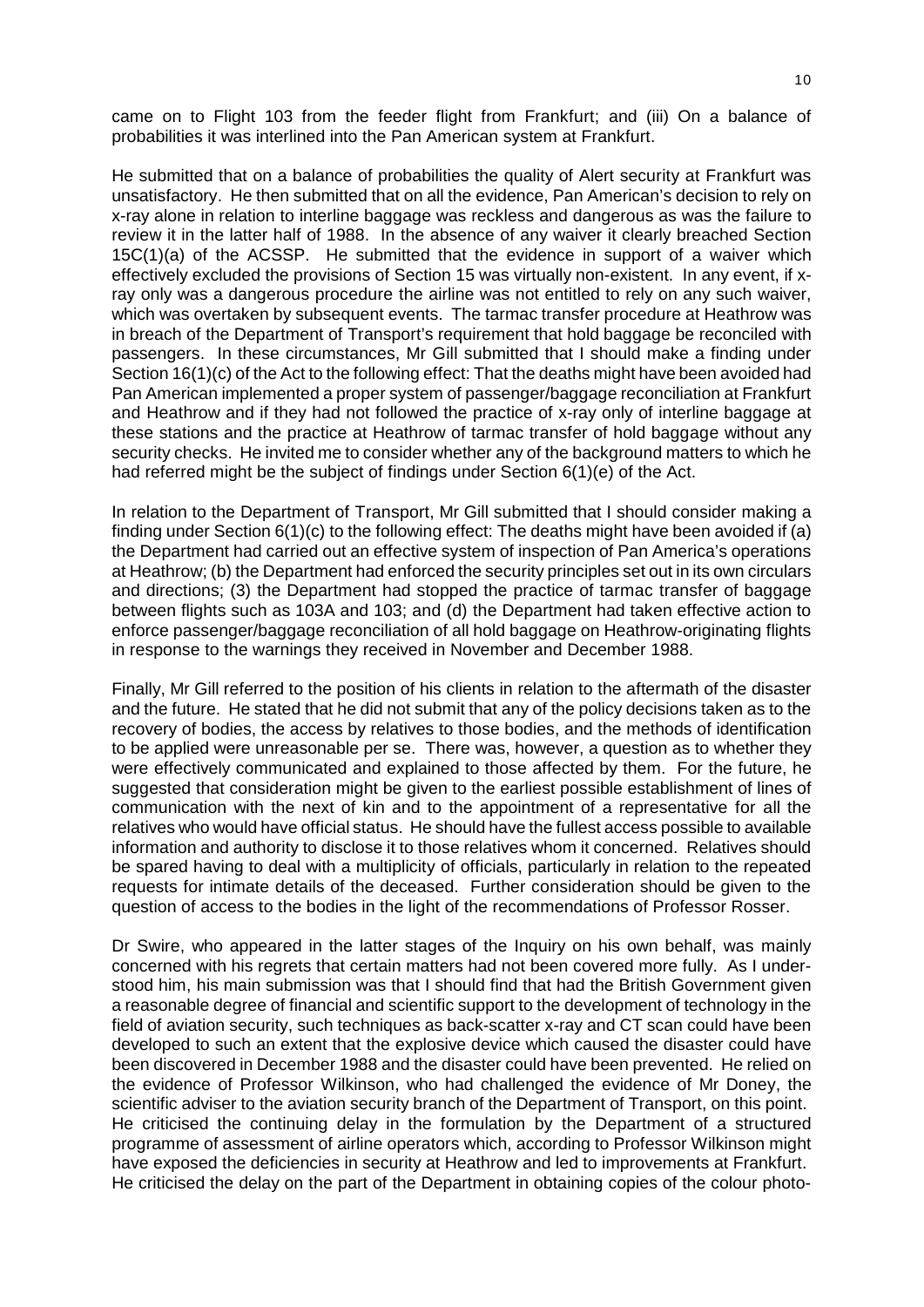came on to Flight 103 from the feeder flight from Frankfurt; and (iii) On a balance of probabilities it was interlined into the Pan American system at Frankfurt.

He submitted that on a balance of probabilities the quality of Alert security at Frankfurt was unsatisfactory. He then submitted that on all the evidence, Pan American's decision to rely on x-ray alone in relation to interline baggage was reckless and dangerous as was the failure to review it in the latter half of 1988. In the absence of any waiver it clearly breached Section 15C(1)(a) of the ACSSP. He submitted that the evidence in support of a waiver which effectively excluded the provisions of Section 15 was virtually non-existent. In any event, if xray only was a dangerous procedure the airline was not entitled to rely on any such waiver, which was overtaken by subsequent events. The tarmac transfer procedure at Heathrow was in breach of the Department of Transport's requirement that hold baggage be reconciled with passengers. In these circumstances, Mr Gill submitted that I should make a finding under Section 16(1)(c) of the Act to the following effect: That the deaths might have been avoided had Pan American implemented a proper system of passenger/baggage reconciliation at Frankfurt and Heathrow and if they had not followed the practice of x-ray only of interline baggage at these stations and the practice at Heathrow of tarmac transfer of hold baggage without any security checks. He invited me to consider whether any of the background matters to which he had referred might be the subject of findings under Section 6(1)(e) of the Act.

In relation to the Department of Transport, Mr Gill submitted that I should consider making a finding under Section 6(1)(c) to the following effect: The deaths might have been avoided if (a) the Department had carried out an effective system of inspection of Pan America's operations at Heathrow; (b) the Department had enforced the security principles set out in its own circulars and directions; (3) the Department had stopped the practice of tarmac transfer of baggage between flights such as 103A and 103; and (d) the Department had taken effective action to enforce passenger/baggage reconciliation of all hold baggage on Heathrow-originating flights in response to the warnings they received in November and December 1988.

Finally, Mr Gill referred to the position of his clients in relation to the aftermath of the disaster and the future. He stated that he did not submit that any of the policy decisions taken as to the recovery of bodies, the access by relatives to those bodies, and the methods of identification to be applied were unreasonable per se. There was, however, a question as to whether they were effectively communicated and explained to those affected by them. For the future, he suggested that consideration might be given to the earliest possible establishment of lines of communication with the next of kin and to the appointment of a representative for all the relatives who would have official status. He should have the fullest access possible to available information and authority to disclose it to those relatives whom it concerned. Relatives should be spared having to deal with a multiplicity of officials, particularly in relation to the repeated requests for intimate details of the deceased. Further consideration should be given to the question of access to the bodies in the light of the recommendations of Professor Rosser.

Dr Swire, who appeared in the latter stages of the Inquiry on his own behalf, was mainly concerned with his regrets that certain matters had not been covered more fully. As I understood him, his main submission was that I should find that had the British Government given a reasonable degree of financial and scientific support to the development of technology in the field of aviation security, such techniques as back-scatter x-ray and CT scan could have been developed to such an extent that the explosive device which caused the disaster could have been discovered in December 1988 and the disaster could have been prevented. He relied on the evidence of Professor Wilkinson, who had challenged the evidence of Mr Doney, the scientific adviser to the aviation security branch of the Department of Transport, on this point. He criticised the continuing delay in the formulation by the Department of a structured programme of assessment of airline operators which, according to Professor Wilkinson might have exposed the deficiencies in security at Heathrow and led to improvements at Frankfurt. He criticised the delay on the part of the Department in obtaining copies of the colour photo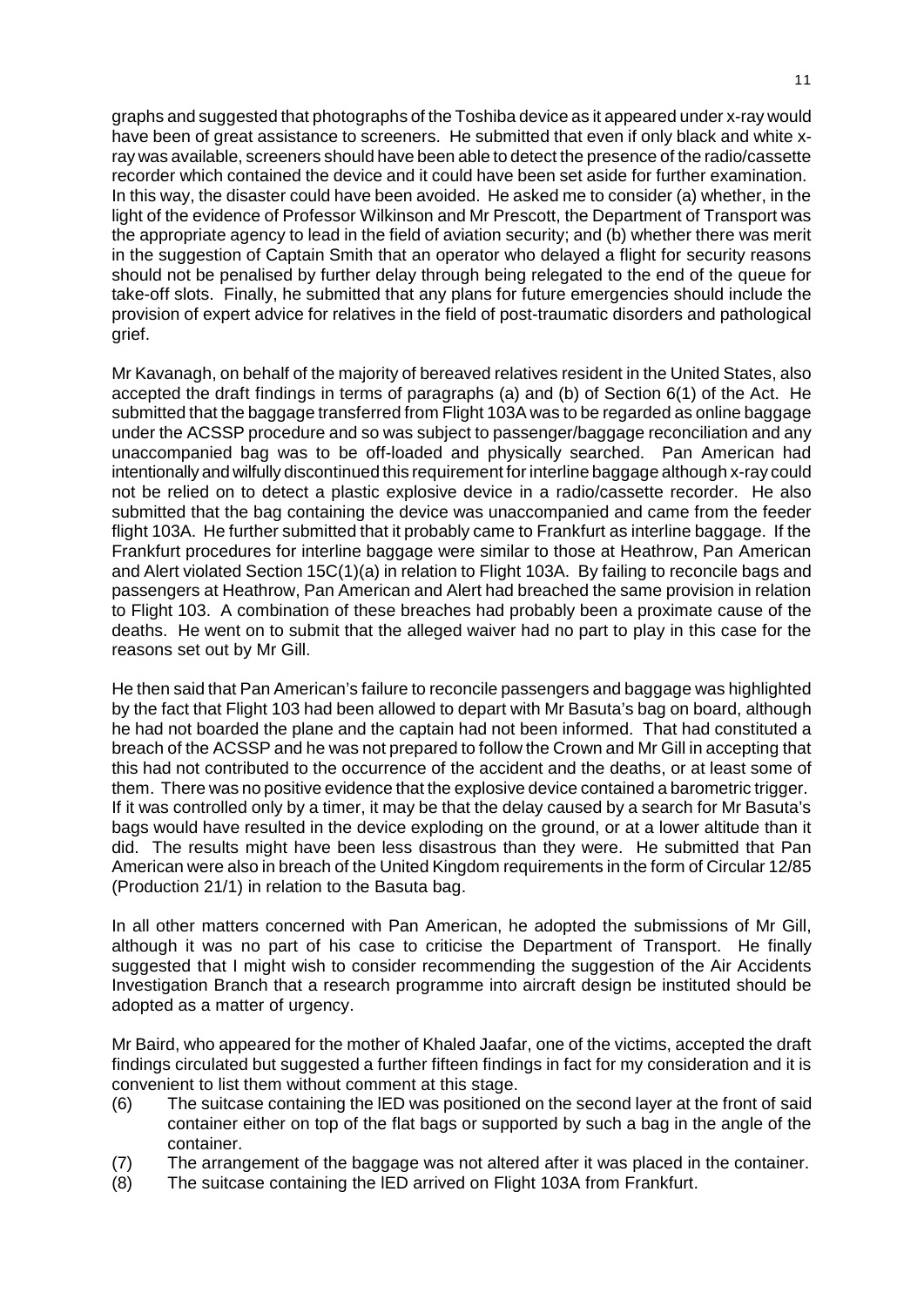graphs and suggested that photographs of the Toshiba device as it appeared under x-ray would have been of great assistance to screeners. He submitted that even if only black and white xray was available, screeners should have been able to detect the presence of the radio/cassette recorder which contained the device and it could have been set aside for further examination. In this way, the disaster could have been avoided. He asked me to consider (a) whether, in the light of the evidence of Professor Wilkinson and Mr Prescott, the Department of Transport was the appropriate agency to lead in the field of aviation security; and (b) whether there was merit in the suggestion of Captain Smith that an operator who delayed a flight for security reasons should not be penalised by further delay through being relegated to the end of the queue for take-off slots. Finally, he submitted that any plans for future emergencies should include the provision of expert advice for relatives in the field of post-traumatic disorders and pathological grief.

Mr Kavanagh, on behalf of the majority of bereaved relatives resident in the United States, also accepted the draft findings in terms of paragraphs (a) and (b) of Section 6(1) of the Act. He submitted that the baggage transferred from Flight 103A was to be regarded as online baggage under the ACSSP procedure and so was subject to passenger/baggage reconciliation and any unaccompanied bag was to be off-loaded and physically searched. Pan American had intentionally and wilfully discontinued this requirement for interline baggage although x-ray could not be relied on to detect a plastic explosive device in a radio/cassette recorder. He also submitted that the bag containing the device was unaccompanied and came from the feeder flight 103A. He further submitted that it probably came to Frankfurt as interline baggage. If the Frankfurt procedures for interline baggage were similar to those at Heathrow, Pan American and Alert violated Section 15C(1)(a) in relation to Flight 103A. By failing to reconcile bags and passengers at Heathrow, Pan American and Alert had breached the same provision in relation to Flight 103. A combination of these breaches had probably been a proximate cause of the deaths. He went on to submit that the alleged waiver had no part to play in this case for the reasons set out by Mr Gill.

He then said that Pan American's failure to reconcile passengers and baggage was highlighted by the fact that Flight 103 had been allowed to depart with Mr Basuta's bag on board, although he had not boarded the plane and the captain had not been informed. That had constituted a breach of the ACSSP and he was not prepared to follow the Crown and Mr Gill in accepting that this had not contributed to the occurrence of the accident and the deaths, or at least some of them. There was no positive evidence that the explosive device contained a barometric trigger. If it was controlled only by a timer, it may be that the delay caused by a search for Mr Basuta's bags would have resulted in the device exploding on the ground, or at a lower altitude than it did. The results might have been less disastrous than they were. He submitted that Pan American were also in breach of the United Kingdom requirements in the form of Circular 12/85 (Production 21/1) in relation to the Basuta bag.

In all other matters concerned with Pan American, he adopted the submissions of Mr Gill, although it was no part of his case to criticise the Department of Transport. He finally suggested that I might wish to consider recommending the suggestion of the Air Accidents Investigation Branch that a research programme into aircraft design be instituted should be adopted as a matter of urgency.

Mr Baird, who appeared for the mother of Khaled Jaafar, one of the victims, accepted the draft findings circulated but suggested a further fifteen findings in fact for my consideration and it is convenient to list them without comment at this stage.

- (6) The suitcase containing the lED was positioned on the second layer at the front of said container either on top of the flat bags or supported by such a bag in the angle of the container.
- (7) The arrangement of the baggage was not altered after it was placed in the container.
- (8) The suitcase containing the lED arrived on Flight 103A from Frankfurt.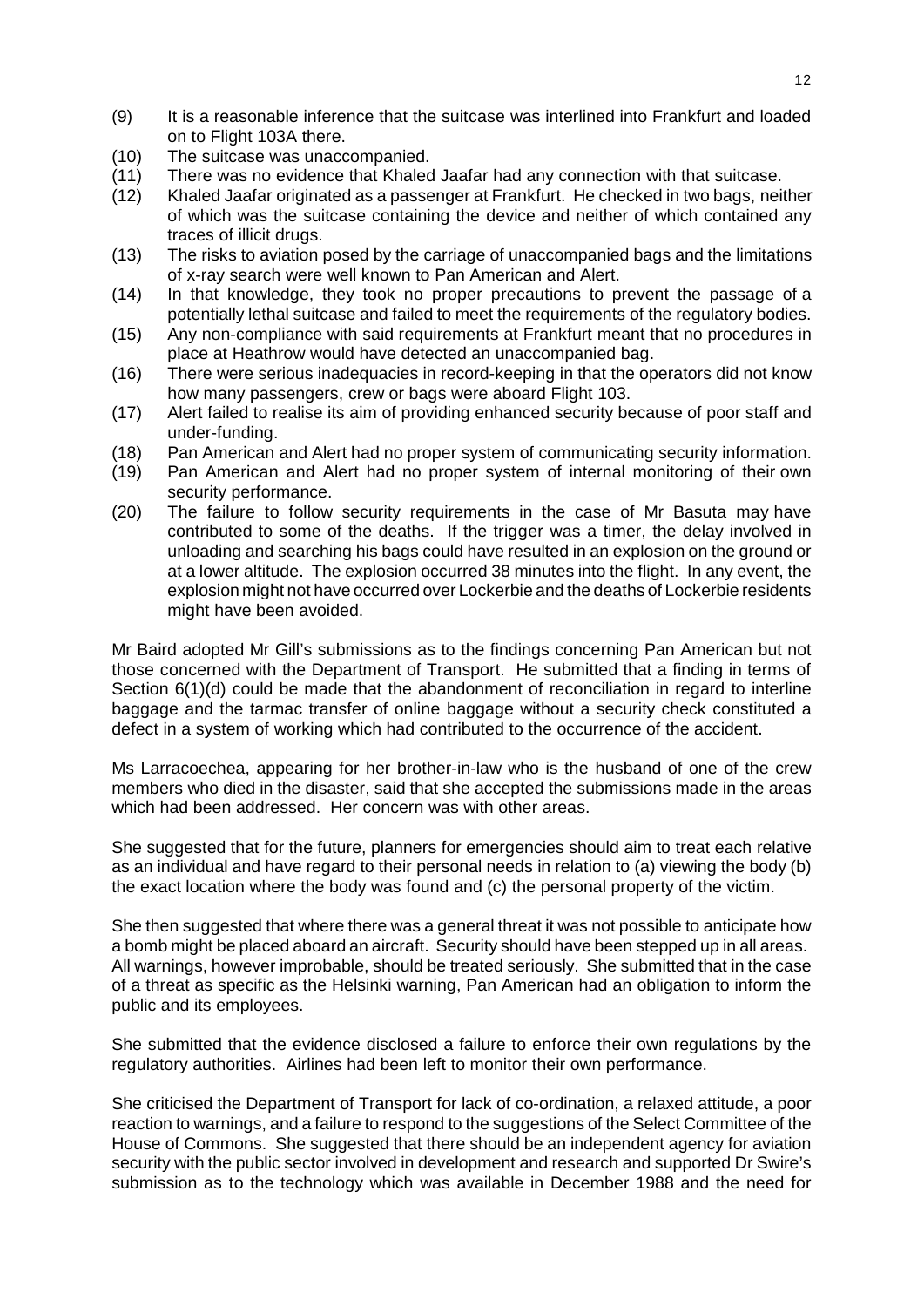- 12
- (9) It is a reasonable inference that the suitcase was interlined into Frankfurt and loaded on to Flight 103A there.
- (10) The suitcase was unaccompanied.
- (11) There was no evidence that Khaled Jaafar had any connection with that suitcase.
- (12) Khaled Jaafar originated as a passenger at Frankfurt. He checked in two bags, neither of which was the suitcase containing the device and neither of which contained any traces of illicit drugs.
- (13) The risks to aviation posed by the carriage of unaccompanied bags and the limitations of x-ray search were well known to Pan American and Alert.
- (14) In that knowledge, they took no proper precautions to prevent the passage of a potentially lethal suitcase and failed to meet the requirements of the regulatory bodies.
- (15) Any non-compliance with said requirements at Frankfurt meant that no procedures in place at Heathrow would have detected an unaccompanied bag.
- (16) There were serious inadequacies in record-keeping in that the operators did not know how many passengers, crew or bags were aboard Flight 103.
- (17) Alert failed to realise its aim of providing enhanced security because of poor staff and under-funding.
- (18) Pan American and Alert had no proper system of communicating security information.
- (19) Pan American and Alert had no proper system of internal monitoring of their own security performance.
- (20) The failure to follow security requirements in the case of Mr Basuta may have contributed to some of the deaths. If the trigger was a timer, the delay involved in unloading and searching his bags could have resulted in an explosion on the ground or at a lower altitude. The explosion occurred 38 minutes into the flight. In any event, the explosion might not have occurred over Lockerbie and the deaths of Lockerbie residents might have been avoided.

Mr Baird adopted Mr Gill's submissions as to the findings concerning Pan American but not those concerned with the Department of Transport. He submitted that a finding in terms of Section 6(1)(d) could be made that the abandonment of reconciliation in regard to interline baggage and the tarmac transfer of online baggage without a security check constituted a defect in a system of working which had contributed to the occurrence of the accident.

Ms Larracoechea, appearing for her brother-in-law who is the husband of one of the crew members who died in the disaster, said that she accepted the submissions made in the areas which had been addressed. Her concern was with other areas.

She suggested that for the future, planners for emergencies should aim to treat each relative as an individual and have regard to their personal needs in relation to (a) viewing the body (b) the exact location where the body was found and (c) the personal property of the victim.

She then suggested that where there was a general threat it was not possible to anticipate how a bomb might be placed aboard an aircraft. Security should have been stepped up in all areas. All warnings, however improbable, should be treated seriously. She submitted that in the case of a threat as specific as the Helsinki warning, Pan American had an obligation to inform the public and its employees.

She submitted that the evidence disclosed a failure to enforce their own regulations by the regulatory authorities. Airlines had been left to monitor their own performance.

She criticised the Department of Transport for lack of co-ordination, a relaxed attitude, a poor reaction to warnings, and a failure to respond to the suggestions of the Select Committee of the House of Commons. She suggested that there should be an independent agency for aviation security with the public sector involved in development and research and supported Dr Swire's submission as to the technology which was available in December 1988 and the need for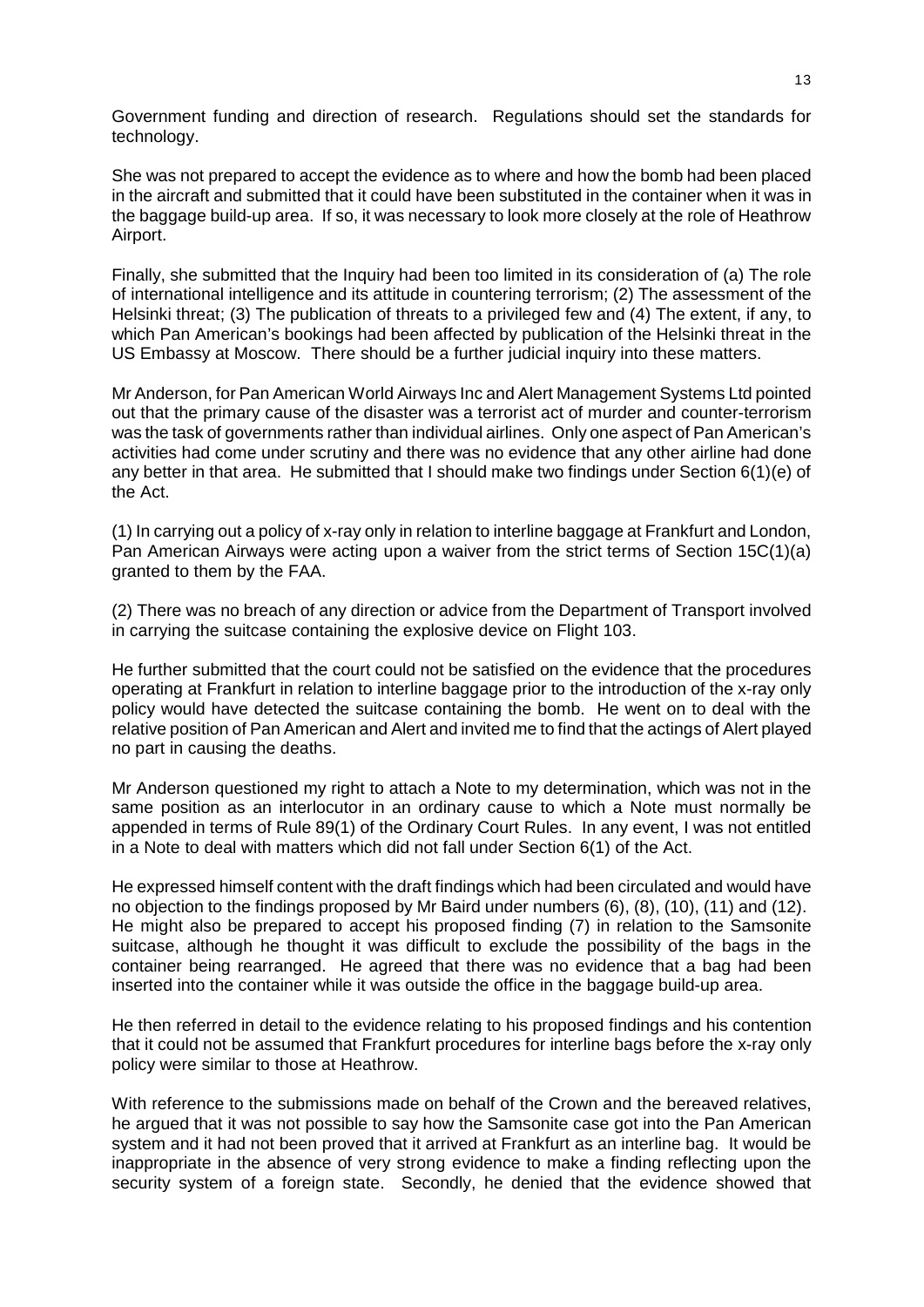Government funding and direction of research. Regulations should set the standards for technology.

She was not prepared to accept the evidence as to where and how the bomb had been placed in the aircraft and submitted that it could have been substituted in the container when it was in the baggage build-up area. If so, it was necessary to look more closely at the role of Heathrow Airport.

Finally, she submitted that the Inquiry had been too limited in its consideration of (a) The role of international intelligence and its attitude in countering terrorism; (2) The assessment of the Helsinki threat; (3) The publication of threats to a privileged few and (4) The extent, if any, to which Pan American's bookings had been affected by publication of the Helsinki threat in the US Embassy at Moscow. There should be a further judicial inquiry into these matters.

Mr Anderson, for Pan American World Airways Inc and Alert Management Systems Ltd pointed out that the primary cause of the disaster was a terrorist act of murder and counter-terrorism was the task of governments rather than individual airlines. Only one aspect of Pan American's activities had come under scrutiny and there was no evidence that any other airline had done any better in that area. He submitted that I should make two findings under Section 6(1)(e) of the Act.

(1) In carrying out a policy of x-ray only in relation to interline baggage at Frankfurt and London, Pan American Airways were acting upon a waiver from the strict terms of Section 15C(1)(a) granted to them by the FAA.

(2) There was no breach of any direction or advice from the Department of Transport involved in carrying the suitcase containing the explosive device on Flight 103.

He further submitted that the court could not be satisfied on the evidence that the procedures operating at Frankfurt in relation to interline baggage prior to the introduction of the x-ray only policy would have detected the suitcase containing the bomb. He went on to deal with the relative position of Pan American and Alert and invited me to find that the actings of Alert played no part in causing the deaths.

Mr Anderson questioned my right to attach a Note to my determination, which was not in the same position as an interlocutor in an ordinary cause to which a Note must normally be appended in terms of Rule 89(1) of the Ordinary Court Rules. In any event, I was not entitled in a Note to deal with matters which did not fall under Section 6(1) of the Act.

He expressed himself content with the draft findings which had been circulated and would have no objection to the findings proposed by Mr Baird under numbers (6), (8), (10), (11) and (12). He might also be prepared to accept his proposed finding (7) in relation to the Samsonite suitcase, although he thought it was difficult to exclude the possibility of the bags in the container being rearranged. He agreed that there was no evidence that a bag had been inserted into the container while it was outside the office in the baggage build-up area.

He then referred in detail to the evidence relating to his proposed findings and his contention that it could not be assumed that Frankfurt procedures for interline bags before the x-ray only policy were similar to those at Heathrow.

With reference to the submissions made on behalf of the Crown and the bereaved relatives, he argued that it was not possible to say how the Samsonite case got into the Pan American system and it had not been proved that it arrived at Frankfurt as an interline bag. It would be inappropriate in the absence of very strong evidence to make a finding reflecting upon the security system of a foreign state. Secondly, he denied that the evidence showed that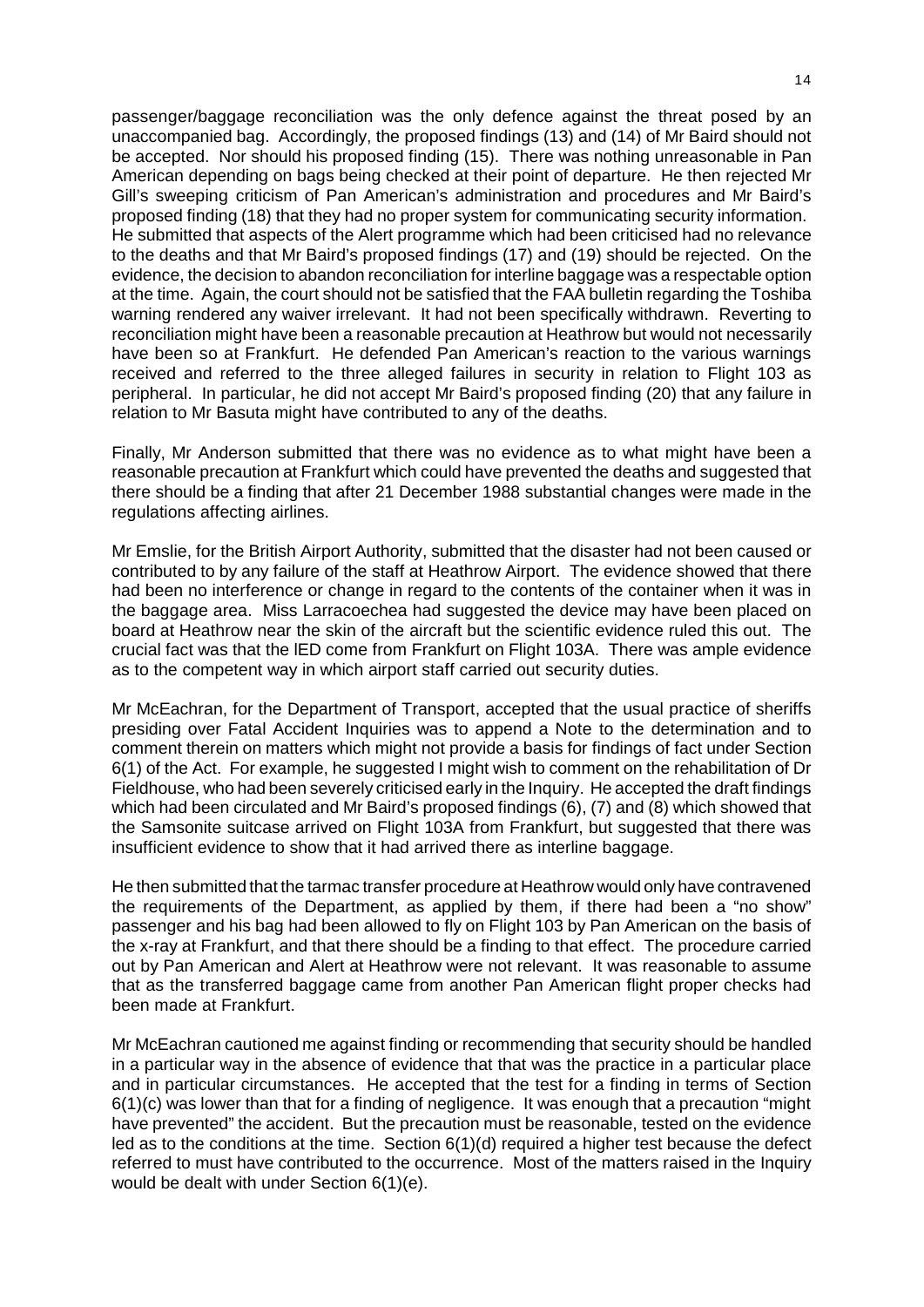passenger/baggage reconciliation was the only defence against the threat posed by an unaccompanied bag. Accordingly, the proposed findings (13) and (14) of Mr Baird should not be accepted. Nor should his proposed finding (15). There was nothing unreasonable in Pan American depending on bags being checked at their point of departure. He then rejected Mr Gill's sweeping criticism of Pan American's administration and procedures and Mr Baird's proposed finding (18) that they had no proper system for communicating security information. He submitted that aspects of the Alert programme which had been criticised had no relevance to the deaths and that Mr Baird's proposed findings (17) and (19) should be rejected. On the evidence, the decision to abandon reconciliation for interline baggage was a respectable option at the time. Again, the court should not be satisfied that the FAA bulletin regarding the Toshiba warning rendered any waiver irrelevant. It had not been specifically withdrawn. Reverting to reconciliation might have been a reasonable precaution at Heathrow but would not necessarily have been so at Frankfurt. He defended Pan American's reaction to the various warnings received and referred to the three alleged failures in security in relation to Flight 103 as peripheral. In particular, he did not accept Mr Baird's proposed finding (20) that any failure in relation to Mr Basuta might have contributed to any of the deaths.

Finally, Mr Anderson submitted that there was no evidence as to what might have been a reasonable precaution at Frankfurt which could have prevented the deaths and suggested that there should be a finding that after 21 December 1988 substantial changes were made in the regulations affecting airlines.

Mr Emslie, for the British Airport Authority, submitted that the disaster had not been caused or contributed to by any failure of the staff at Heathrow Airport. The evidence showed that there had been no interference or change in regard to the contents of the container when it was in the baggage area. Miss Larracoechea had suggested the device may have been placed on board at Heathrow near the skin of the aircraft but the scientific evidence ruled this out. The crucial fact was that the lED come from Frankfurt on Flight 103A. There was ample evidence as to the competent way in which airport staff carried out security duties.

Mr McEachran, for the Department of Transport, accepted that the usual practice of sheriffs presiding over Fatal Accident Inquiries was to append a Note to the determination and to comment therein on matters which might not provide a basis for findings of fact under Section 6(1) of the Act. For example, he suggested I might wish to comment on the rehabilitation of Dr Fieldhouse, who had been severely criticised early in the Inquiry. He accepted the draft findings which had been circulated and Mr Baird's proposed findings (6), (7) and (8) which showed that the Samsonite suitcase arrived on Flight 103A from Frankfurt, but suggested that there was insufficient evidence to show that it had arrived there as interline baggage.

He then submitted that the tarmac transfer procedure at Heathrow would only have contravened the requirements of the Department, as applied by them, if there had been a "no show" passenger and his bag had been allowed to fly on Flight 103 by Pan American on the basis of the x-ray at Frankfurt, and that there should be a finding to that effect. The procedure carried out by Pan American and Alert at Heathrow were not relevant. It was reasonable to assume that as the transferred baggage came from another Pan American flight proper checks had been made at Frankfurt.

Mr McEachran cautioned me against finding or recommending that security should be handled in a particular way in the absence of evidence that that was the practice in a particular place and in particular circumstances. He accepted that the test for a finding in terms of Section 6(1)(c) was lower than that for a finding of negligence. It was enough that a precaution "might have prevented" the accident. But the precaution must be reasonable, tested on the evidence led as to the conditions at the time. Section 6(1)(d) required a higher test because the defect referred to must have contributed to the occurrence. Most of the matters raised in the Inquiry would be dealt with under Section 6(1)(e).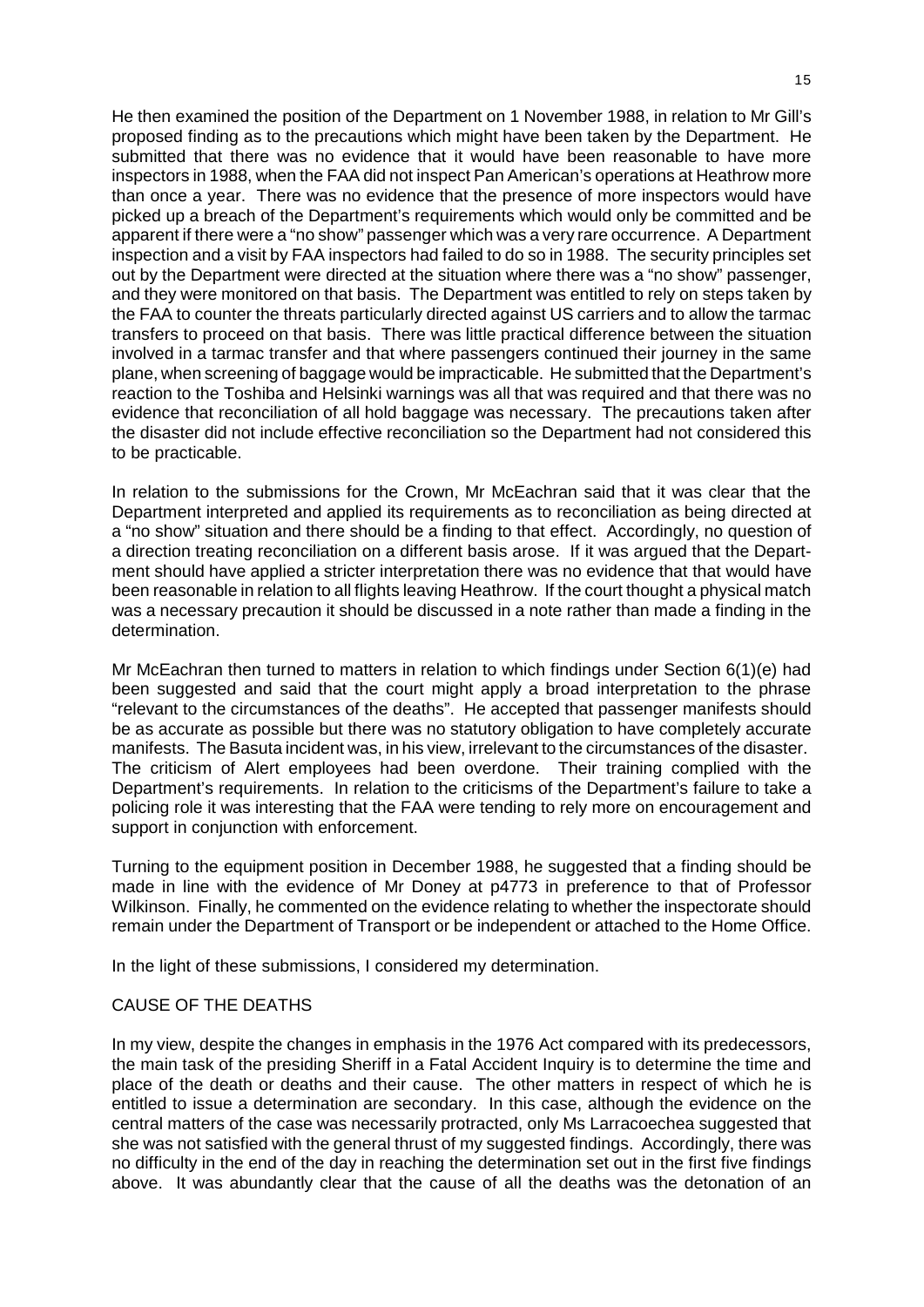He then examined the position of the Department on 1 November 1988, in relation to Mr Gill's proposed finding as to the precautions which might have been taken by the Department. He submitted that there was no evidence that it would have been reasonable to have more inspectors in 1988, when the FAA did not inspect Pan American's operations at Heathrow more than once a year. There was no evidence that the presence of more inspectors would have picked up a breach of the Department's requirements which would only be committed and be apparent if there were a "no show" passenger which was a very rare occurrence. A Department inspection and a visit by FAA inspectors had failed to do so in 1988. The security principles set out by the Department were directed at the situation where there was a "no show" passenger, and they were monitored on that basis. The Department was entitled to rely on steps taken by the FAA to counter the threats particularly directed against US carriers and to allow the tarmac transfers to proceed on that basis. There was little practical difference between the situation involved in a tarmac transfer and that where passengers continued their journey in the same plane, when screening of baggage would be impracticable. He submitted that the Department's reaction to the Toshiba and Helsinki warnings was all that was required and that there was no evidence that reconciliation of all hold baggage was necessary. The precautions taken after the disaster did not include effective reconciliation so the Department had not considered this to be practicable.

In relation to the submissions for the Crown, Mr McEachran said that it was clear that the Department interpreted and applied its requirements as to reconciliation as being directed at a "no show" situation and there should be a finding to that effect. Accordingly, no question of a direction treating reconciliation on a different basis arose. If it was argued that the Department should have applied a stricter interpretation there was no evidence that that would have been reasonable in relation to all flights leaving Heathrow. If the court thought a physical match was a necessary precaution it should be discussed in a note rather than made a finding in the determination.

Mr McEachran then turned to matters in relation to which findings under Section 6(1)(e) had been suggested and said that the court might apply a broad interpretation to the phrase "relevant to the circumstances of the deaths". He accepted that passenger manifests should be as accurate as possible but there was no statutory obligation to have completely accurate manifests. The Basuta incident was, in his view, irrelevant to the circumstances of the disaster. The criticism of Alert employees had been overdone. Their training complied with the Department's requirements. In relation to the criticisms of the Department's failure to take a policing role it was interesting that the FAA were tending to rely more on encouragement and support in conjunction with enforcement.

Turning to the equipment position in December 1988, he suggested that a finding should be made in line with the evidence of Mr Doney at p4773 in preference to that of Professor Wilkinson. Finally, he commented on the evidence relating to whether the inspectorate should remain under the Department of Transport or be independent or attached to the Home Office.

In the light of these submissions, I considered my determination.

### CAUSE OF THE DEATHS

In my view, despite the changes in emphasis in the 1976 Act compared with its predecessors, the main task of the presiding Sheriff in a Fatal Accident Inquiry is to determine the time and place of the death or deaths and their cause. The other matters in respect of which he is entitled to issue a determination are secondary. In this case, although the evidence on the central matters of the case was necessarily protracted, only Ms Larracoechea suggested that she was not satisfied with the general thrust of my suggested findings. Accordingly, there was no difficulty in the end of the day in reaching the determination set out in the first five findings above. It was abundantly clear that the cause of all the deaths was the detonation of an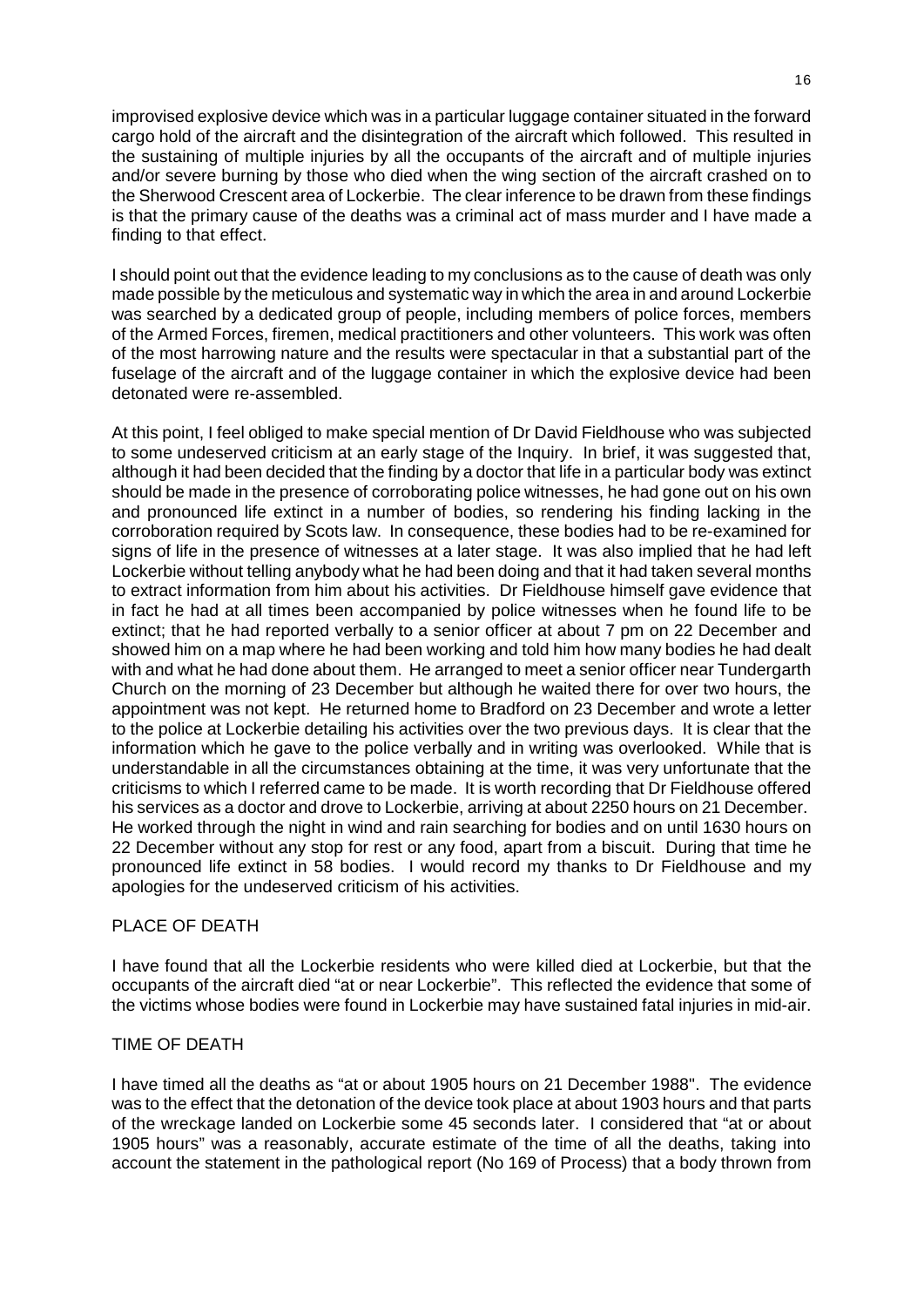improvised explosive device which was in a particular luggage container situated in the forward cargo hold of the aircraft and the disintegration of the aircraft which followed. This resulted in the sustaining of multiple injuries by all the occupants of the aircraft and of multiple injuries and/or severe burning by those who died when the wing section of the aircraft crashed on to the Sherwood Crescent area of Lockerbie. The clear inference to be drawn from these findings is that the primary cause of the deaths was a criminal act of mass murder and I have made a finding to that effect.

I should point out that the evidence leading to my conclusions as to the cause of death was only made possible by the meticulous and systematic way in which the area in and around Lockerbie was searched by a dedicated group of people, including members of police forces, members of the Armed Forces, firemen, medical practitioners and other volunteers. This work was often of the most harrowing nature and the results were spectacular in that a substantial part of the fuselage of the aircraft and of the luggage container in which the explosive device had been detonated were re-assembled.

At this point, I feel obliged to make special mention of Dr David Fieldhouse who was subjected to some undeserved criticism at an early stage of the Inquiry. In brief, it was suggested that, although it had been decided that the finding by a doctor that life in a particular body was extinct should be made in the presence of corroborating police witnesses, he had gone out on his own and pronounced life extinct in a number of bodies, so rendering his finding lacking in the corroboration required by Scots law. In consequence, these bodies had to be re-examined for signs of life in the presence of witnesses at a later stage. It was also implied that he had left Lockerbie without telling anybody what he had been doing and that it had taken several months to extract information from him about his activities. Dr Fieldhouse himself gave evidence that in fact he had at all times been accompanied by police witnesses when he found life to be extinct; that he had reported verbally to a senior officer at about 7 pm on 22 December and showed him on a map where he had been working and told him how many bodies he had dealt with and what he had done about them. He arranged to meet a senior officer near Tundergarth Church on the morning of 23 December but although he waited there for over two hours, the appointment was not kept. He returned home to Bradford on 23 December and wrote a letter to the police at Lockerbie detailing his activities over the two previous days. It is clear that the information which he gave to the police verbally and in writing was overlooked. While that is understandable in all the circumstances obtaining at the time, it was very unfortunate that the criticisms to which I referred came to be made. It is worth recording that Dr Fieldhouse offered his services as a doctor and drove to Lockerbie, arriving at about 2250 hours on 21 December. He worked through the night in wind and rain searching for bodies and on until 1630 hours on 22 December without any stop for rest or any food, apart from a biscuit. During that time he pronounced life extinct in 58 bodies. I would record my thanks to Dr Fieldhouse and my apologies for the undeserved criticism of his activities.

# PLACE OF DEATH

I have found that all the Lockerbie residents who were killed died at Lockerbie, but that the occupants of the aircraft died "at or near Lockerbie". This reflected the evidence that some of the victims whose bodies were found in Lockerbie may have sustained fatal injuries in mid-air.

### TIME OF DEATH

I have timed all the deaths as "at or about 1905 hours on 21 December 1988". The evidence was to the effect that the detonation of the device took place at about 1903 hours and that parts of the wreckage landed on Lockerbie some 45 seconds later. I considered that "at or about 1905 hours" was a reasonably, accurate estimate of the time of all the deaths, taking into account the statement in the pathological report (No 169 of Process) that a body thrown from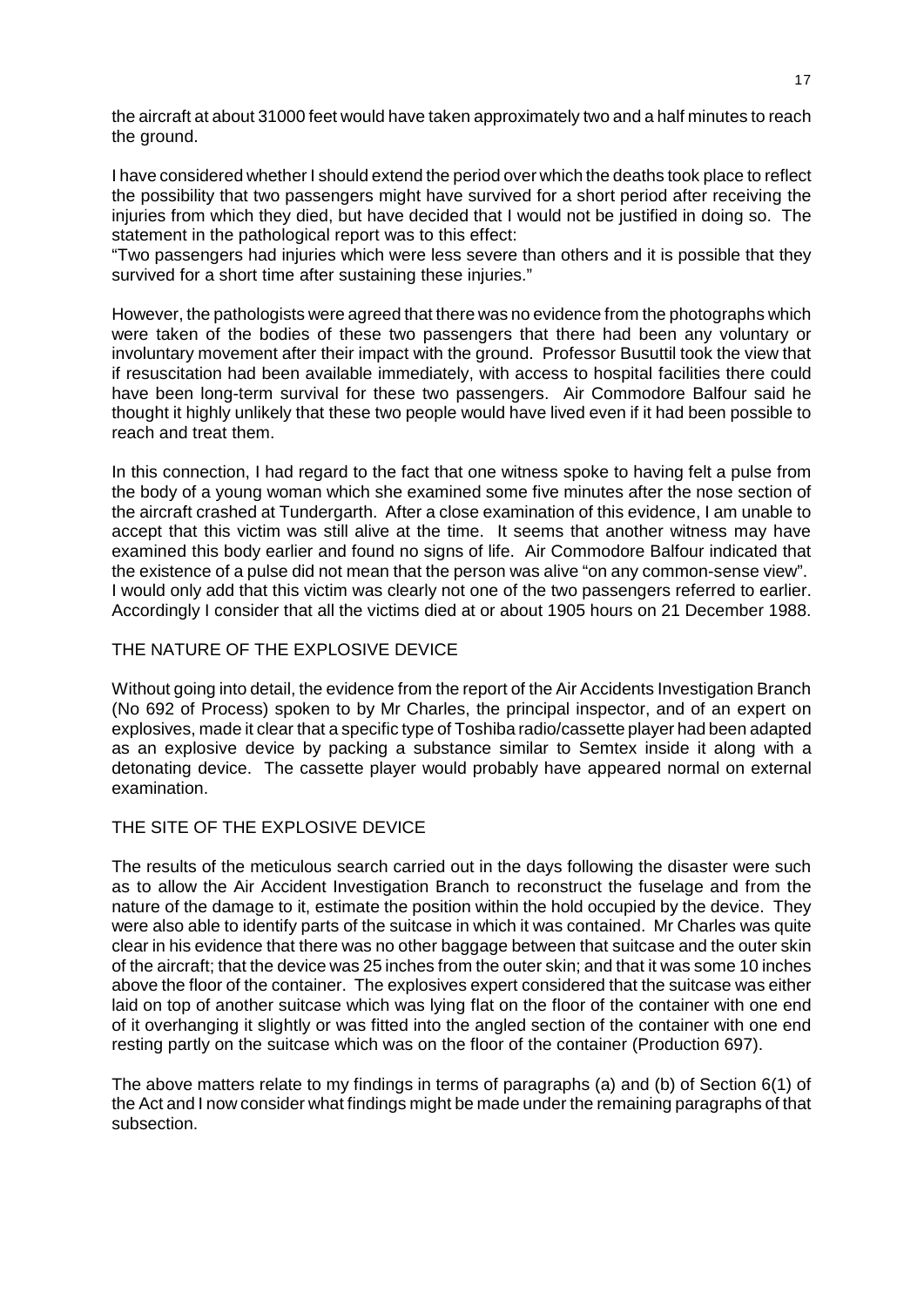the aircraft at about 31000 feet would have taken approximately two and a half minutes to reach the ground.

I have considered whether I should extend the period over which the deaths took place to reflect the possibility that two passengers might have survived for a short period after receiving the injuries from which they died, but have decided that I would not be justified in doing so. The statement in the pathological report was to this effect:

"Two passengers had injuries which were less severe than others and it is possible that they survived for a short time after sustaining these injuries."

However, the pathologists were agreed that there was no evidence from the photographs which were taken of the bodies of these two passengers that there had been any voluntary or involuntary movement after their impact with the ground. Professor Busuttil took the view that if resuscitation had been available immediately, with access to hospital facilities there could have been long-term survival for these two passengers. Air Commodore Balfour said he thought it highly unlikely that these two people would have lived even if it had been possible to reach and treat them.

In this connection, I had regard to the fact that one witness spoke to having felt a pulse from the body of a young woman which she examined some five minutes after the nose section of the aircraft crashed at Tundergarth. After a close examination of this evidence, I am unable to accept that this victim was still alive at the time. It seems that another witness may have examined this body earlier and found no signs of life. Air Commodore Balfour indicated that the existence of a pulse did not mean that the person was alive "on any common-sense view". I would only add that this victim was clearly not one of the two passengers referred to earlier. Accordingly I consider that all the victims died at or about 1905 hours on 21 December 1988.

# THE NATURE OF THE EXPLOSIVE DEVICE

Without going into detail, the evidence from the report of the Air Accidents Investigation Branch (No 692 of Process) spoken to by Mr Charles, the principal inspector, and of an expert on explosives, made it clear that a specific type of Toshiba radio/cassette player had been adapted as an explosive device by packing a substance similar to Semtex inside it along with a detonating device. The cassette player would probably have appeared normal on external examination.

# THE SITE OF THE EXPLOSIVE DEVICE

The results of the meticulous search carried out in the days following the disaster were such as to allow the Air Accident Investigation Branch to reconstruct the fuselage and from the nature of the damage to it, estimate the position within the hold occupied by the device. They were also able to identify parts of the suitcase in which it was contained. Mr Charles was quite clear in his evidence that there was no other baggage between that suitcase and the outer skin of the aircraft; that the device was 25 inches from the outer skin; and that it was some 10 inches above the floor of the container. The explosives expert considered that the suitcase was either laid on top of another suitcase which was lying flat on the floor of the container with one end of it overhanging it slightly or was fitted into the angled section of the container with one end resting partly on the suitcase which was on the floor of the container (Production 697).

The above matters relate to my findings in terms of paragraphs (a) and (b) of Section 6(1) of the Act and I now consider what findings might be made under the remaining paragraphs of that subsection.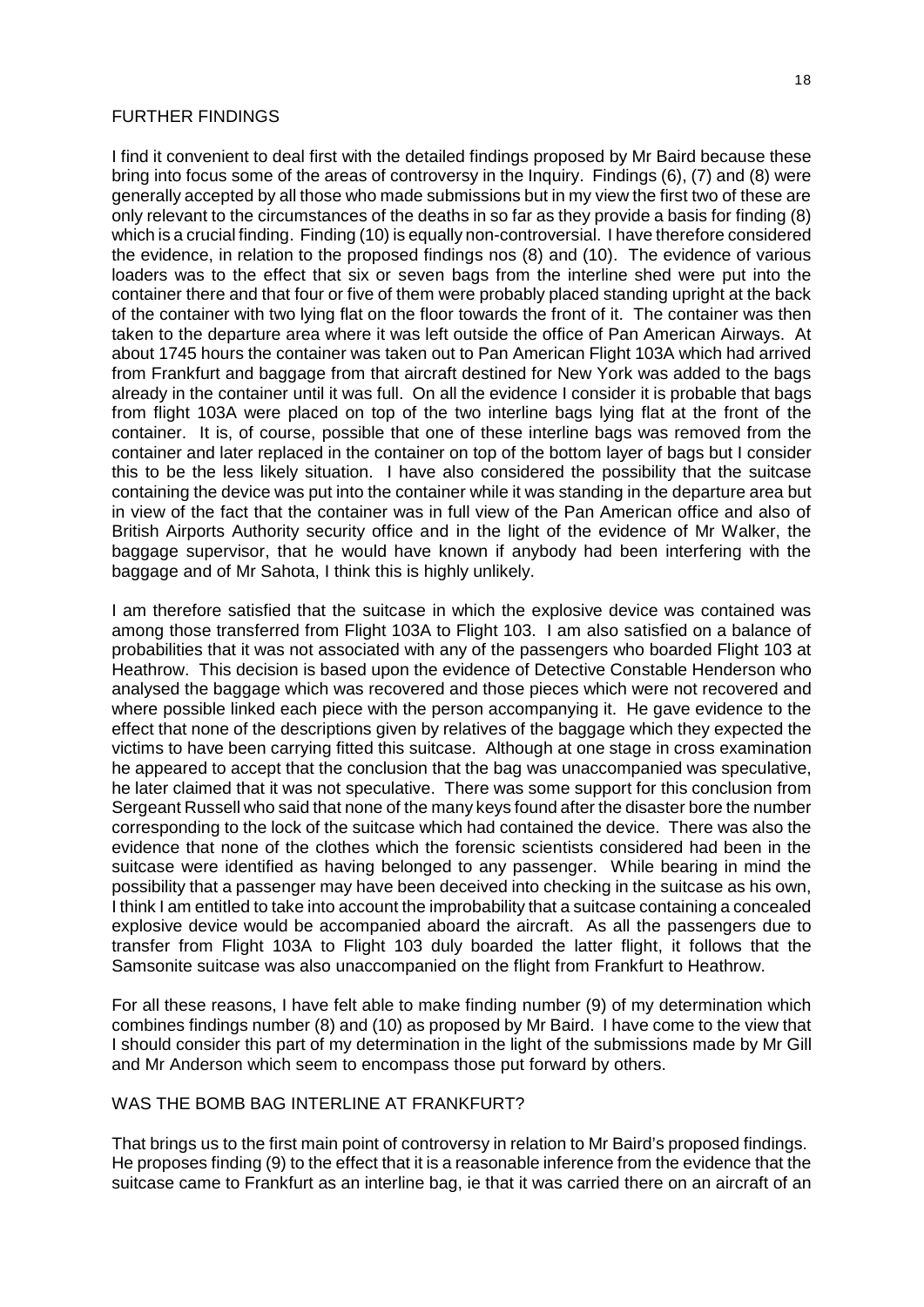#### FURTHER FINDINGS

I find it convenient to deal first with the detailed findings proposed by Mr Baird because these bring into focus some of the areas of controversy in the Inquiry. Findings (6), (7) and (8) were generally accepted by all those who made submissions but in my view the first two of these are only relevant to the circumstances of the deaths in so far as they provide a basis for finding (8) which is a crucial finding. Finding (10) is equally non-controversial. I have therefore considered the evidence, in relation to the proposed findings nos (8) and (10). The evidence of various loaders was to the effect that six or seven bags from the interline shed were put into the container there and that four or five of them were probably placed standing upright at the back of the container with two lying flat on the floor towards the front of it. The container was then taken to the departure area where it was left outside the office of Pan American Airways. At about 1745 hours the container was taken out to Pan American Flight 103A which had arrived from Frankfurt and baggage from that aircraft destined for New York was added to the bags already in the container until it was full. On all the evidence I consider it is probable that bags from flight 103A were placed on top of the two interline bags lying flat at the front of the container. It is, of course, possible that one of these interline bags was removed from the container and later replaced in the container on top of the bottom layer of bags but I consider this to be the less likely situation. I have also considered the possibility that the suitcase containing the device was put into the container while it was standing in the departure area but in view of the fact that the container was in full view of the Pan American office and also of British Airports Authority security office and in the light of the evidence of Mr Walker, the baggage supervisor, that he would have known if anybody had been interfering with the baggage and of Mr Sahota, I think this is highly unlikely.

I am therefore satisfied that the suitcase in which the explosive device was contained was among those transferred from Flight 103A to Flight 103. I am also satisfied on a balance of probabilities that it was not associated with any of the passengers who boarded Flight 103 at Heathrow. This decision is based upon the evidence of Detective Constable Henderson who analysed the baggage which was recovered and those pieces which were not recovered and where possible linked each piece with the person accompanying it. He gave evidence to the effect that none of the descriptions given by relatives of the baggage which they expected the victims to have been carrying fitted this suitcase. Although at one stage in cross examination he appeared to accept that the conclusion that the bag was unaccompanied was speculative, he later claimed that it was not speculative. There was some support for this conclusion from Sergeant Russell who said that none of the many keys found after the disaster bore the number corresponding to the lock of the suitcase which had contained the device. There was also the evidence that none of the clothes which the forensic scientists considered had been in the suitcase were identified as having belonged to any passenger. While bearing in mind the possibility that a passenger may have been deceived into checking in the suitcase as his own, I think I am entitled to take into account the improbability that a suitcase containing a concealed explosive device would be accompanied aboard the aircraft. As all the passengers due to transfer from Flight 103A to Flight 103 duly boarded the latter flight, it follows that the Samsonite suitcase was also unaccompanied on the flight from Frankfurt to Heathrow.

For all these reasons, I have felt able to make finding number (9) of my determination which combines findings number (8) and (10) as proposed by Mr Baird. I have come to the view that I should consider this part of my determination in the light of the submissions made by Mr Gill and Mr Anderson which seem to encompass those put forward by others.

#### WAS THE BOMB BAG INTERLINE AT FRANKFURT?

That brings us to the first main point of controversy in relation to Mr Baird's proposed findings. He proposes finding (9) to the effect that it is a reasonable inference from the evidence that the suitcase came to Frankfurt as an interline bag, ie that it was carried there on an aircraft of an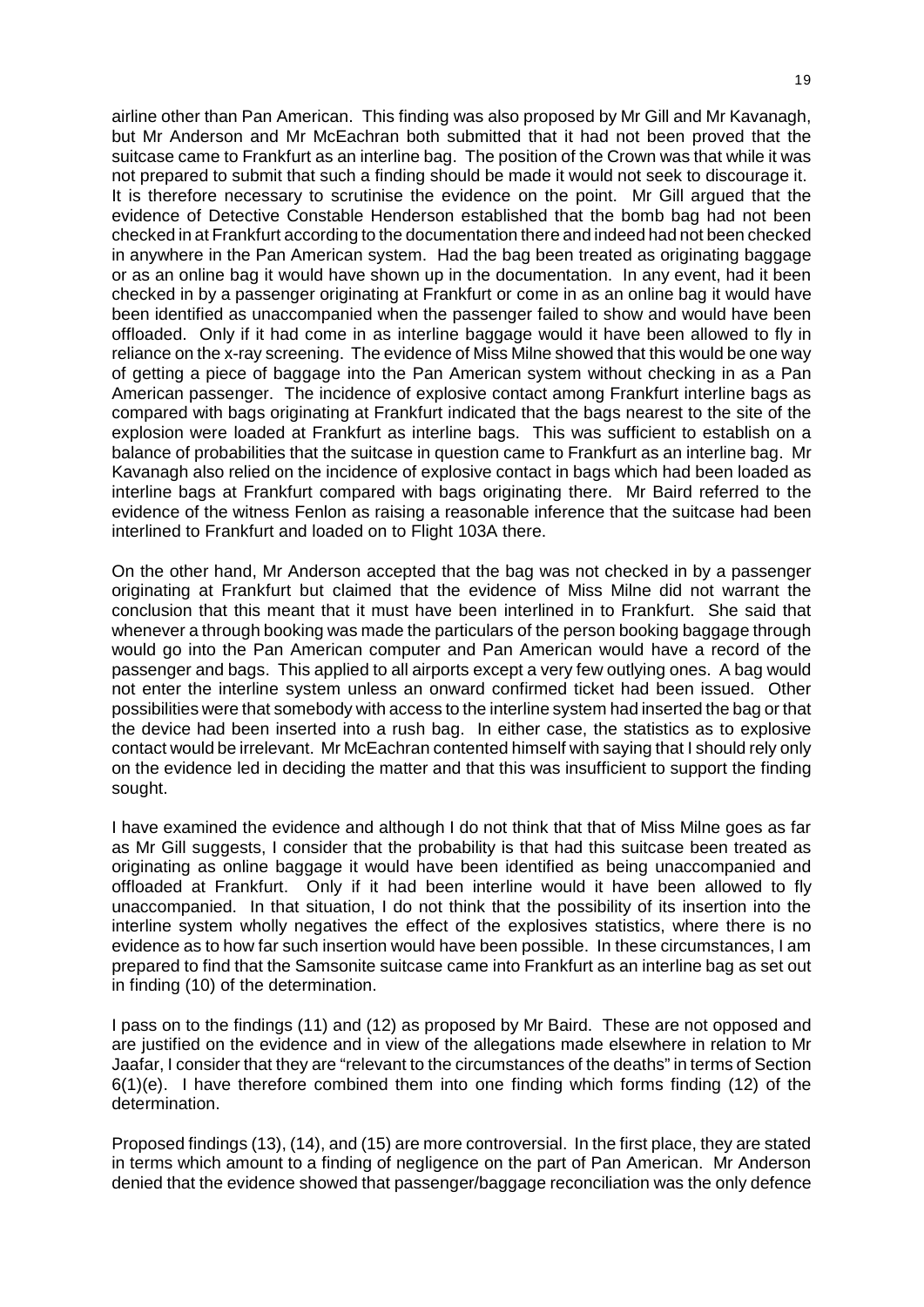airline other than Pan American. This finding was also proposed by Mr Gill and Mr Kavanagh, but Mr Anderson and Mr McEachran both submitted that it had not been proved that the suitcase came to Frankfurt as an interline bag. The position of the Crown was that while it was not prepared to submit that such a finding should be made it would not seek to discourage it. It is therefore necessary to scrutinise the evidence on the point. Mr Gill argued that the evidence of Detective Constable Henderson established that the bomb bag had not been checked in at Frankfurt according to the documentation there and indeed had not been checked in anywhere in the Pan American system. Had the bag been treated as originating baggage or as an online bag it would have shown up in the documentation. In any event, had it been checked in by a passenger originating at Frankfurt or come in as an online bag it would have been identified as unaccompanied when the passenger failed to show and would have been offloaded. Only if it had come in as interline baggage would it have been allowed to fly in reliance on the x-ray screening. The evidence of Miss Milne showed that this would be one way of getting a piece of baggage into the Pan American system without checking in as a Pan American passenger. The incidence of explosive contact among Frankfurt interline bags as compared with bags originating at Frankfurt indicated that the bags nearest to the site of the explosion were loaded at Frankfurt as interline bags. This was sufficient to establish on a balance of probabilities that the suitcase in question came to Frankfurt as an interline bag. Mr Kavanagh also relied on the incidence of explosive contact in bags which had been loaded as interline bags at Frankfurt compared with bags originating there. Mr Baird referred to the evidence of the witness Fenlon as raising a reasonable inference that the suitcase had been interlined to Frankfurt and loaded on to Flight 103A there.

On the other hand, Mr Anderson accepted that the bag was not checked in by a passenger originating at Frankfurt but claimed that the evidence of Miss Milne did not warrant the conclusion that this meant that it must have been interlined in to Frankfurt. She said that whenever a through booking was made the particulars of the person booking baggage through would go into the Pan American computer and Pan American would have a record of the passenger and bags. This applied to all airports except a very few outlying ones. A bag would not enter the interline system unless an onward confirmed ticket had been issued. Other possibilities were that somebody with access to the interline system had inserted the bag or that the device had been inserted into a rush bag. In either case, the statistics as to explosive contact would be irrelevant. Mr McEachran contented himself with saying that I should rely only on the evidence led in deciding the matter and that this was insufficient to support the finding sought.

I have examined the evidence and although I do not think that that of Miss Milne goes as far as Mr Gill suggests, I consider that the probability is that had this suitcase been treated as originating as online baggage it would have been identified as being unaccompanied and offloaded at Frankfurt. Only if it had been interline would it have been allowed to fly unaccompanied. In that situation, I do not think that the possibility of its insertion into the interline system wholly negatives the effect of the explosives statistics, where there is no evidence as to how far such insertion would have been possible. In these circumstances, I am prepared to find that the Samsonite suitcase came into Frankfurt as an interline bag as set out in finding (10) of the determination.

I pass on to the findings (11) and (12) as proposed by Mr Baird. These are not opposed and are justified on the evidence and in view of the allegations made elsewhere in relation to Mr Jaafar, I consider that they are "relevant to the circumstances of the deaths" in terms of Section  $6(1)(e)$ . I have therefore combined them into one finding which forms finding (12) of the determination.

Proposed findings (13), (14), and (15) are more controversial. In the first place, they are stated in terms which amount to a finding of negligence on the part of Pan American. Mr Anderson denied that the evidence showed that passenger/baggage reconciliation was the only defence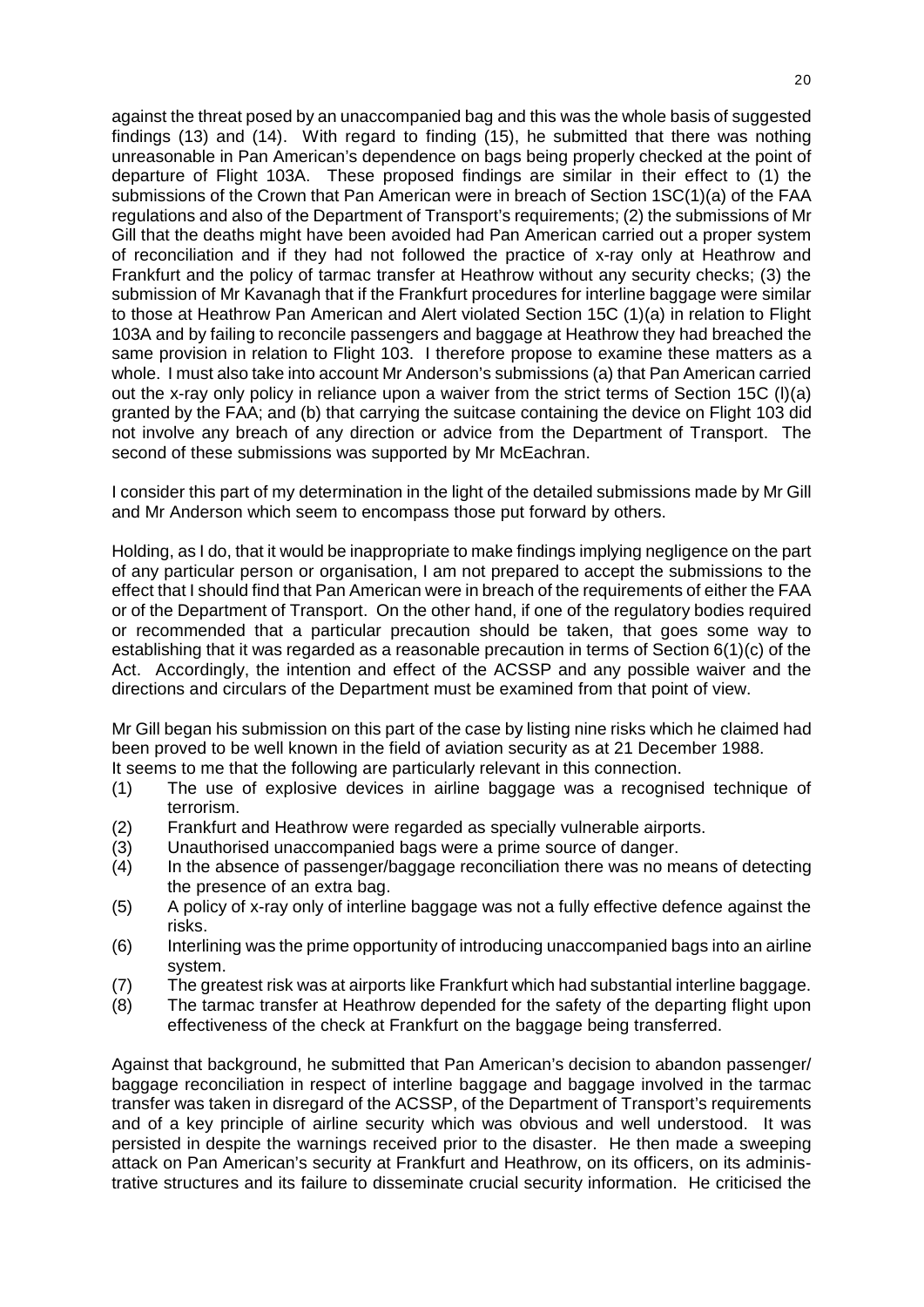against the threat posed by an unaccompanied bag and this was the whole basis of suggested findings (13) and (14). With regard to finding (15), he submitted that there was nothing unreasonable in Pan American's dependence on bags being properly checked at the point of departure of Flight 103A. These proposed findings are similar in their effect to (1) the submissions of the Crown that Pan American were in breach of Section 1SC(1)(a) of the FAA regulations and also of the Department of Transport's requirements; (2) the submissions of Mr Gill that the deaths might have been avoided had Pan American carried out a proper system of reconciliation and if they had not followed the practice of x-ray only at Heathrow and Frankfurt and the policy of tarmac transfer at Heathrow without any security checks; (3) the submission of Mr Kavanagh that if the Frankfurt procedures for interline baggage were similar to those at Heathrow Pan American and Alert violated Section 15C (1)(a) in relation to Flight 103A and by failing to reconcile passengers and baggage at Heathrow they had breached the same provision in relation to Flight 103. I therefore propose to examine these matters as a whole. I must also take into account Mr Anderson's submissions (a) that Pan American carried out the x-ray only policy in reliance upon a waiver from the strict terms of Section 15C (l)(a) granted by the FAA; and (b) that carrying the suitcase containing the device on Flight 103 did not involve any breach of any direction or advice from the Department of Transport. The second of these submissions was supported by Mr McEachran.

I consider this part of my determination in the light of the detailed submissions made by Mr Gill and Mr Anderson which seem to encompass those put forward by others.

Holding, as I do, that it would be inappropriate to make findings implying negligence on the part of any particular person or organisation, I am not prepared to accept the submissions to the effect that I should find that Pan American were in breach of the requirements of either the FAA or of the Department of Transport. On the other hand, if one of the regulatory bodies required or recommended that a particular precaution should be taken, that goes some way to establishing that it was regarded as a reasonable precaution in terms of Section 6(1)(c) of the Act. Accordingly, the intention and effect of the ACSSP and any possible waiver and the directions and circulars of the Department must be examined from that point of view.

Mr Gill began his submission on this part of the case by listing nine risks which he claimed had been proved to be well known in the field of aviation security as at 21 December 1988.

- It seems to me that the following are particularly relevant in this connection.
- (1) The use of explosive devices in airline baggage was a recognised technique of terrorism.
- (2) Frankfurt and Heathrow were regarded as specially vulnerable airports.
- (3) Unauthorised unaccompanied bags were a prime source of danger.
- (4) In the absence of passenger/baggage reconciliation there was no means of detecting the presence of an extra bag.
- (5) A policy of x-ray only of interline baggage was not a fully effective defence against the risks.
- (6) Interlining was the prime opportunity of introducing unaccompanied bags into an airline system.
- (7) The greatest risk was at airports like Frankfurt which had substantial interline baggage.
- (8) The tarmac transfer at Heathrow depended for the safety of the departing flight upon effectiveness of the check at Frankfurt on the baggage being transferred.

Against that background, he submitted that Pan American's decision to abandon passenger/ baggage reconciliation in respect of interline baggage and baggage involved in the tarmac transfer was taken in disregard of the ACSSP, of the Department of Transport's requirements and of a key principle of airline security which was obvious and well understood. It was persisted in despite the warnings received prior to the disaster. He then made a sweeping attack on Pan American's security at Frankfurt and Heathrow, on its officers, on its administrative structures and its failure to disseminate crucial security information. He criticised the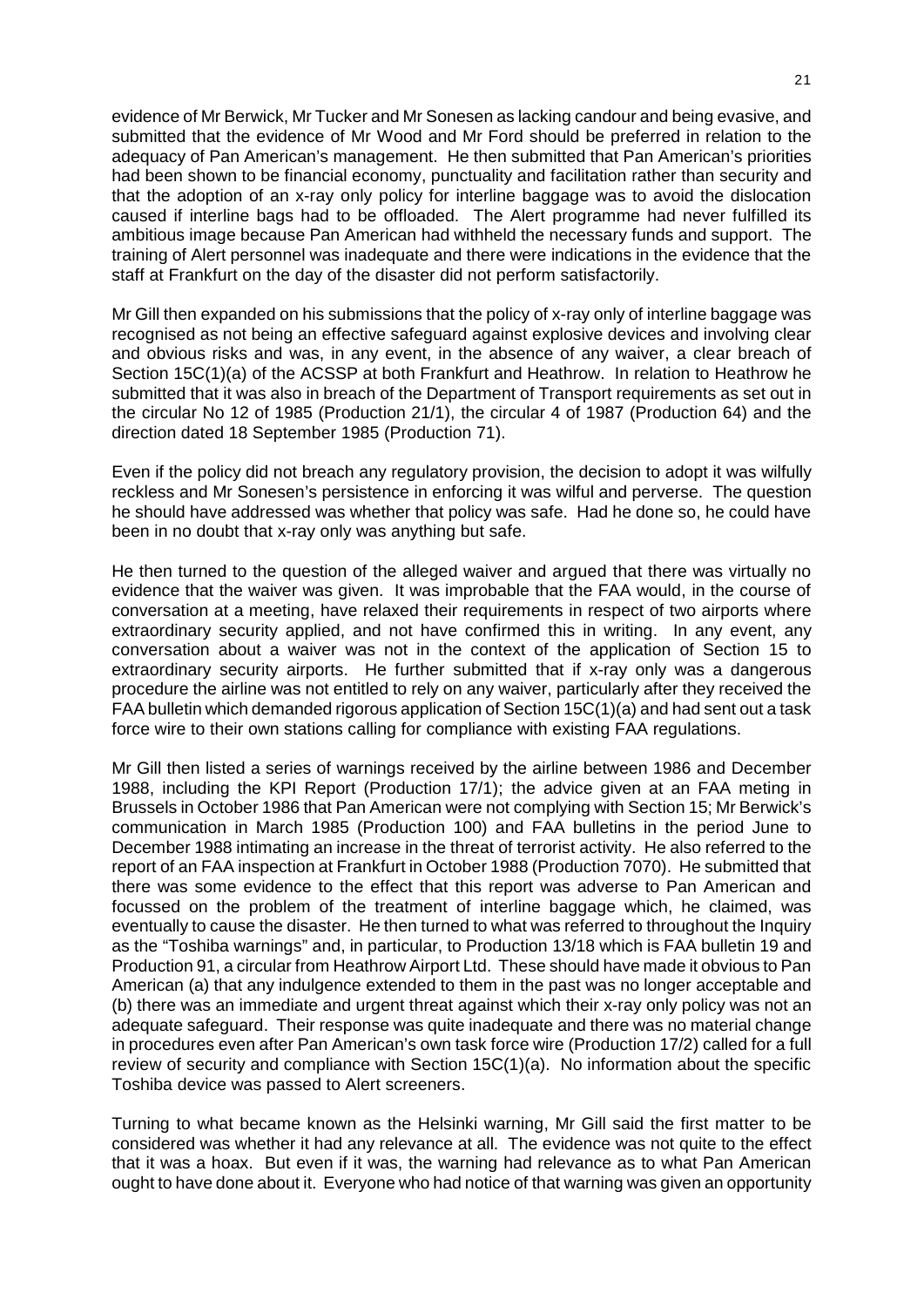evidence of Mr Berwick, Mr Tucker and Mr Sonesen as lacking candour and being evasive, and submitted that the evidence of Mr Wood and Mr Ford should be preferred in relation to the adequacy of Pan American's management. He then submitted that Pan American's priorities had been shown to be financial economy, punctuality and facilitation rather than security and that the adoption of an x-ray only policy for interline baggage was to avoid the dislocation caused if interline bags had to be offloaded. The Alert programme had never fulfilled its ambitious image because Pan American had withheld the necessary funds and support. The training of Alert personnel was inadequate and there were indications in the evidence that the staff at Frankfurt on the day of the disaster did not perform satisfactorily.

Mr Gill then expanded on his submissions that the policy of x-ray only of interline baggage was recognised as not being an effective safeguard against explosive devices and involving clear and obvious risks and was, in any event, in the absence of any waiver, a clear breach of Section 15C(1)(a) of the ACSSP at both Frankfurt and Heathrow. In relation to Heathrow he submitted that it was also in breach of the Department of Transport requirements as set out in the circular No 12 of 1985 (Production 21/1), the circular 4 of 1987 (Production 64) and the direction dated 18 September 1985 (Production 71).

Even if the policy did not breach any regulatory provision, the decision to adopt it was wilfully reckless and Mr Sonesen's persistence in enforcing it was wilful and perverse. The question he should have addressed was whether that policy was safe. Had he done so, he could have been in no doubt that x-ray only was anything but safe.

He then turned to the question of the alleged waiver and argued that there was virtually no evidence that the waiver was given. It was improbable that the FAA would, in the course of conversation at a meeting, have relaxed their requirements in respect of two airports where extraordinary security applied, and not have confirmed this in writing. In any event, any conversation about a waiver was not in the context of the application of Section 15 to extraordinary security airports. He further submitted that if x-ray only was a dangerous procedure the airline was not entitled to rely on any waiver, particularly after they received the FAA bulletin which demanded rigorous application of Section 15C(1)(a) and had sent out a task force wire to their own stations calling for compliance with existing FAA regulations.

Mr Gill then listed a series of warnings received by the airline between 1986 and December 1988, including the KPI Report (Production 17/1); the advice given at an FAA meting in Brussels in October 1986 that Pan American were not complying with Section 15; Mr Berwick's communication in March 1985 (Production 100) and FAA bulletins in the period June to December 1988 intimating an increase in the threat of terrorist activity. He also referred to the report of an FAA inspection at Frankfurt in October 1988 (Production 7070). He submitted that there was some evidence to the effect that this report was adverse to Pan American and focussed on the problem of the treatment of interline baggage which, he claimed, was eventually to cause the disaster. He then turned to what was referred to throughout the Inquiry as the "Toshiba warnings" and, in particular, to Production 13/18 which is FAA bulletin 19 and Production 91, a circular from Heathrow Airport Ltd. These should have made it obvious to Pan American (a) that any indulgence extended to them in the past was no longer acceptable and (b) there was an immediate and urgent threat against which their x-ray only policy was not an adequate safeguard. Their response was quite inadequate and there was no material change in procedures even after Pan American's own task force wire (Production 17/2) called for a full review of security and compliance with Section 15C(1)(a). No information about the specific Toshiba device was passed to Alert screeners.

Turning to what became known as the Helsinki warning, Mr Gill said the first matter to be considered was whether it had any relevance at all. The evidence was not quite to the effect that it was a hoax. But even if it was, the warning had relevance as to what Pan American ought to have done about it. Everyone who had notice of that warning was given an opportunity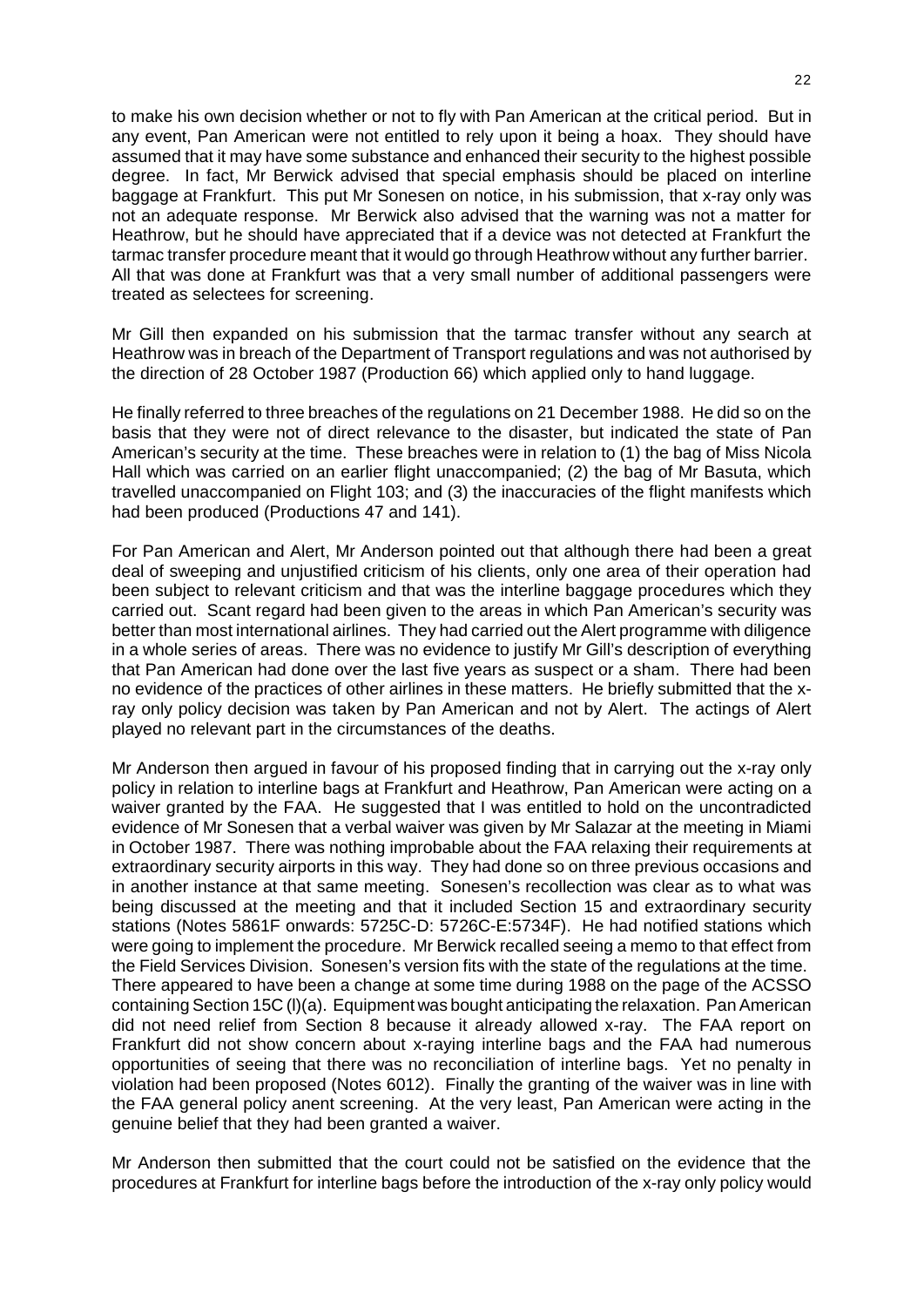to make his own decision whether or not to fly with Pan American at the critical period. But in any event, Pan American were not entitled to rely upon it being a hoax. They should have assumed that it may have some substance and enhanced their security to the highest possible degree. In fact, Mr Berwick advised that special emphasis should be placed on interline baggage at Frankfurt. This put Mr Sonesen on notice, in his submission, that x-ray only was not an adequate response. Mr Berwick also advised that the warning was not a matter for Heathrow, but he should have appreciated that if a device was not detected at Frankfurt the tarmac transfer procedure meant that it would go through Heathrow without any further barrier. All that was done at Frankfurt was that a very small number of additional passengers were treated as selectees for screening.

Mr Gill then expanded on his submission that the tarmac transfer without any search at Heathrow was in breach of the Department of Transport regulations and was not authorised by the direction of 28 October 1987 (Production 66) which applied only to hand luggage.

He finally referred to three breaches of the regulations on 21 December 1988. He did so on the basis that they were not of direct relevance to the disaster, but indicated the state of Pan American's security at the time. These breaches were in relation to (1) the bag of Miss Nicola Hall which was carried on an earlier flight unaccompanied; (2) the bag of Mr Basuta, which travelled unaccompanied on Flight 103; and (3) the inaccuracies of the flight manifests which had been produced (Productions 47 and 141).

For Pan American and Alert, Mr Anderson pointed out that although there had been a great deal of sweeping and unjustified criticism of his clients, only one area of their operation had been subject to relevant criticism and that was the interline baggage procedures which they carried out. Scant regard had been given to the areas in which Pan American's security was better than most international airlines. They had carried out the Alert programme with diligence in a whole series of areas. There was no evidence to justify Mr Gill's description of everything that Pan American had done over the last five years as suspect or a sham. There had been no evidence of the practices of other airlines in these matters. He briefly submitted that the xray only policy decision was taken by Pan American and not by Alert. The actings of Alert played no relevant part in the circumstances of the deaths.

Mr Anderson then argued in favour of his proposed finding that in carrying out the x-ray only policy in relation to interline bags at Frankfurt and Heathrow, Pan American were acting on a waiver granted by the FAA. He suggested that I was entitled to hold on the uncontradicted evidence of Mr Sonesen that a verbal waiver was given by Mr Salazar at the meeting in Miami in October 1987. There was nothing improbable about the FAA relaxing their requirements at extraordinary security airports in this way. They had done so on three previous occasions and in another instance at that same meeting. Sonesen's recollection was clear as to what was being discussed at the meeting and that it included Section 15 and extraordinary security stations (Notes 5861F onwards: 5725C-D: 5726C-E:5734F). He had notified stations which were going to implement the procedure. Mr Berwick recalled seeing a memo to that effect from the Field Services Division. Sonesen's version fits with the state of the regulations at the time. There appeared to have been a change at some time during 1988 on the page of the ACSSO containing Section 15C (l)(a). Equipment was bought anticipating the relaxation. Pan American did not need relief from Section 8 because it already allowed x-ray. The FAA report on Frankfurt did not show concern about x-raying interline bags and the FAA had numerous opportunities of seeing that there was no reconciliation of interline bags. Yet no penalty in violation had been proposed (Notes 6012). Finally the granting of the waiver was in line with the FAA general policy anent screening. At the very least, Pan American were acting in the genuine belief that they had been granted a waiver.

Mr Anderson then submitted that the court could not be satisfied on the evidence that the procedures at Frankfurt for interline bags before the introduction of the x-ray only policy would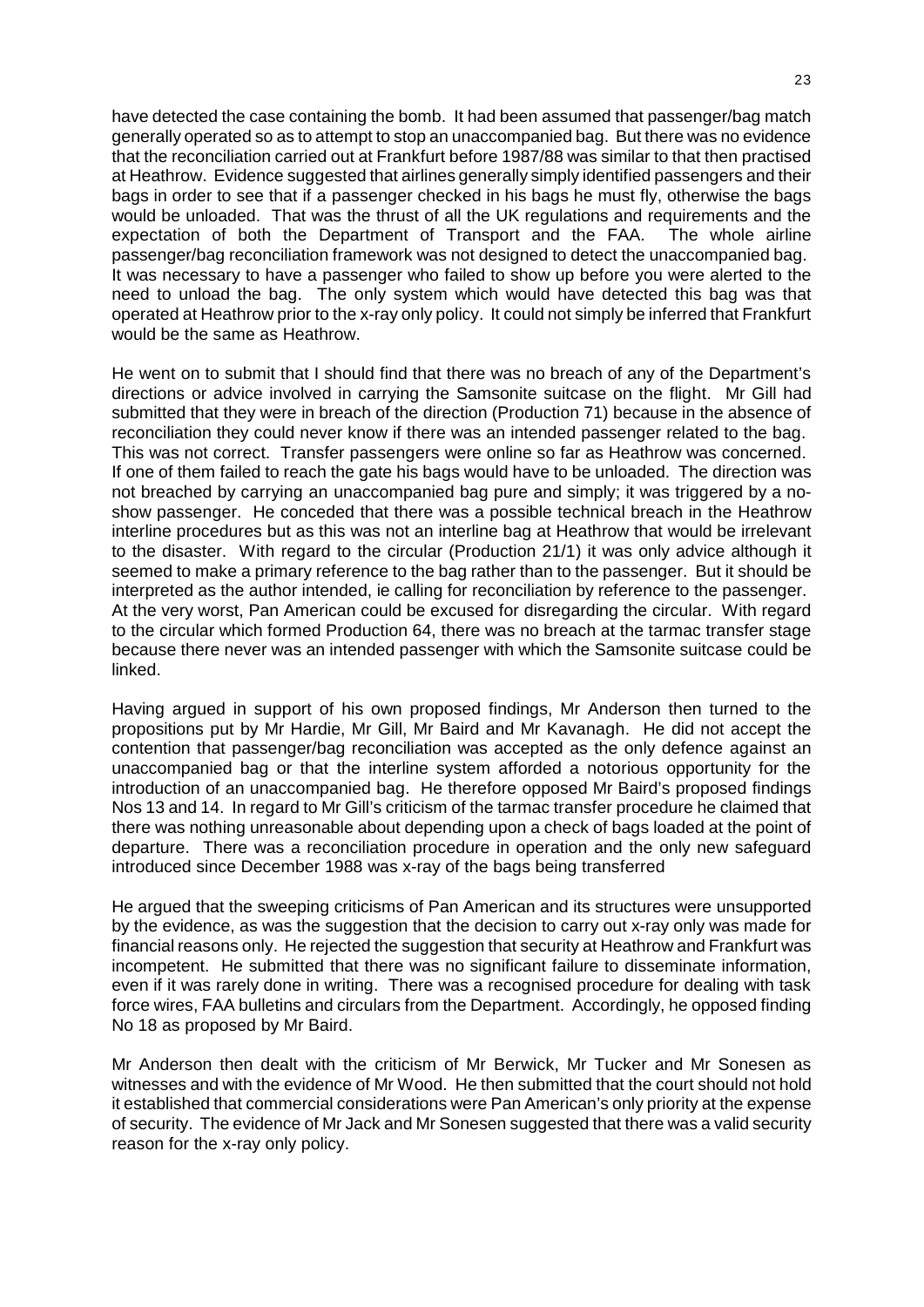have detected the case containing the bomb. It had been assumed that passenger/bag match generally operated so as to attempt to stop an unaccompanied bag. But there was no evidence that the reconciliation carried out at Frankfurt before 1987/88 was similar to that then practised at Heathrow. Evidence suggested that airlines generally simply identified passengers and their bags in order to see that if a passenger checked in his bags he must fly, otherwise the bags would be unloaded. That was the thrust of all the UK regulations and requirements and the expectation of both the Department of Transport and the FAA. The whole airline passenger/bag reconciliation framework was not designed to detect the unaccompanied bag. It was necessary to have a passenger who failed to show up before you were alerted to the need to unload the bag. The only system which would have detected this bag was that operated at Heathrow prior to the x-ray only policy. It could not simply be inferred that Frankfurt would be the same as Heathrow.

He went on to submit that I should find that there was no breach of any of the Department's directions or advice involved in carrying the Samsonite suitcase on the flight. Mr Gill had submitted that they were in breach of the direction (Production 71) because in the absence of reconciliation they could never know if there was an intended passenger related to the bag. This was not correct. Transfer passengers were online so far as Heathrow was concerned. If one of them failed to reach the gate his bags would have to be unloaded. The direction was not breached by carrying an unaccompanied bag pure and simply; it was triggered by a noshow passenger. He conceded that there was a possible technical breach in the Heathrow interline procedures but as this was not an interline bag at Heathrow that would be irrelevant to the disaster. With regard to the circular (Production 21/1) it was only advice although it seemed to make a primary reference to the bag rather than to the passenger. But it should be interpreted as the author intended, ie calling for reconciliation by reference to the passenger. At the very worst, Pan American could be excused for disregarding the circular. With regard to the circular which formed Production 64, there was no breach at the tarmac transfer stage because there never was an intended passenger with which the Samsonite suitcase could be linked.

Having argued in support of his own proposed findings, Mr Anderson then turned to the propositions put by Mr Hardie, Mr Gill, Mr Baird and Mr Kavanagh. He did not accept the contention that passenger/bag reconciliation was accepted as the only defence against an unaccompanied bag or that the interline system afforded a notorious opportunity for the introduction of an unaccompanied bag. He therefore opposed Mr Baird's proposed findings Nos 13 and 14. In regard to Mr Gill's criticism of the tarmac transfer procedure he claimed that there was nothing unreasonable about depending upon a check of bags loaded at the point of departure. There was a reconciliation procedure in operation and the only new safeguard introduced since December 1988 was x-ray of the bags being transferred

He argued that the sweeping criticisms of Pan American and its structures were unsupported by the evidence, as was the suggestion that the decision to carry out x-ray only was made for financial reasons only. He rejected the suggestion that security at Heathrow and Frankfurt was incompetent. He submitted that there was no significant failure to disseminate information, even if it was rarely done in writing. There was a recognised procedure for dealing with task force wires, FAA bulletins and circulars from the Department. Accordingly, he opposed finding No 18 as proposed by Mr Baird.

Mr Anderson then dealt with the criticism of Mr Berwick, Mr Tucker and Mr Sonesen as witnesses and with the evidence of Mr Wood. He then submitted that the court should not hold it established that commercial considerations were Pan American's only priority at the expense of security. The evidence of Mr Jack and Mr Sonesen suggested that there was a valid security reason for the x-ray only policy.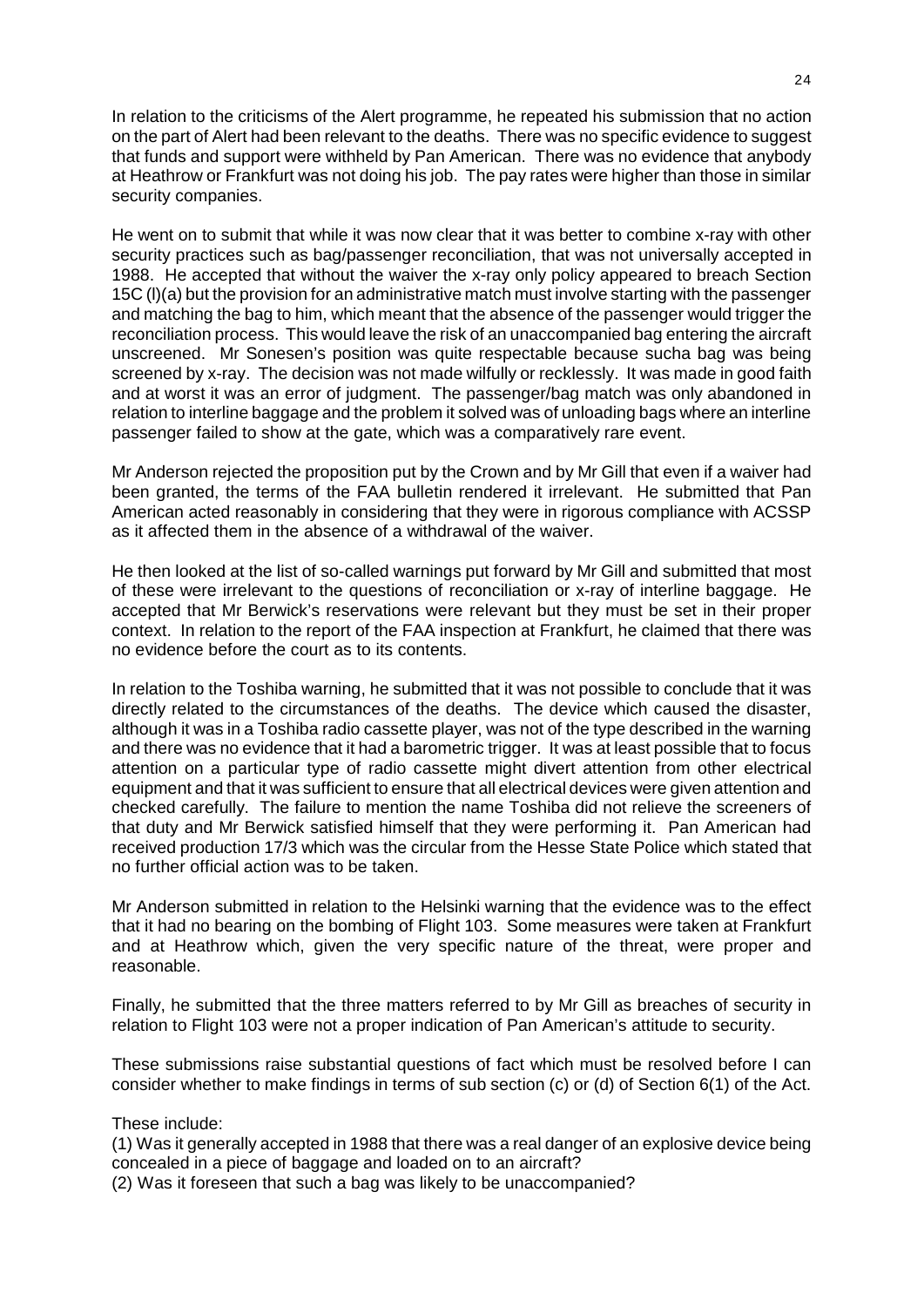In relation to the criticisms of the Alert programme, he repeated his submission that no action on the part of Alert had been relevant to the deaths. There was no specific evidence to suggest that funds and support were withheld by Pan American. There was no evidence that anybody at Heathrow or Frankfurt was not doing his job. The pay rates were higher than those in similar security companies.

He went on to submit that while it was now clear that it was better to combine x-ray with other security practices such as bag/passenger reconciliation, that was not universally accepted in 1988. He accepted that without the waiver the x-ray only policy appeared to breach Section 15C (l)(a) but the provision for an administrative match must involve starting with the passenger and matching the bag to him, which meant that the absence of the passenger would trigger the reconciliation process. This would leave the risk of an unaccompanied bag entering the aircraft unscreened. Mr Sonesen's position was quite respectable because sucha bag was being screened by x-ray. The decision was not made wilfully or recklessly. It was made in good faith and at worst it was an error of judgment. The passenger/bag match was only abandoned in relation to interline baggage and the problem it solved was of unloading bags where an interline passenger failed to show at the gate, which was a comparatively rare event.

Mr Anderson rejected the proposition put by the Crown and by Mr Gill that even if a waiver had been granted, the terms of the FAA bulletin rendered it irrelevant. He submitted that Pan American acted reasonably in considering that they were in rigorous compliance with ACSSP as it affected them in the absence of a withdrawal of the waiver.

He then looked at the list of so-called warnings put forward by Mr Gill and submitted that most of these were irrelevant to the questions of reconciliation or x-ray of interline baggage. He accepted that Mr Berwick's reservations were relevant but they must be set in their proper context. In relation to the report of the FAA inspection at Frankfurt, he claimed that there was no evidence before the court as to its contents.

In relation to the Toshiba warning, he submitted that it was not possible to conclude that it was directly related to the circumstances of the deaths. The device which caused the disaster, although it was in a Toshiba radio cassette player, was not of the type described in the warning and there was no evidence that it had a barometric trigger. It was at least possible that to focus attention on a particular type of radio cassette might divert attention from other electrical equipment and that it was sufficient to ensure that all electrical devices were given attention and checked carefully. The failure to mention the name Toshiba did not relieve the screeners of that duty and Mr Berwick satisfied himself that they were performing it. Pan American had received production 17/3 which was the circular from the Hesse State Police which stated that no further official action was to be taken.

Mr Anderson submitted in relation to the Helsinki warning that the evidence was to the effect that it had no bearing on the bombing of Flight 103. Some measures were taken at Frankfurt and at Heathrow which, given the very specific nature of the threat, were proper and reasonable.

Finally, he submitted that the three matters referred to by Mr Gill as breaches of security in relation to Flight 103 were not a proper indication of Pan American's attitude to security.

These submissions raise substantial questions of fact which must be resolved before I can consider whether to make findings in terms of sub section (c) or (d) of Section 6(1) of the Act.

These include:

(1) Was it generally accepted in 1988 that there was a real danger of an explosive device being concealed in a piece of baggage and loaded on to an aircraft?

(2) Was it foreseen that such a bag was likely to be unaccompanied?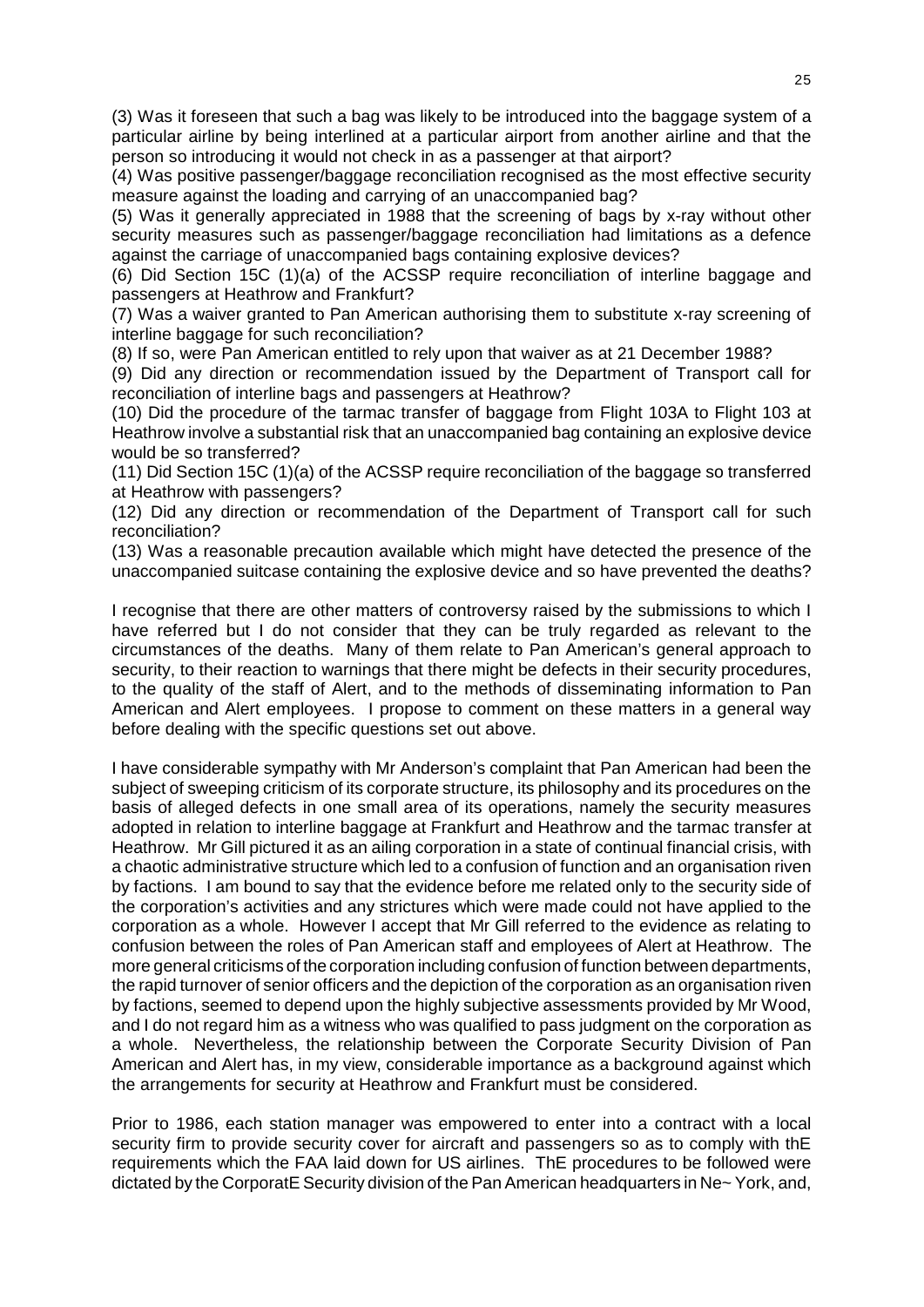(3) Was it foreseen that such a bag was likely to be introduced into the baggage system of a particular airline by being interlined at a particular airport from another airline and that the person so introducing it would not check in as a passenger at that airport?

(4) Was positive passenger/baggage reconciliation recognised as the most effective security measure against the loading and carrying of an unaccompanied bag?

(5) Was it generally appreciated in 1988 that the screening of bags by x-ray without other security measures such as passenger/baggage reconciliation had limitations as a defence against the carriage of unaccompanied bags containing explosive devices?

(6) Did Section 15C (1)(a) of the ACSSP require reconciliation of interline baggage and passengers at Heathrow and Frankfurt?

(7) Was a waiver granted to Pan American authorising them to substitute x-ray screening of interline baggage for such reconciliation?

(8) If so, were Pan American entitled to rely upon that waiver as at 21 December 1988?

(9) Did any direction or recommendation issued by the Department of Transport call for reconciliation of interline bags and passengers at Heathrow?

(10) Did the procedure of the tarmac transfer of baggage from Flight 103A to Flight 103 at Heathrow involve a substantial risk that an unaccompanied bag containing an explosive device would be so transferred?

(11) Did Section 15C (1)(a) of the ACSSP require reconciliation of the baggage so transferred at Heathrow with passengers?

(12) Did any direction or recommendation of the Department of Transport call for such reconciliation?

(13) Was a reasonable precaution available which might have detected the presence of the unaccompanied suitcase containing the explosive device and so have prevented the deaths?

I recognise that there are other matters of controversy raised by the submissions to which I have referred but I do not consider that they can be truly regarded as relevant to the circumstances of the deaths. Many of them relate to Pan American's general approach to security, to their reaction to warnings that there might be defects in their security procedures, to the quality of the staff of Alert, and to the methods of disseminating information to Pan American and Alert employees. I propose to comment on these matters in a general way before dealing with the specific questions set out above.

I have considerable sympathy with Mr Anderson's complaint that Pan American had been the subject of sweeping criticism of its corporate structure, its philosophy and its procedures on the basis of alleged defects in one small area of its operations, namely the security measures adopted in relation to interline baggage at Frankfurt and Heathrow and the tarmac transfer at Heathrow. Mr Gill pictured it as an ailing corporation in a state of continual financial crisis, with a chaotic administrative structure which led to a confusion of function and an organisation riven by factions. I am bound to say that the evidence before me related only to the security side of the corporation's activities and any strictures which were made could not have applied to the corporation as a whole. However I accept that Mr Gill referred to the evidence as relating to confusion between the roles of Pan American staff and employees of Alert at Heathrow. The more general criticisms of the corporation including confusion of function between departments, the rapid turnover of senior officers and the depiction of the corporation as an organisation riven by factions, seemed to depend upon the highly subjective assessments provided by Mr Wood, and I do not regard him as a witness who was qualified to pass judgment on the corporation as a whole. Nevertheless, the relationship between the Corporate Security Division of Pan American and Alert has, in my view, considerable importance as a background against which the arrangements for security at Heathrow and Frankfurt must be considered.

Prior to 1986, each station manager was empowered to enter into a contract with a local security firm to provide security cover for aircraft and passengers so as to comply with thE requirements which the FAA laid down for US airlines. ThE procedures to be followed were dictated by the CorporatE Security division of the Pan American headquarters in Ne~ York, and,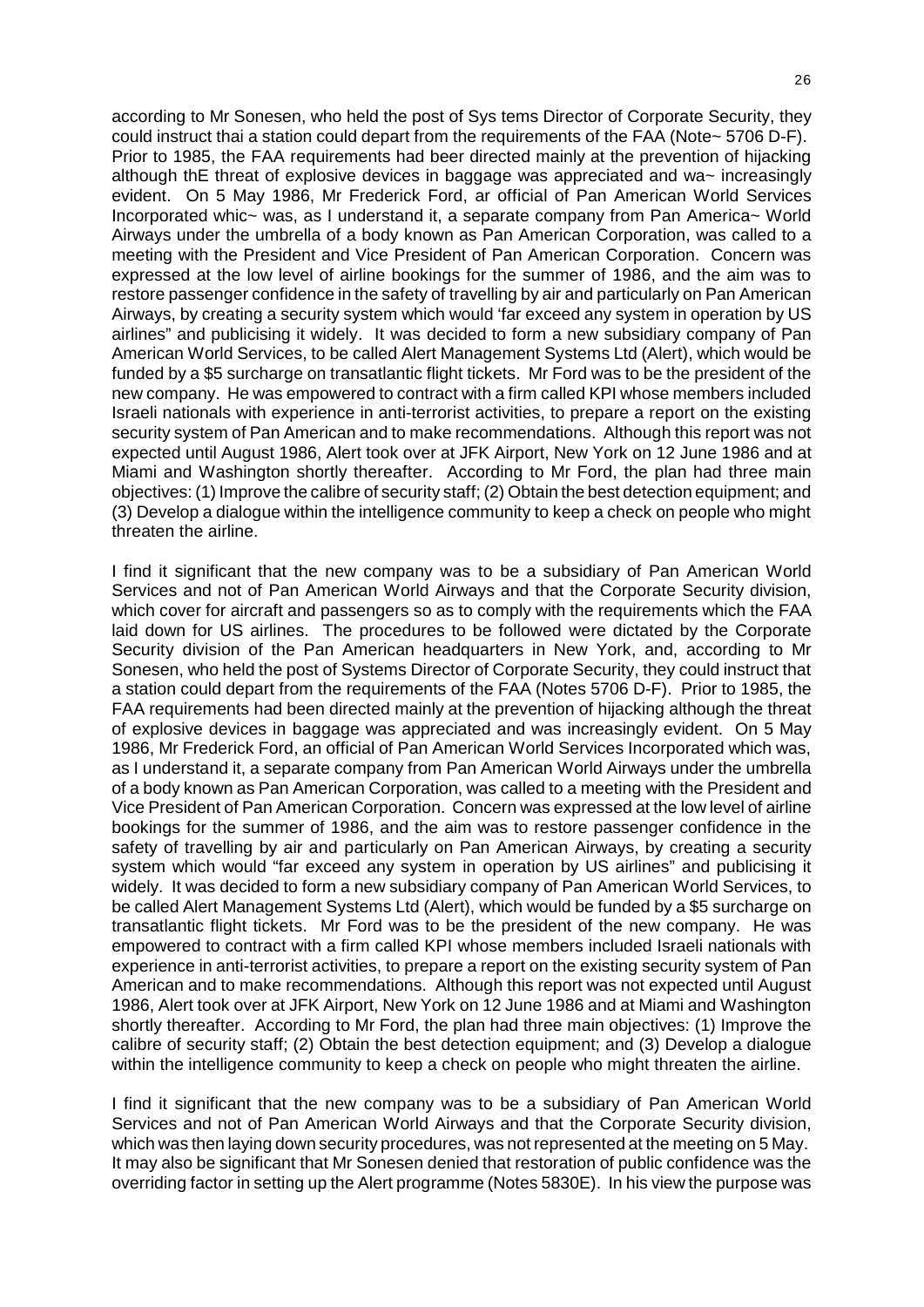according to Mr Sonesen, who held the post of Sys tems Director of Corporate Security, they could instruct thai a station could depart from the requirements of the FAA (Note~ 5706 D-F). Prior to 1985, the FAA requirements had beer directed mainly at the prevention of hijacking although thE threat of explosive devices in baggage was appreciated and wa~ increasingly evident. On 5 May 1986, Mr Frederick Ford, ar official of Pan American World Services Incorporated whic~ was, as I understand it, a separate company from Pan America~ World Airways under the umbrella of a body known as Pan American Corporation, was called to a meeting with the President and Vice President of Pan American Corporation. Concern was expressed at the low level of airline bookings for the summer of 1986, and the aim was to restore passenger confidence in the safety of travelling by air and particularly on Pan American Airways, by creating a security system which would 'far exceed any system in operation by US airlines" and publicising it widely. It was decided to form a new subsidiary company of Pan American World Services, to be called Alert Management Systems Ltd (Alert), which would be funded by a \$5 surcharge on transatlantic flight tickets. Mr Ford was to be the president of the new company. He was empowered to contract with a firm called KPI whose members included Israeli nationals with experience in anti-terrorist activities, to prepare a report on the existing security system of Pan American and to make recommendations. Although this report was not expected until August 1986, Alert took over at JFK Airport, New York on 12 June 1986 and at Miami and Washington shortly thereafter. According to Mr Ford, the plan had three main objectives: (1) Improve the calibre of security staff; (2) Obtain the best detection equipment; and (3) Develop a dialogue within the intelligence community to keep a check on people who might threaten the airline.

I find it significant that the new company was to be a subsidiary of Pan American World Services and not of Pan American World Airways and that the Corporate Security division, which cover for aircraft and passengers so as to comply with the requirements which the FAA laid down for US airlines. The procedures to be followed were dictated by the Corporate Security division of the Pan American headquarters in New York, and, according to Mr Sonesen, who held the post of Systems Director of Corporate Security, they could instruct that a station could depart from the requirements of the FAA (Notes 5706 D-F). Prior to 1985, the FAA requirements had been directed mainly at the prevention of hijacking although the threat of explosive devices in baggage was appreciated and was increasingly evident. On 5 May 1986, Mr Frederick Ford, an official of Pan American World Services Incorporated which was, as I understand it, a separate company from Pan American World Airways under the umbrella of a body known as Pan American Corporation, was called to a meeting with the President and Vice President of Pan American Corporation. Concern was expressed at the low level of airline bookings for the summer of 1986, and the aim was to restore passenger confidence in the safety of travelling by air and particularly on Pan American Airways, by creating a security system which would "far exceed any system in operation by US airlines" and publicising it widely. It was decided to form a new subsidiary company of Pan American World Services, to be called Alert Management Systems Ltd (Alert), which would be funded by a \$5 surcharge on transatlantic flight tickets. Mr Ford was to be the president of the new company. He was empowered to contract with a firm called KPI whose members included Israeli nationals with experience in anti-terrorist activities, to prepare a report on the existing security system of Pan American and to make recommendations. Although this report was not expected until August 1986, Alert took over at JFK Airport, New York on 12 June 1986 and at Miami and Washington shortly thereafter. According to Mr Ford, the plan had three main objectives: (1) Improve the calibre of security staff; (2) Obtain the best detection equipment; and (3) Develop a dialogue within the intelligence community to keep a check on people who might threaten the airline.

I find it significant that the new company was to be a subsidiary of Pan American World Services and not of Pan American World Airways and that the Corporate Security division, which was then laying down security procedures, was not represented at the meeting on 5 May. It may also be significant that Mr Sonesen denied that restoration of public confidence was the overriding factor in setting up the Alert programme (Notes 5830E). In his view the purpose was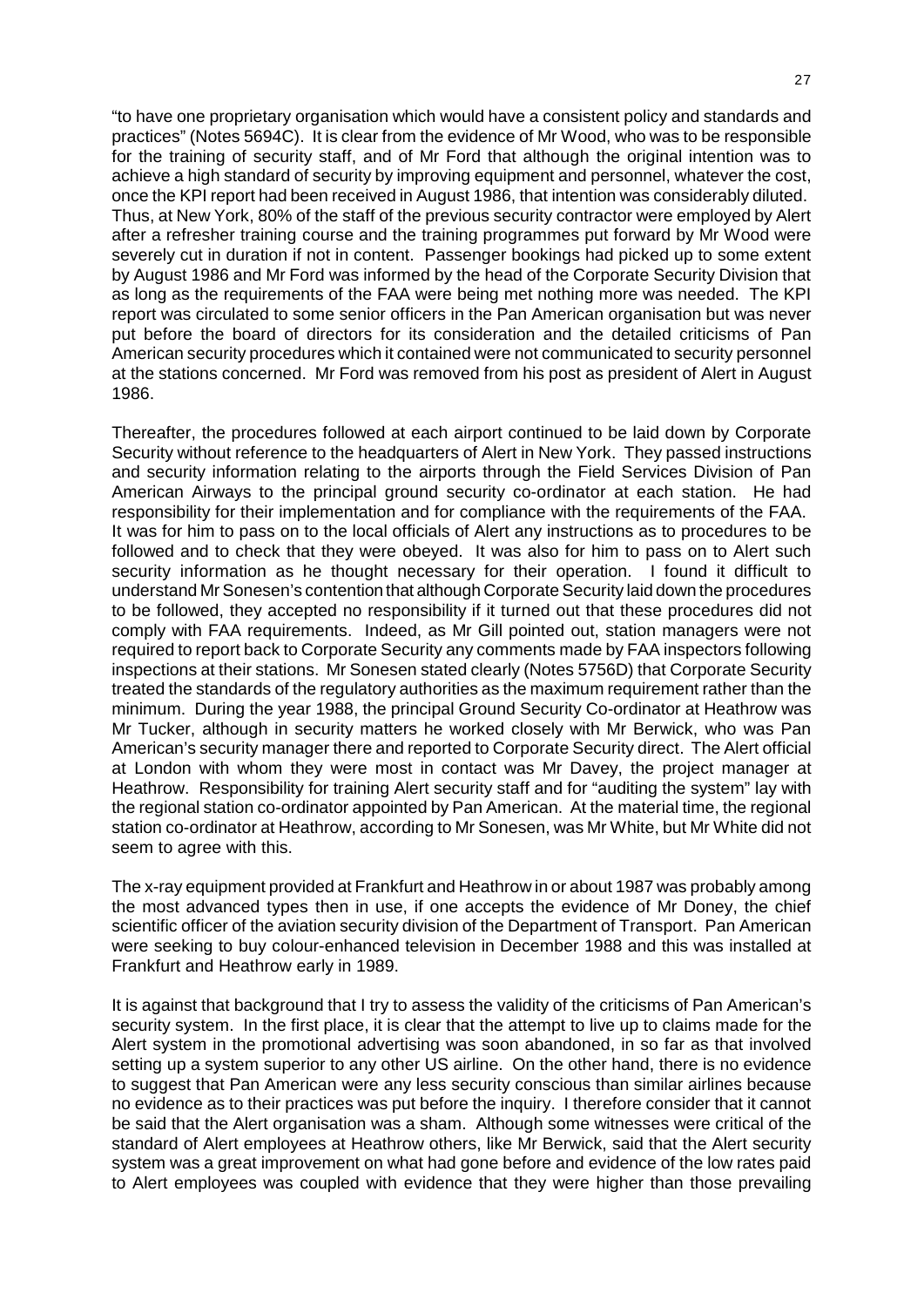"to have one proprietary organisation which would have a consistent policy and standards and practices" (Notes 5694C). It is clear from the evidence of Mr Wood, who was to be responsible for the training of security staff, and of Mr Ford that although the original intention was to achieve a high standard of security by improving equipment and personnel, whatever the cost, once the KPI report had been received in August 1986, that intention was considerably diluted. Thus, at New York, 80% of the staff of the previous security contractor were employed by Alert after a refresher training course and the training programmes put forward by Mr Wood were severely cut in duration if not in content. Passenger bookings had picked up to some extent by August 1986 and Mr Ford was informed by the head of the Corporate Security Division that as long as the requirements of the FAA were being met nothing more was needed. The KPI report was circulated to some senior officers in the Pan American organisation but was never put before the board of directors for its consideration and the detailed criticisms of Pan American security procedures which it contained were not communicated to security personnel at the stations concerned. Mr Ford was removed from his post as president of Alert in August 1986.

Thereafter, the procedures followed at each airport continued to be laid down by Corporate Security without reference to the headquarters of Alert in New York. They passed instructions and security information relating to the airports through the Field Services Division of Pan American Airways to the principal ground security co-ordinator at each station. He had responsibility for their implementation and for compliance with the requirements of the FAA. It was for him to pass on to the local officials of Alert any instructions as to procedures to be followed and to check that they were obeyed. It was also for him to pass on to Alert such security information as he thought necessary for their operation. I found it difficult to understand Mr Sonesen's contention that although Corporate Security laid down the procedures to be followed, they accepted no responsibility if it turned out that these procedures did not comply with FAA requirements. Indeed, as Mr Gill pointed out, station managers were not required to report back to Corporate Security any comments made by FAA inspectors following inspections at their stations. Mr Sonesen stated clearly (Notes 5756D) that Corporate Security treated the standards of the regulatory authorities as the maximum requirement rather than the minimum. During the year 1988, the principal Ground Security Co-ordinator at Heathrow was Mr Tucker, although in security matters he worked closely with Mr Berwick, who was Pan American's security manager there and reported to Corporate Security direct. The Alert official at London with whom they were most in contact was Mr Davey, the project manager at Heathrow. Responsibility for training Alert security staff and for "auditing the system" lay with the regional station co-ordinator appointed by Pan American. At the material time, the regional station co-ordinator at Heathrow, according to Mr Sonesen, was Mr White, but Mr White did not seem to agree with this.

The x-ray equipment provided at Frankfurt and Heathrow in or about 1987 was probably among the most advanced types then in use, if one accepts the evidence of Mr Doney, the chief scientific officer of the aviation security division of the Department of Transport. Pan American were seeking to buy colour-enhanced television in December 1988 and this was installed at Frankfurt and Heathrow early in 1989.

It is against that background that I try to assess the validity of the criticisms of Pan American's security system. In the first place, it is clear that the attempt to live up to claims made for the Alert system in the promotional advertising was soon abandoned, in so far as that involved setting up a system superior to any other US airline. On the other hand, there is no evidence to suggest that Pan American were any less security conscious than similar airlines because no evidence as to their practices was put before the inquiry. I therefore consider that it cannot be said that the Alert organisation was a sham. Although some witnesses were critical of the standard of Alert employees at Heathrow others, like Mr Berwick, said that the Alert security system was a great improvement on what had gone before and evidence of the low rates paid to Alert employees was coupled with evidence that they were higher than those prevailing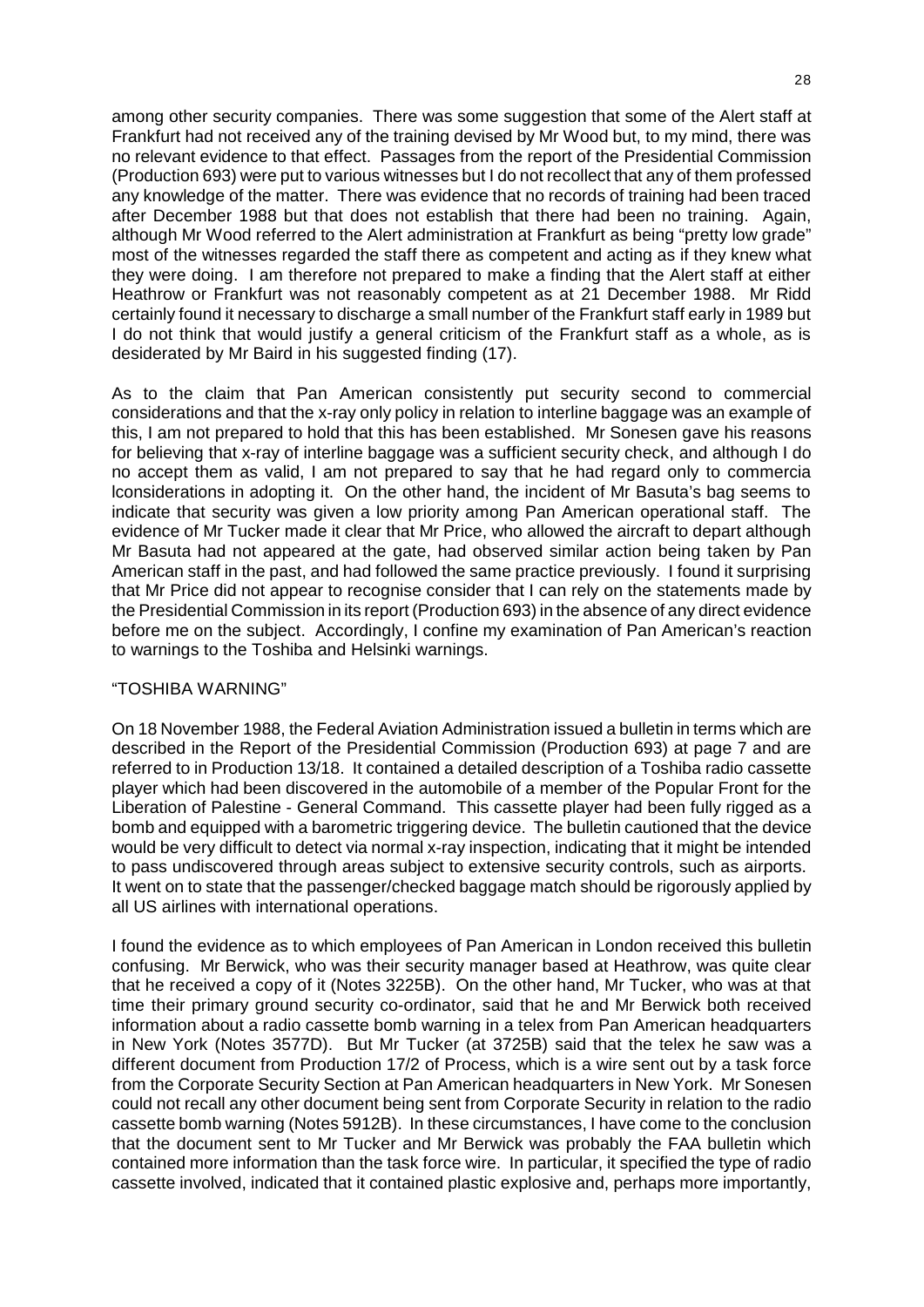among other security companies. There was some suggestion that some of the Alert staff at Frankfurt had not received any of the training devised by Mr Wood but, to my mind, there was no relevant evidence to that effect. Passages from the report of the Presidential Commission (Production 693) were put to various witnesses but I do not recollect that any of them professed any knowledge of the matter. There was evidence that no records of training had been traced after December 1988 but that does not establish that there had been no training. Again, although Mr Wood referred to the Alert administration at Frankfurt as being "pretty low grade" most of the witnesses regarded the staff there as competent and acting as if they knew what they were doing. I am therefore not prepared to make a finding that the Alert staff at either Heathrow or Frankfurt was not reasonably competent as at 21 December 1988. Mr Ridd certainly found it necessary to discharge a small number of the Frankfurt staff early in 1989 but I do not think that would justify a general criticism of the Frankfurt staff as a whole, as is desiderated by Mr Baird in his suggested finding (17).

As to the claim that Pan American consistently put security second to commercial considerations and that the x-ray only policy in relation to interline baggage was an example of this, I am not prepared to hold that this has been established. Mr Sonesen gave his reasons for believing that x-ray of interline baggage was a sufficient security check, and although I do no accept them as valid, I am not prepared to say that he had regard only to commercia lconsiderations in adopting it. On the other hand, the incident of Mr Basuta's bag seems to indicate that security was given a low priority among Pan American operational staff. The evidence of Mr Tucker made it clear that Mr Price, who allowed the aircraft to depart although Mr Basuta had not appeared at the gate, had observed similar action being taken by Pan American staff in the past, and had followed the same practice previously. I found it surprising that Mr Price did not appear to recognise consider that I can rely on the statements made by the Presidential Commission in its report (Production 693) in the absence of any direct evidence before me on the subject. Accordingly, I confine my examination of Pan American's reaction to warnings to the Toshiba and Helsinki warnings.

### "TOSHIBA WARNING"

On 18 November 1988, the Federal Aviation Administration issued a bulletin in terms which are described in the Report of the Presidential Commission (Production 693) at page 7 and are referred to in Production 13/18. It contained a detailed description of a Toshiba radio cassette player which had been discovered in the automobile of a member of the Popular Front for the Liberation of Palestine - General Command. This cassette player had been fully rigged as a bomb and equipped with a barometric triggering device. The bulletin cautioned that the device would be very difficult to detect via normal x-ray inspection, indicating that it might be intended to pass undiscovered through areas subject to extensive security controls, such as airports. It went on to state that the passenger/checked baggage match should be rigorously applied by all US airlines with international operations.

I found the evidence as to which employees of Pan American in London received this bulletin confusing. Mr Berwick, who was their security manager based at Heathrow, was quite clear that he received a copy of it (Notes 3225B). On the other hand, Mr Tucker, who was at that time their primary ground security co-ordinator, said that he and Mr Berwick both received information about a radio cassette bomb warning in a telex from Pan American headquarters in New York (Notes 3577D). But Mr Tucker (at 3725B) said that the telex he saw was a different document from Production 17/2 of Process, which is a wire sent out by a task force from the Corporate Security Section at Pan American headquarters in New York. Mr Sonesen could not recall any other document being sent from Corporate Security in relation to the radio cassette bomb warning (Notes 5912B). In these circumstances, I have come to the conclusion that the document sent to Mr Tucker and Mr Berwick was probably the FAA bulletin which contained more information than the task force wire. In particular, it specified the type of radio cassette involved, indicated that it contained plastic explosive and, perhaps more importantly,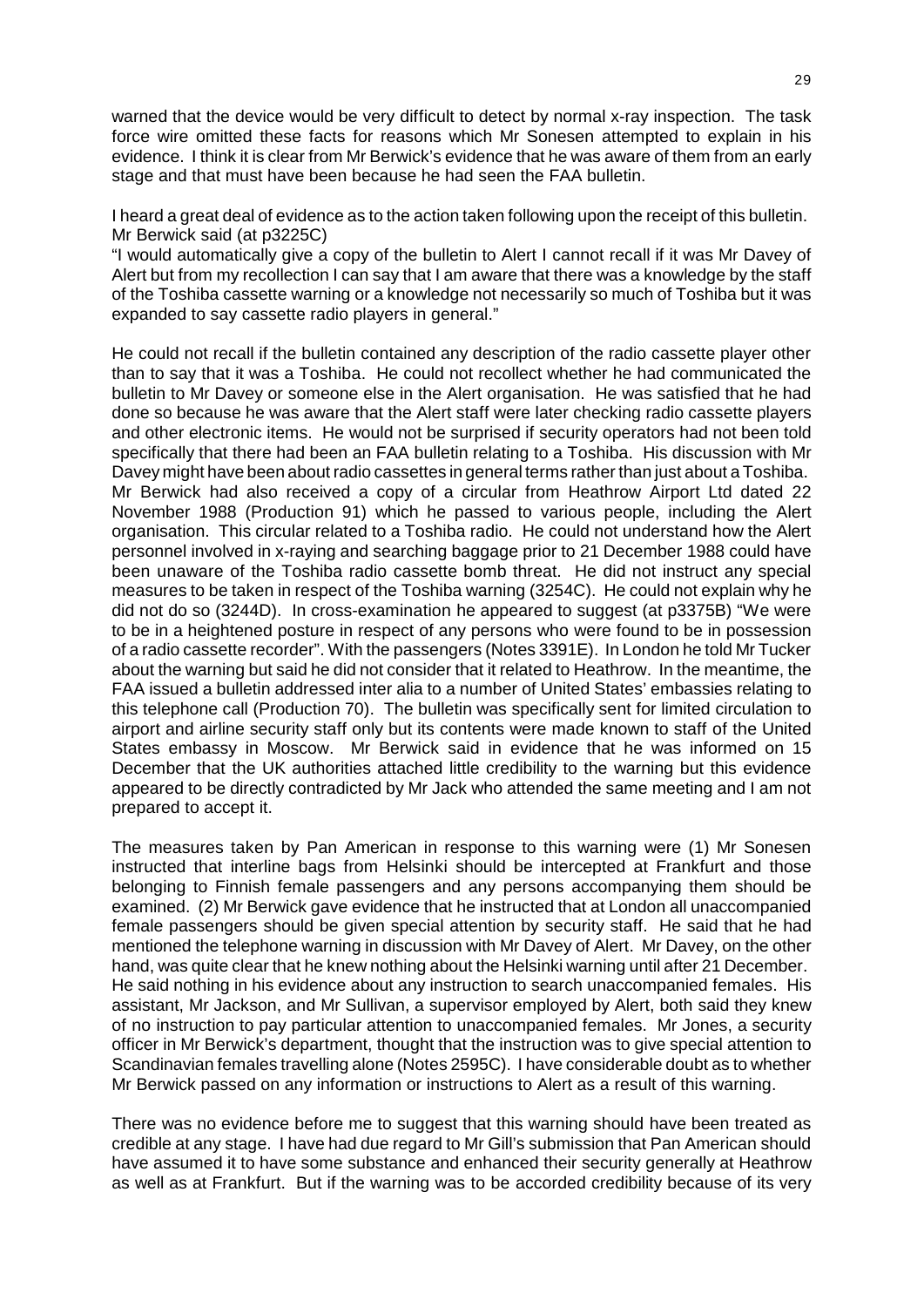warned that the device would be very difficult to detect by normal x-ray inspection. The task force wire omitted these facts for reasons which Mr Sonesen attempted to explain in his evidence. I think it is clear from Mr Berwick's evidence that he was aware of them from an early stage and that must have been because he had seen the FAA bulletin.

I heard a great deal of evidence as to the action taken following upon the receipt of this bulletin. Mr Berwick said (at p3225C)

"I would automatically give a copy of the bulletin to Alert I cannot recall if it was Mr Davey of Alert but from my recollection I can say that I am aware that there was a knowledge by the staff of the Toshiba cassette warning or a knowledge not necessarily so much of Toshiba but it was expanded to say cassette radio players in general."

He could not recall if the bulletin contained any description of the radio cassette player other than to say that it was a Toshiba. He could not recollect whether he had communicated the bulletin to Mr Davey or someone else in the Alert organisation. He was satisfied that he had done so because he was aware that the Alert staff were later checking radio cassette players and other electronic items. He would not be surprised if security operators had not been told specifically that there had been an FAA bulletin relating to a Toshiba. His discussion with Mr Davey might have been about radio cassettes in general terms rather than just about a Toshiba. Mr Berwick had also received a copy of a circular from Heathrow Airport Ltd dated 22 November 1988 (Production 91) which he passed to various people, including the Alert organisation. This circular related to a Toshiba radio. He could not understand how the Alert personnel involved in x-raying and searching baggage prior to 21 December 1988 could have been unaware of the Toshiba radio cassette bomb threat. He did not instruct any special measures to be taken in respect of the Toshiba warning (3254C). He could not explain why he did not do so (3244D). In cross-examination he appeared to suggest (at p3375B) "We were to be in a heightened posture in respect of any persons who were found to be in possession of a radio cassette recorder". With the passengers (Notes 3391E). In London he told Mr Tucker about the warning but said he did not consider that it related to Heathrow. In the meantime, the FAA issued a bulletin addressed inter alia to a number of United States' embassies relating to this telephone call (Production 70). The bulletin was specifically sent for limited circulation to airport and airline security staff only but its contents were made known to staff of the United States embassy in Moscow. Mr Berwick said in evidence that he was informed on 15 December that the UK authorities attached little credibility to the warning but this evidence appeared to be directly contradicted by Mr Jack who attended the same meeting and I am not prepared to accept it.

The measures taken by Pan American in response to this warning were (1) Mr Sonesen instructed that interline bags from Helsinki should be intercepted at Frankfurt and those belonging to Finnish female passengers and any persons accompanying them should be examined. (2) Mr Berwick gave evidence that he instructed that at London all unaccompanied female passengers should be given special attention by security staff. He said that he had mentioned the telephone warning in discussion with Mr Davey of Alert. Mr Davey, on the other hand, was quite clear that he knew nothing about the Helsinki warning until after 21 December. He said nothing in his evidence about any instruction to search unaccompanied females. His assistant, Mr Jackson, and Mr Sullivan, a supervisor employed by Alert, both said they knew of no instruction to pay particular attention to unaccompanied females. Mr Jones, a security officer in Mr Berwick's department, thought that the instruction was to give special attention to Scandinavian females travelling alone (Notes 2595C). I have considerable doubt as to whether Mr Berwick passed on any information or instructions to Alert as a result of this warning.

There was no evidence before me to suggest that this warning should have been treated as credible at any stage. I have had due regard to Mr Gill's submission that Pan American should have assumed it to have some substance and enhanced their security generally at Heathrow as well as at Frankfurt. But if the warning was to be accorded credibility because of its very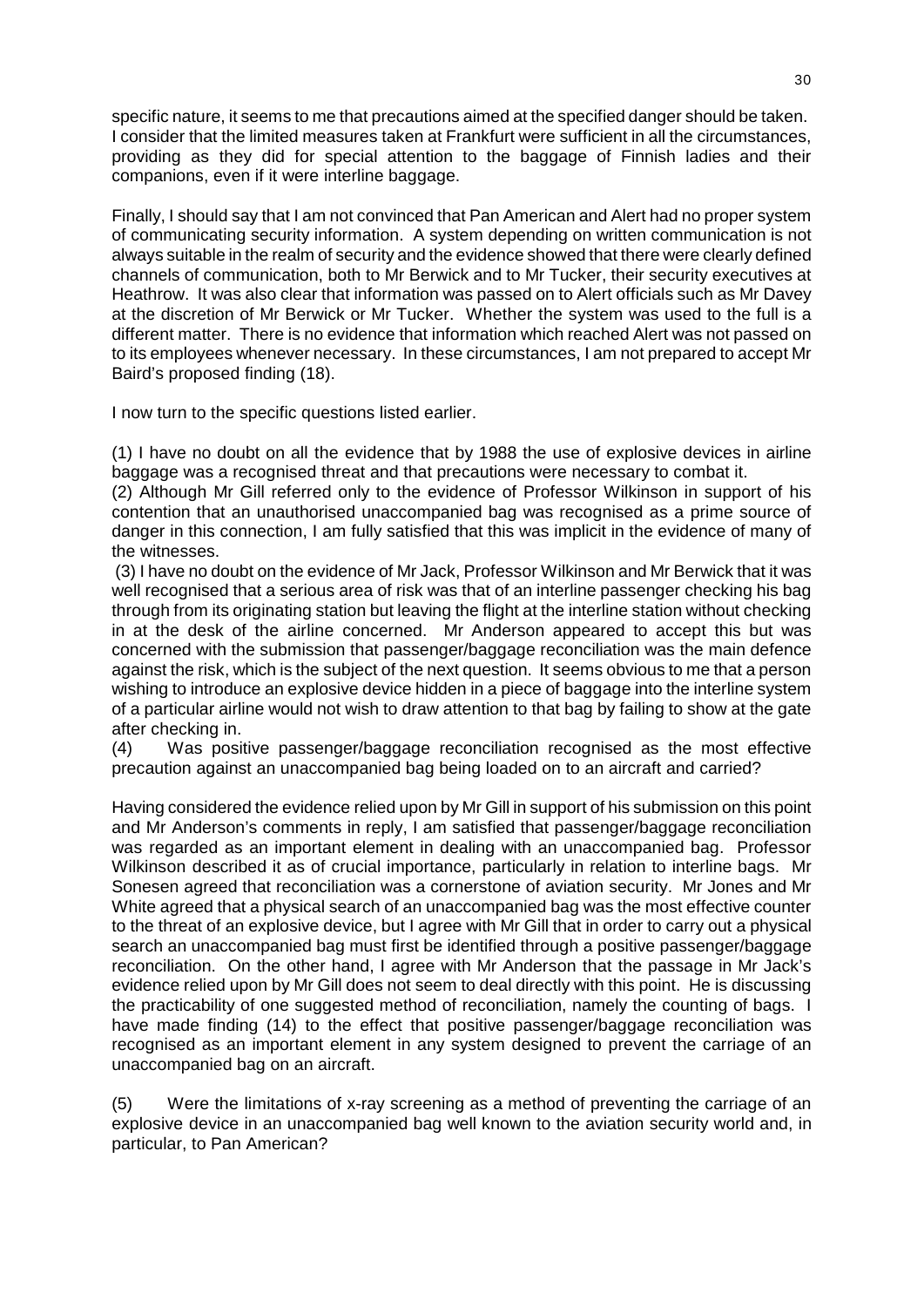specific nature, it seems to me that precautions aimed at the specified danger should be taken. I consider that the limited measures taken at Frankfurt were sufficient in all the circumstances, providing as they did for special attention to the baggage of Finnish ladies and their companions, even if it were interline baggage.

Finally, I should say that I am not convinced that Pan American and Alert had no proper system of communicating security information. A system depending on written communication is not always suitable in the realm of security and the evidence showed that there were clearly defined channels of communication, both to Mr Berwick and to Mr Tucker, their security executives at Heathrow. It was also clear that information was passed on to Alert officials such as Mr Davey at the discretion of Mr Berwick or Mr Tucker. Whether the system was used to the full is a different matter. There is no evidence that information which reached Alert was not passed on to its employees whenever necessary. In these circumstances, I am not prepared to accept Mr Baird's proposed finding (18).

I now turn to the specific questions listed earlier.

(1) I have no doubt on all the evidence that by 1988 the use of explosive devices in airline baggage was a recognised threat and that precautions were necessary to combat it.

(2) Although Mr Gill referred only to the evidence of Professor Wilkinson in support of his contention that an unauthorised unaccompanied bag was recognised as a prime source of danger in this connection, I am fully satisfied that this was implicit in the evidence of many of the witnesses.

(3) I have no doubt on the evidence of Mr Jack, Professor Wilkinson and Mr Berwick that it was well recognised that a serious area of risk was that of an interline passenger checking his bag through from its originating station but leaving the flight at the interline station without checking in at the desk of the airline concerned. Mr Anderson appeared to accept this but was concerned with the submission that passenger/baggage reconciliation was the main defence against the risk, which is the subject of the next question. It seems obvious to me that a person wishing to introduce an explosive device hidden in a piece of baggage into the interline system of a particular airline would not wish to draw attention to that bag by failing to show at the gate after checking in.

(4) Was positive passenger/baggage reconciliation recognised as the most effective precaution against an unaccompanied bag being loaded on to an aircraft and carried?

Having considered the evidence relied upon by Mr Gill in support of his submission on this point and Mr Anderson's comments in reply, I am satisfied that passenger/baggage reconciliation was regarded as an important element in dealing with an unaccompanied bag. Professor Wilkinson described it as of crucial importance, particularly in relation to interline bags. Mr Sonesen agreed that reconciliation was a cornerstone of aviation security. Mr Jones and Mr White agreed that a physical search of an unaccompanied bag was the most effective counter to the threat of an explosive device, but I agree with Mr Gill that in order to carry out a physical search an unaccompanied bag must first be identified through a positive passenger/baggage reconciliation. On the other hand, I agree with Mr Anderson that the passage in Mr Jack's evidence relied upon by Mr Gill does not seem to deal directly with this point. He is discussing the practicability of one suggested method of reconciliation, namely the counting of bags. I have made finding (14) to the effect that positive passenger/baggage reconciliation was recognised as an important element in any system designed to prevent the carriage of an unaccompanied bag on an aircraft.

(5) Were the limitations of x-ray screening as a method of preventing the carriage of an explosive device in an unaccompanied bag well known to the aviation security world and, in particular, to Pan American?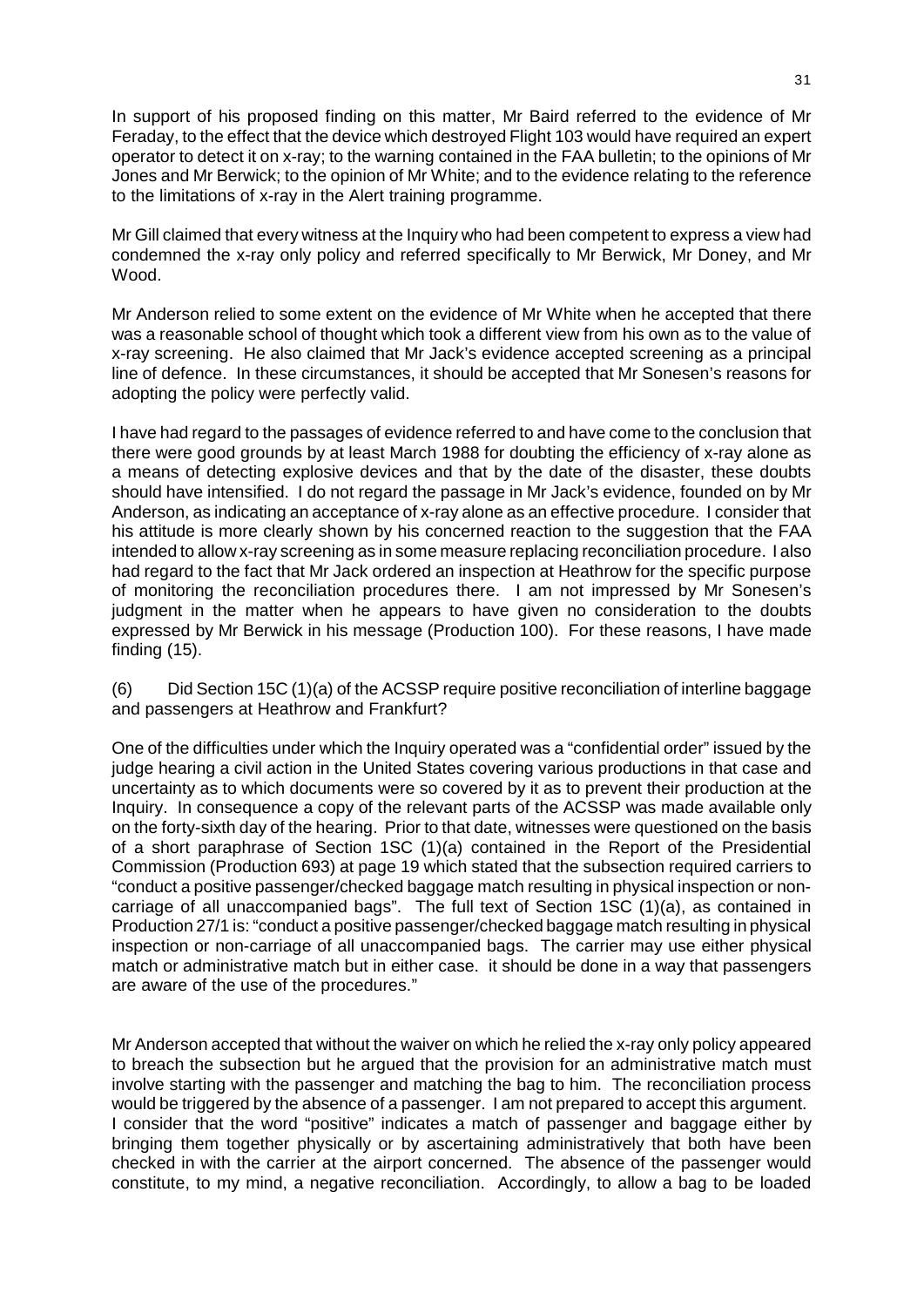In support of his proposed finding on this matter, Mr Baird referred to the evidence of Mr Feraday, to the effect that the device which destroyed Flight 103 would have required an expert operator to detect it on x-ray; to the warning contained in the FAA bulletin; to the opinions of Mr Jones and Mr Berwick; to the opinion of Mr White; and to the evidence relating to the reference to the limitations of x-ray in the Alert training programme.

Mr Gill claimed that every witness at the Inquiry who had been competent to express a view had condemned the x-ray only policy and referred specifically to Mr Berwick, Mr Doney, and Mr Wood.

Mr Anderson relied to some extent on the evidence of Mr White when he accepted that there was a reasonable school of thought which took a different view from his own as to the value of x-ray screening. He also claimed that Mr Jack's evidence accepted screening as a principal line of defence. In these circumstances, it should be accepted that Mr Sonesen's reasons for adopting the policy were perfectly valid.

I have had regard to the passages of evidence referred to and have come to the conclusion that there were good grounds by at least March 1988 for doubting the efficiency of x-ray alone as a means of detecting explosive devices and that by the date of the disaster, these doubts should have intensified. I do not regard the passage in Mr Jack's evidence, founded on by Mr Anderson, as indicating an acceptance of x-ray alone as an effective procedure. I consider that his attitude is more clearly shown by his concerned reaction to the suggestion that the FAA intended to allow x-ray screening as in some measure replacing reconciliation procedure. I also had regard to the fact that Mr Jack ordered an inspection at Heathrow for the specific purpose of monitoring the reconciliation procedures there. I am not impressed by Mr Sonesen's judgment in the matter when he appears to have given no consideration to the doubts expressed by Mr Berwick in his message (Production 100). For these reasons, I have made finding (15).

 $(6)$  Did Section 15C  $(1)(a)$  of the ACSSP require positive reconciliation of interline baggage and passengers at Heathrow and Frankfurt?

One of the difficulties under which the Inquiry operated was a "confidential order" issued by the judge hearing a civil action in the United States covering various productions in that case and uncertainty as to which documents were so covered by it as to prevent their production at the Inquiry. In consequence a copy of the relevant parts of the ACSSP was made available only on the forty-sixth day of the hearing. Prior to that date, witnesses were questioned on the basis of a short paraphrase of Section 1SC (1)(a) contained in the Report of the Presidential Commission (Production 693) at page 19 which stated that the subsection required carriers to "conduct a positive passenger/checked baggage match resulting in physical inspection or noncarriage of all unaccompanied bags". The full text of Section 1SC (1)(a), as contained in Production 27/1 is: "conduct a positive passenger/checked baggage match resulting in physical inspection or non-carriage of all unaccompanied bags. The carrier may use either physical match or administrative match but in either case. it should be done in a way that passengers are aware of the use of the procedures."

Mr Anderson accepted that without the waiver on which he relied the x-ray only policy appeared to breach the subsection but he argued that the provision for an administrative match must involve starting with the passenger and matching the bag to him. The reconciliation process would be triggered by the absence of a passenger. I am not prepared to accept this argument. I consider that the word "positive" indicates a match of passenger and baggage either by bringing them together physically or by ascertaining administratively that both have been checked in with the carrier at the airport concerned. The absence of the passenger would constitute, to my mind, a negative reconciliation. Accordingly, to allow a bag to be loaded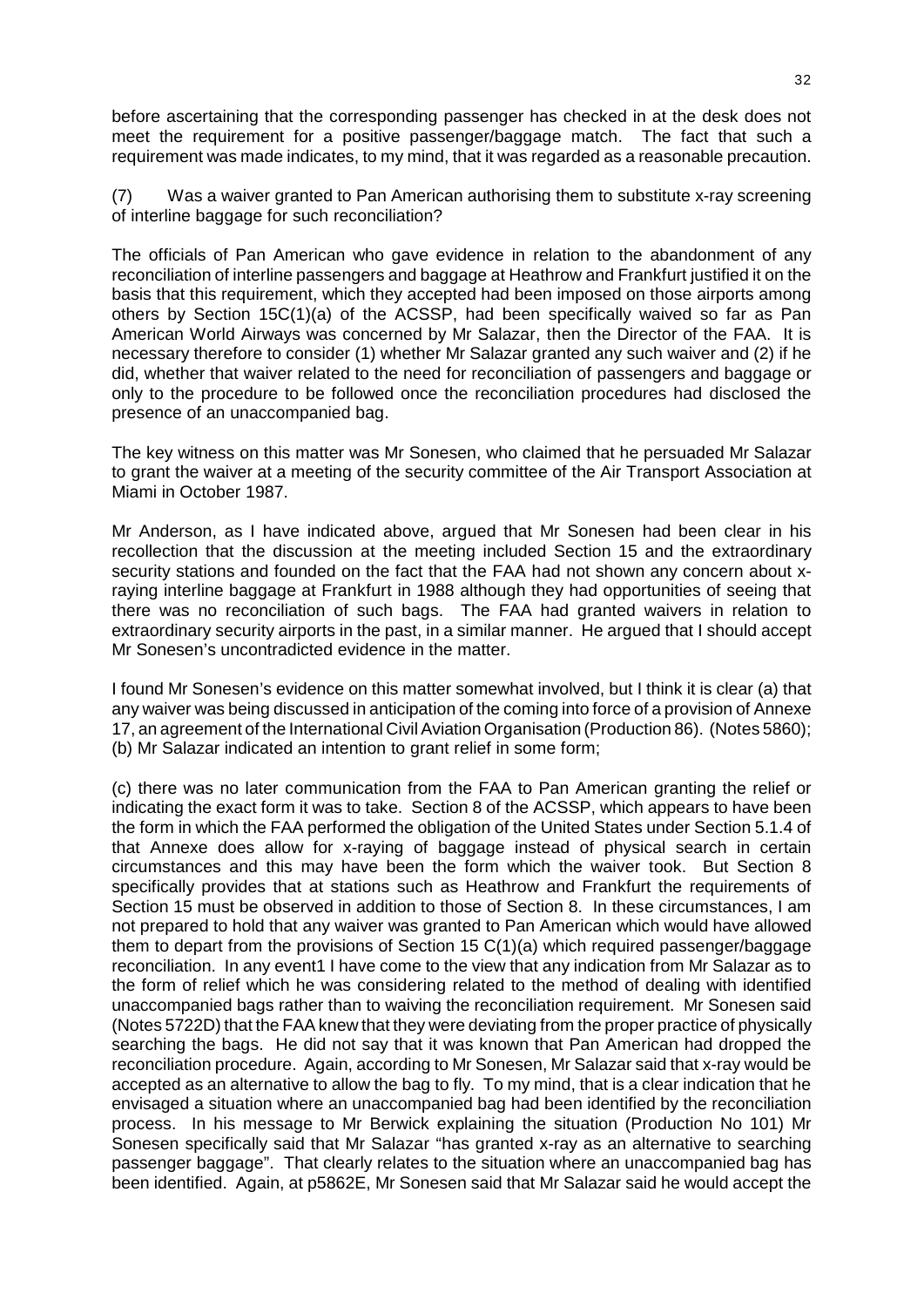before ascertaining that the corresponding passenger has checked in at the desk does not meet the requirement for a positive passenger/baggage match. The fact that such a requirement was made indicates, to my mind, that it was regarded as a reasonable precaution.

(7) Was a waiver granted to Pan American authorising them to substitute x-ray screening of interline baggage for such reconciliation?

The officials of Pan American who gave evidence in relation to the abandonment of any reconciliation of interline passengers and baggage at Heathrow and Frankfurt justified it on the basis that this requirement, which they accepted had been imposed on those airports among others by Section 15C(1)(a) of the ACSSP, had been specifically waived so far as Pan American World Airways was concerned by Mr Salazar, then the Director of the FAA. It is necessary therefore to consider (1) whether Mr Salazar granted any such waiver and (2) if he did, whether that waiver related to the need for reconciliation of passengers and baggage or only to the procedure to be followed once the reconciliation procedures had disclosed the presence of an unaccompanied bag.

The key witness on this matter was Mr Sonesen, who claimed that he persuaded Mr Salazar to grant the waiver at a meeting of the security committee of the Air Transport Association at Miami in October 1987.

Mr Anderson, as I have indicated above, argued that Mr Sonesen had been clear in his recollection that the discussion at the meeting included Section 15 and the extraordinary security stations and founded on the fact that the FAA had not shown any concern about xraying interline baggage at Frankfurt in 1988 although they had opportunities of seeing that there was no reconciliation of such bags. The FAA had granted waivers in relation to extraordinary security airports in the past, in a similar manner. He argued that I should accept Mr Sonesen's uncontradicted evidence in the matter.

I found Mr Sonesen's evidence on this matter somewhat involved, but I think it is clear (a) that any waiver was being discussed in anticipation of the coming into force of a provision of Annexe 17, an agreement of the International Civil Aviation Organisation (Production 86). (Notes 5860); (b) Mr Salazar indicated an intention to grant relief in some form;

(c) there was no later communication from the FAA to Pan American granting the relief or indicating the exact form it was to take. Section 8 of the ACSSP, which appears to have been the form in which the FAA performed the obligation of the United States under Section 5.1.4 of that Annexe does allow for x-raying of baggage instead of physical search in certain circumstances and this may have been the form which the waiver took. But Section 8 specifically provides that at stations such as Heathrow and Frankfurt the requirements of Section 15 must be observed in addition to those of Section 8. In these circumstances, I am not prepared to hold that any waiver was granted to Pan American which would have allowed them to depart from the provisions of Section 15 C(1)(a) which required passenger/baggage reconciliation. In any event1 I have come to the view that any indication from Mr Salazar as to the form of relief which he was considering related to the method of dealing with identified unaccompanied bags rather than to waiving the reconciliation requirement. Mr Sonesen said (Notes 5722D) that the FAA knew that they were deviating from the proper practice of physically searching the bags. He did not say that it was known that Pan American had dropped the reconciliation procedure. Again, according to Mr Sonesen, Mr Salazar said that x-ray would be accepted as an alternative to allow the bag to fly. To my mind, that is a clear indication that he envisaged a situation where an unaccompanied bag had been identified by the reconciliation process. In his message to Mr Berwick explaining the situation (Production No 101) Mr Sonesen specifically said that Mr Salazar "has granted x-ray as an alternative to searching passenger baggage". That clearly relates to the situation where an unaccompanied bag has been identified. Again, at p5862E, Mr Sonesen said that Mr Salazar said he would accept the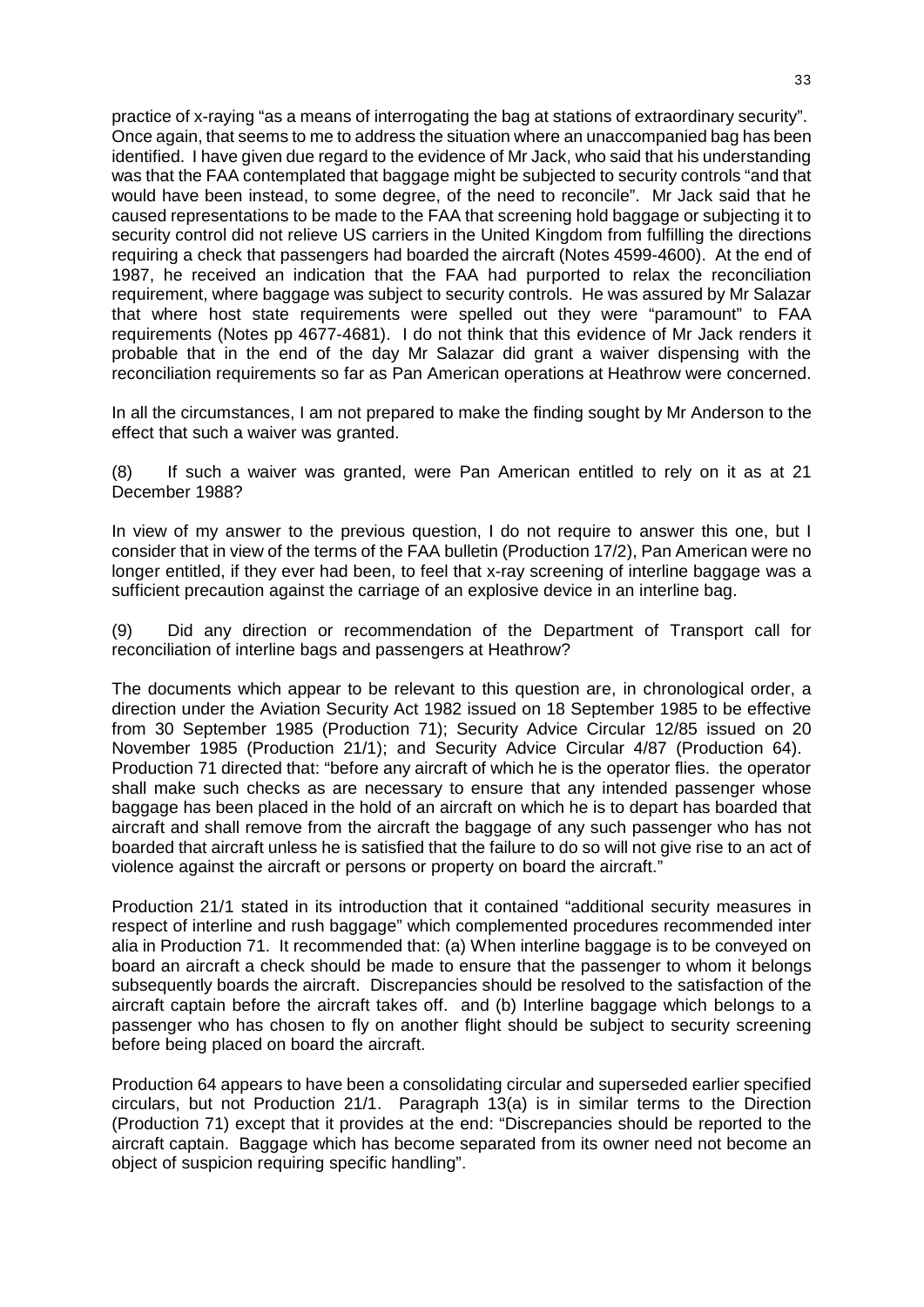practice of x-raying "as a means of interrogating the bag at stations of extraordinary security". Once again, that seems to me to address the situation where an unaccompanied bag has been identified. I have given due regard to the evidence of Mr Jack, who said that his understanding was that the FAA contemplated that baggage might be subjected to security controls "and that would have been instead, to some degree, of the need to reconcile". Mr Jack said that he caused representations to be made to the FAA that screening hold baggage or subjecting it to security control did not relieve US carriers in the United Kingdom from fulfilling the directions requiring a check that passengers had boarded the aircraft (Notes 4599-4600). At the end of 1987, he received an indication that the FAA had purported to relax the reconciliation requirement, where baggage was subject to security controls. He was assured by Mr Salazar that where host state requirements were spelled out they were "paramount" to FAA requirements (Notes pp 4677-4681). I do not think that this evidence of Mr Jack renders it probable that in the end of the day Mr Salazar did grant a waiver dispensing with the reconciliation requirements so far as Pan American operations at Heathrow were concerned.

In all the circumstances, I am not prepared to make the finding sought by Mr Anderson to the effect that such a waiver was granted.

(8) If such a waiver was granted, were Pan American entitled to rely on it as at 21 December 1988?

In view of my answer to the previous question, I do not require to answer this one, but I consider that in view of the terms of the FAA bulletin (Production 17/2), Pan American were no longer entitled, if they ever had been, to feel that x-ray screening of interline baggage was a sufficient precaution against the carriage of an explosive device in an interline bag.

(9) Did any direction or recommendation of the Department of Transport call for reconciliation of interline bags and passengers at Heathrow?

The documents which appear to be relevant to this question are, in chronological order, a direction under the Aviation Security Act 1982 issued on 18 September 1985 to be effective from 30 September 1985 (Production 71); Security Advice Circular 12/85 issued on 20 November 1985 (Production 21/1); and Security Advice Circular 4/87 (Production 64). Production 71 directed that: "before any aircraft of which he is the operator flies. the operator shall make such checks as are necessary to ensure that any intended passenger whose baggage has been placed in the hold of an aircraft on which he is to depart has boarded that aircraft and shall remove from the aircraft the baggage of any such passenger who has not boarded that aircraft unless he is satisfied that the failure to do so will not give rise to an act of violence against the aircraft or persons or property on board the aircraft."

Production 21/1 stated in its introduction that it contained "additional security measures in respect of interline and rush baggage" which complemented procedures recommended inter alia in Production 71. It recommended that: (a) When interline baggage is to be conveyed on board an aircraft a check should be made to ensure that the passenger to whom it belongs subsequently boards the aircraft. Discrepancies should be resolved to the satisfaction of the aircraft captain before the aircraft takes off. and (b) Interline baggage which belongs to a passenger who has chosen to fly on another flight should be subject to security screening before being placed on board the aircraft.

Production 64 appears to have been a consolidating circular and superseded earlier specified circulars, but not Production 21/1. Paragraph 13(a) is in similar terms to the Direction (Production 71) except that it provides at the end: "Discrepancies should be reported to the aircraft captain. Baggage which has become separated from its owner need not become an object of suspicion requiring specific handling".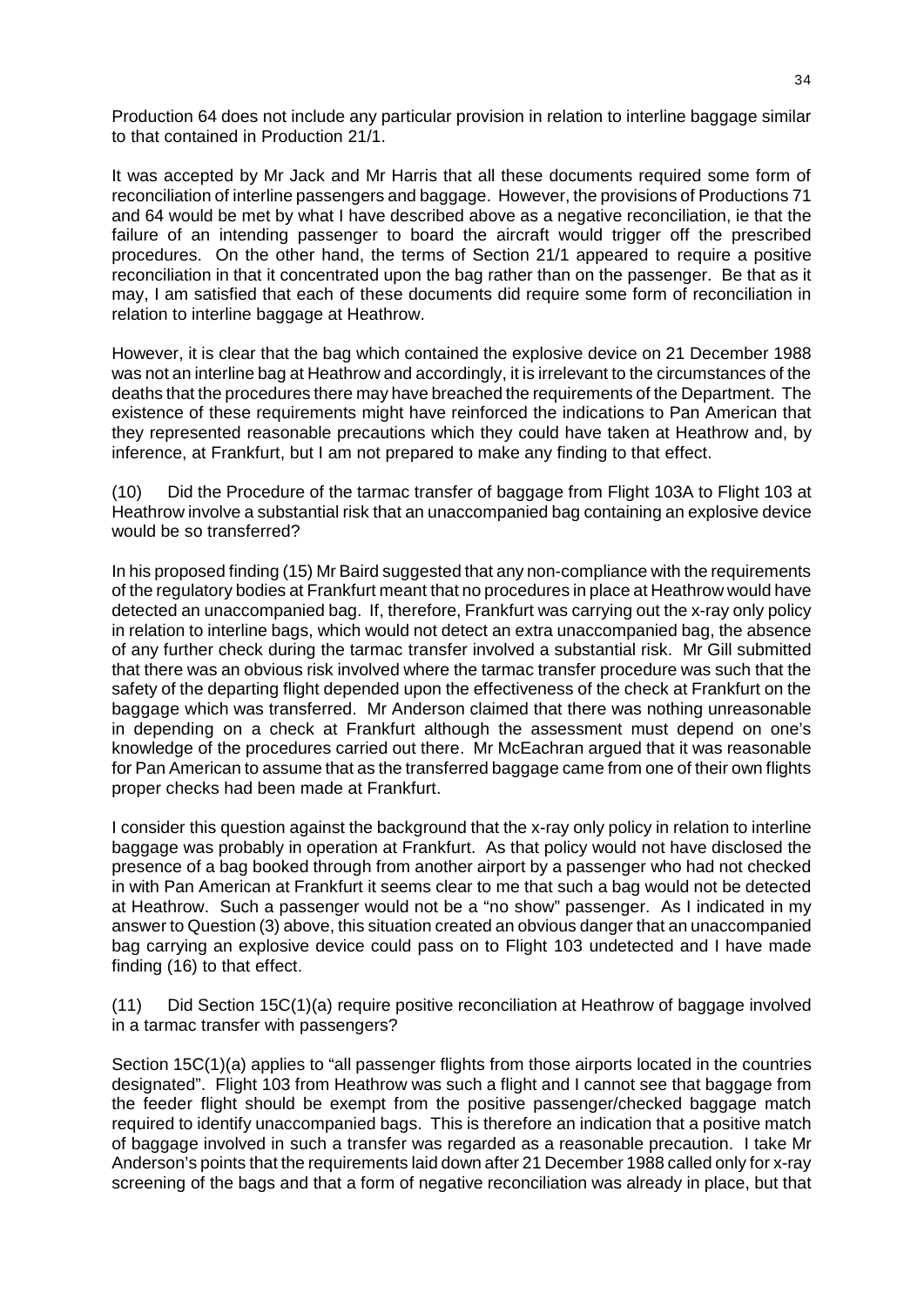Production 64 does not include any particular provision in relation to interline baggage similar to that contained in Production 21/1.

It was accepted by Mr Jack and Mr Harris that all these documents required some form of reconciliation of interline passengers and baggage. However, the provisions of Productions 71 and 64 would be met by what I have described above as a negative reconciliation, ie that the failure of an intending passenger to board the aircraft would trigger off the prescribed procedures. On the other hand, the terms of Section 21/1 appeared to require a positive reconciliation in that it concentrated upon the bag rather than on the passenger. Be that as it may, I am satisfied that each of these documents did require some form of reconciliation in relation to interline baggage at Heathrow.

However, it is clear that the bag which contained the explosive device on 21 December 1988 was not an interline bag at Heathrow and accordingly, it is irrelevant to the circumstances of the deaths that the procedures there may have breached the requirements of the Department. The existence of these requirements might have reinforced the indications to Pan American that they represented reasonable precautions which they could have taken at Heathrow and, by inference, at Frankfurt, but I am not prepared to make any finding to that effect.

(10) Did the Procedure of the tarmac transfer of baggage from Flight 103A to Flight 103 at Heathrow involve a substantial risk that an unaccompanied bag containing an explosive device would be so transferred?

In his proposed finding (15) Mr Baird suggested that any non-compliance with the requirements of the regulatory bodies at Frankfurt meant that no procedures in place at Heathrow would have detected an unaccompanied bag. If, therefore, Frankfurt was carrying out the x-ray only policy in relation to interline bags, which would not detect an extra unaccompanied bag, the absence of any further check during the tarmac transfer involved a substantial risk. Mr Gill submitted that there was an obvious risk involved where the tarmac transfer procedure was such that the safety of the departing flight depended upon the effectiveness of the check at Frankfurt on the baggage which was transferred. Mr Anderson claimed that there was nothing unreasonable in depending on a check at Frankfurt although the assessment must depend on one's knowledge of the procedures carried out there. Mr McEachran argued that it was reasonable for Pan American to assume that as the transferred baggage came from one of their own flights proper checks had been made at Frankfurt.

I consider this question against the background that the x-ray only policy in relation to interline baggage was probably in operation at Frankfurt. As that policy would not have disclosed the presence of a bag booked through from another airport by a passenger who had not checked in with Pan American at Frankfurt it seems clear to me that such a bag would not be detected at Heathrow. Such a passenger would not be a "no show" passenger. As I indicated in my answer to Question (3) above, this situation created an obvious danger that an unaccompanied bag carrying an explosive device could pass on to Flight 103 undetected and I have made finding (16) to that effect.

(11) Did Section 15C(1)(a) require positive reconciliation at Heathrow of baggage involved in a tarmac transfer with passengers?

Section 15C(1)(a) applies to "all passenger flights from those airports located in the countries designated". Flight 103 from Heathrow was such a flight and I cannot see that baggage from the feeder flight should be exempt from the positive passenger/checked baggage match required to identify unaccompanied bags. This is therefore an indication that a positive match of baggage involved in such a transfer was regarded as a reasonable precaution. I take Mr Anderson's points that the requirements laid down after 21 December 1988 called only for x-ray screening of the bags and that a form of negative reconciliation was already in place, but that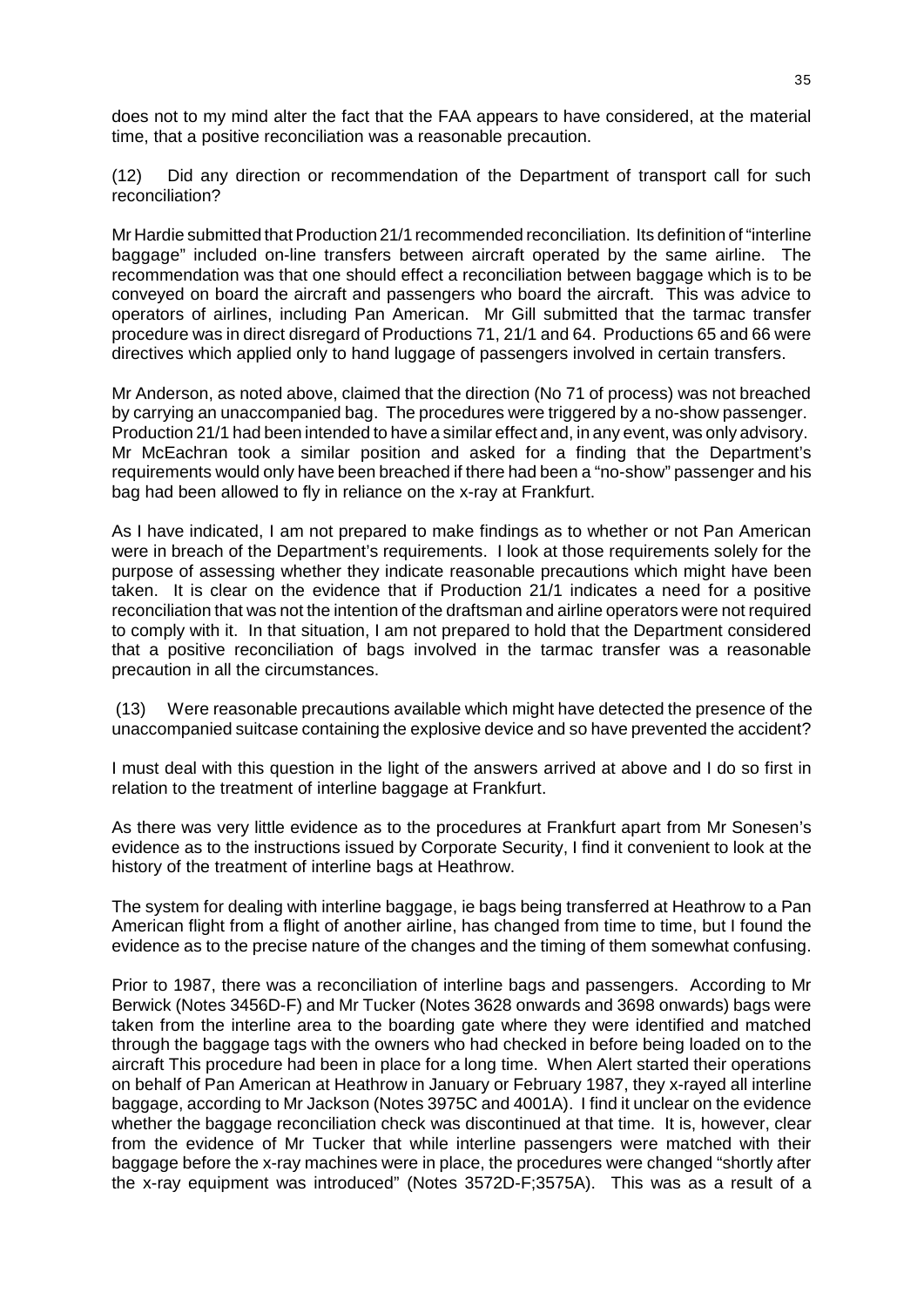does not to my mind alter the fact that the FAA appears to have considered, at the material time, that a positive reconciliation was a reasonable precaution.

(12) Did any direction or recommendation of the Department of transport call for such reconciliation?

Mr Hardie submitted that Production 21/1 recommended reconciliation. Its definition of "interline baggage" included on-line transfers between aircraft operated by the same airline. The recommendation was that one should effect a reconciliation between baggage which is to be conveyed on board the aircraft and passengers who board the aircraft. This was advice to operators of airlines, including Pan American. Mr Gill submitted that the tarmac transfer procedure was in direct disregard of Productions 71, 21/1 and 64. Productions 65 and 66 were directives which applied only to hand luggage of passengers involved in certain transfers.

Mr Anderson, as noted above, claimed that the direction (No 71 of process) was not breached by carrying an unaccompanied bag. The procedures were triggered by a no-show passenger. Production 21/1 had been intended to have a similar effect and, in any event, was only advisory. Mr McEachran took a similar position and asked for a finding that the Department's requirements would only have been breached if there had been a "no-show" passenger and his bag had been allowed to fly in reliance on the x-ray at Frankfurt.

As I have indicated, I am not prepared to make findings as to whether or not Pan American were in breach of the Department's requirements. I look at those requirements solely for the purpose of assessing whether they indicate reasonable precautions which might have been taken. It is clear on the evidence that if Production 21/1 indicates a need for a positive reconciliation that was not the intention of the draftsman and airline operators were not required to comply with it. In that situation, I am not prepared to hold that the Department considered that a positive reconciliation of bags involved in the tarmac transfer was a reasonable precaution in all the circumstances.

(13) Were reasonable precautions available which might have detected the presence of the unaccompanied suitcase containing the explosive device and so have prevented the accident?

I must deal with this question in the light of the answers arrived at above and I do so first in relation to the treatment of interline baggage at Frankfurt.

As there was very little evidence as to the procedures at Frankfurt apart from Mr Sonesen's evidence as to the instructions issued by Corporate Security, I find it convenient to look at the history of the treatment of interline bags at Heathrow.

The system for dealing with interline baggage, ie bags being transferred at Heathrow to a Pan American flight from a flight of another airline, has changed from time to time, but I found the evidence as to the precise nature of the changes and the timing of them somewhat confusing.

Prior to 1987, there was a reconciliation of interline bags and passengers. According to Mr Berwick (Notes 3456D-F) and Mr Tucker (Notes 3628 onwards and 3698 onwards) bags were taken from the interline area to the boarding gate where they were identified and matched through the baggage tags with the owners who had checked in before being loaded on to the aircraft This procedure had been in place for a long time. When Alert started their operations on behalf of Pan American at Heathrow in January or February 1987, they x-rayed all interline baggage, according to Mr Jackson (Notes 3975C and 4001A). I find it unclear on the evidence whether the baggage reconciliation check was discontinued at that time. It is, however, clear from the evidence of Mr Tucker that while interline passengers were matched with their baggage before the x-ray machines were in place, the procedures were changed "shortly after the x-ray equipment was introduced" (Notes 3572D-F;3575A). This was as a result of a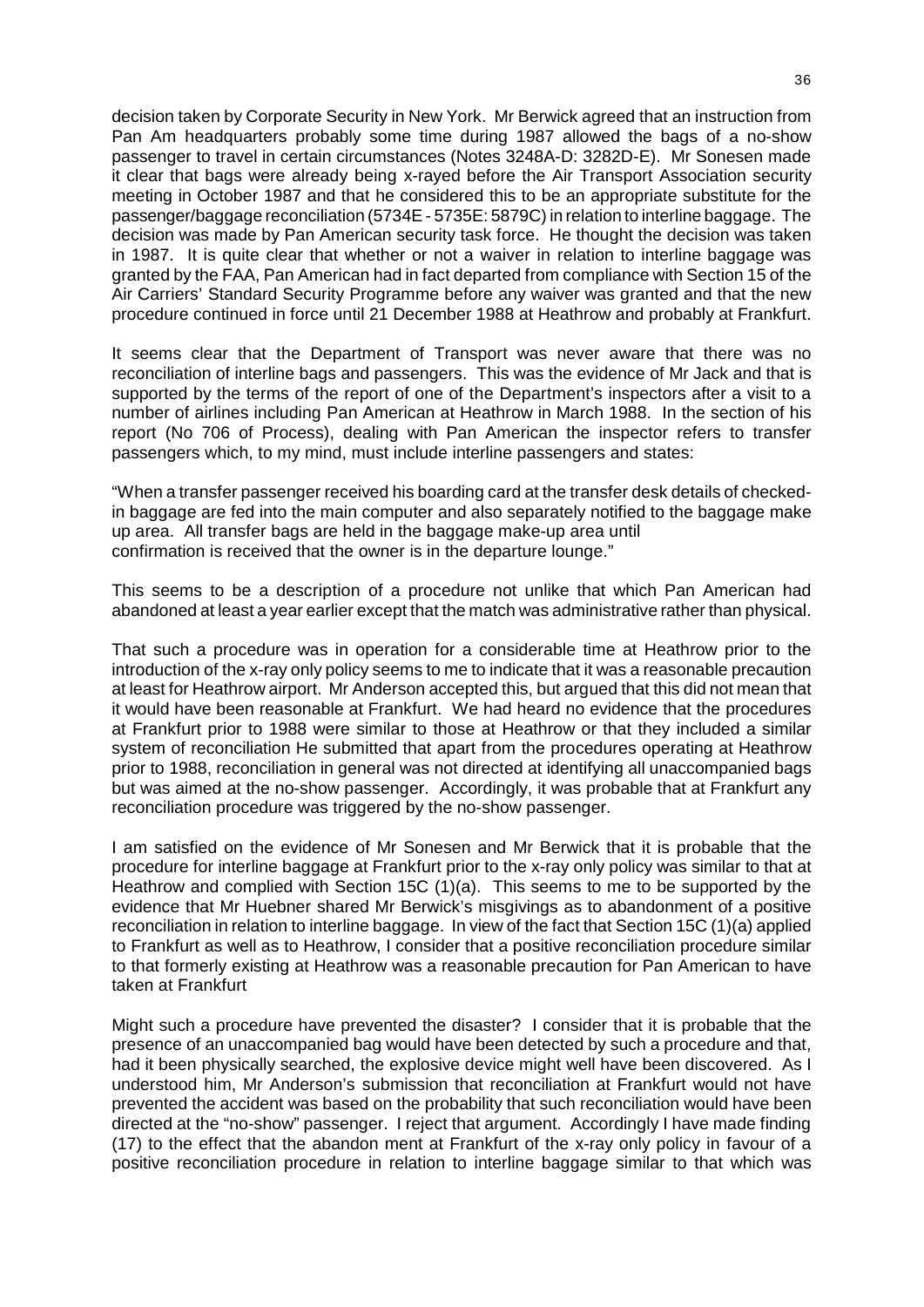decision taken by Corporate Security in New York. Mr Berwick agreed that an instruction from Pan Am headquarters probably some time during 1987 allowed the bags of a no-show passenger to travel in certain circumstances (Notes 3248A-D: 3282D-E). Mr Sonesen made it clear that bags were already being x-rayed before the Air Transport Association security meeting in October 1987 and that he considered this to be an appropriate substitute for the passenger/baggage reconciliation (5734E - 5735E: 5879C) in relation to interline baggage. The decision was made by Pan American security task force. He thought the decision was taken in 1987. It is quite clear that whether or not a waiver in relation to interline baggage was granted by the FAA, Pan American had in fact departed from compliance with Section 15 of the Air Carriers' Standard Security Programme before any waiver was granted and that the new procedure continued in force until 21 December 1988 at Heathrow and probably at Frankfurt.

It seems clear that the Department of Transport was never aware that there was no reconciliation of interline bags and passengers. This was the evidence of Mr Jack and that is supported by the terms of the report of one of the Department's inspectors after a visit to a number of airlines including Pan American at Heathrow in March 1988. In the section of his report (No 706 of Process), dealing with Pan American the inspector refers to transfer passengers which, to my mind, must include interline passengers and states:

"When a transfer passenger received his boarding card at the transfer desk details of checkedin baggage are fed into the main computer and also separately notified to the baggage make up area. All transfer bags are held in the baggage make-up area until confirmation is received that the owner is in the departure lounge."

This seems to be a description of a procedure not unlike that which Pan American had abandoned at least a year earlier except that the match was administrative rather than physical.

That such a procedure was in operation for a considerable time at Heathrow prior to the introduction of the x-ray only policy seems to me to indicate that it was a reasonable precaution at least for Heathrow airport. Mr Anderson accepted this, but argued that this did not mean that it would have been reasonable at Frankfurt. We had heard no evidence that the procedures at Frankfurt prior to 1988 were similar to those at Heathrow or that they included a similar system of reconciliation He submitted that apart from the procedures operating at Heathrow prior to 1988, reconciliation in general was not directed at identifying all unaccompanied bags but was aimed at the no-show passenger. Accordingly, it was probable that at Frankfurt any reconciliation procedure was triggered by the no-show passenger.

I am satisfied on the evidence of Mr Sonesen and Mr Berwick that it is probable that the procedure for interline baggage at Frankfurt prior to the x-ray only policy was similar to that at Heathrow and complied with Section 15C (1)(a). This seems to me to be supported by the evidence that Mr Huebner shared Mr Berwick's misgivings as to abandonment of a positive reconciliation in relation to interline baggage. In view of the fact that Section 15C (1)(a) applied to Frankfurt as well as to Heathrow, I consider that a positive reconciliation procedure similar to that formerly existing at Heathrow was a reasonable precaution for Pan American to have taken at Frankfurt

Might such a procedure have prevented the disaster? I consider that it is probable that the presence of an unaccompanied bag would have been detected by such a procedure and that, had it been physically searched, the explosive device might well have been discovered. As I understood him, Mr Anderson's submission that reconciliation at Frankfurt would not have prevented the accident was based on the probability that such reconciliation would have been directed at the "no-show" passenger. I reject that argument. Accordingly I have made finding (17) to the effect that the abandon ment at Frankfurt of the x-ray only policy in favour of a positive reconciliation procedure in relation to interline baggage similar to that which was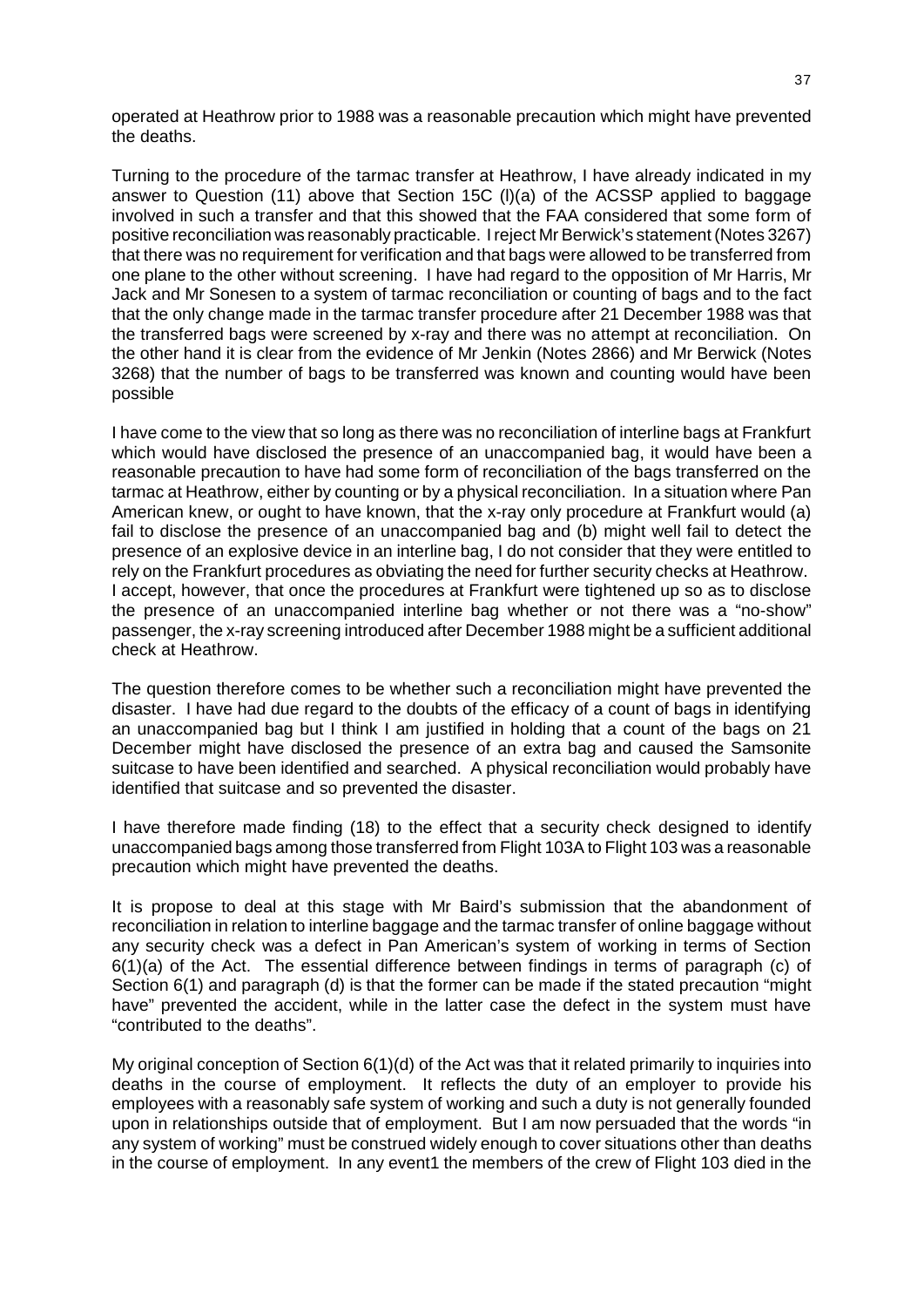operated at Heathrow prior to 1988 was a reasonable precaution which might have prevented the deaths.

Turning to the procedure of the tarmac transfer at Heathrow, I have already indicated in my answer to Question (11) above that Section 15C (l)(a) of the ACSSP applied to baggage involved in such a transfer and that this showed that the FAA considered that some form of positive reconciliation was reasonably practicable. I reject Mr Berwick's statement (Notes 3267) that there was no requirement for verification and that bags were allowed to be transferred from one plane to the other without screening. I have had regard to the opposition of Mr Harris, Mr Jack and Mr Sonesen to a system of tarmac reconciliation or counting of bags and to the fact that the only change made in the tarmac transfer procedure after 21 December 1988 was that the transferred bags were screened by x-ray and there was no attempt at reconciliation. On the other hand it is clear from the evidence of Mr Jenkin (Notes 2866) and Mr Berwick (Notes 3268) that the number of bags to be transferred was known and counting would have been possible

I have come to the view that so long as there was no reconciliation of interline bags at Frankfurt which would have disclosed the presence of an unaccompanied bag, it would have been a reasonable precaution to have had some form of reconciliation of the bags transferred on the tarmac at Heathrow, either by counting or by a physical reconciliation. In a situation where Pan American knew, or ought to have known, that the x-ray only procedure at Frankfurt would (a) fail to disclose the presence of an unaccompanied bag and (b) might well fail to detect the presence of an explosive device in an interline bag, I do not consider that they were entitled to rely on the Frankfurt procedures as obviating the need for further security checks at Heathrow. I accept, however, that once the procedures at Frankfurt were tightened up so as to disclose the presence of an unaccompanied interline bag whether or not there was a "no-show" passenger, the x-ray screening introduced after December 1988 might be a sufficient additional check at Heathrow.

The question therefore comes to be whether such a reconciliation might have prevented the disaster. I have had due regard to the doubts of the efficacy of a count of bags in identifying an unaccompanied bag but I think I am justified in holding that a count of the bags on 21 December might have disclosed the presence of an extra bag and caused the Samsonite suitcase to have been identified and searched. A physical reconciliation would probably have identified that suitcase and so prevented the disaster.

I have therefore made finding (18) to the effect that a security check designed to identify unaccompanied bags among those transferred from Flight 103A to Flight 103 was a reasonable precaution which might have prevented the deaths.

It is propose to deal at this stage with Mr Baird's submission that the abandonment of reconciliation in relation to interline baggage and the tarmac transfer of online baggage without any security check was a defect in Pan American's system of working in terms of Section 6(1)(a) of the Act. The essential difference between findings in terms of paragraph (c) of Section 6(1) and paragraph (d) is that the former can be made if the stated precaution "might have" prevented the accident, while in the latter case the defect in the system must have "contributed to the deaths".

My original conception of Section 6(1)(d) of the Act was that it related primarily to inquiries into deaths in the course of employment. It reflects the duty of an employer to provide his employees with a reasonably safe system of working and such a duty is not generally founded upon in relationships outside that of employment. But I am now persuaded that the words "in any system of working" must be construed widely enough to cover situations other than deaths in the course of employment. In any event1 the members of the crew of Flight 103 died in the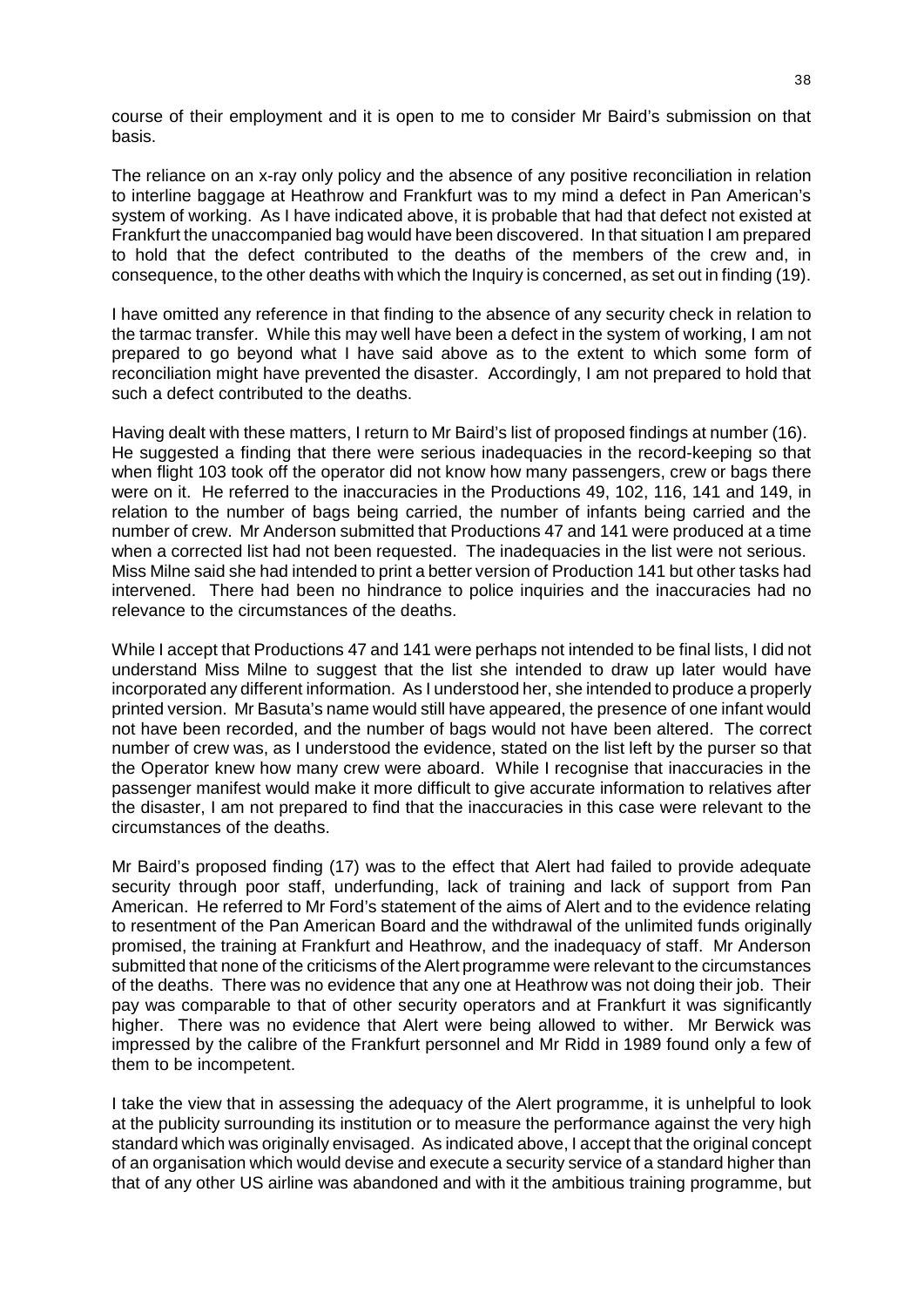course of their employment and it is open to me to consider Mr Baird's submission on that basis.

The reliance on an x-ray only policy and the absence of any positive reconciliation in relation to interline baggage at Heathrow and Frankfurt was to my mind a defect in Pan American's system of working. As I have indicated above, it is probable that had that defect not existed at Frankfurt the unaccompanied bag would have been discovered. In that situation I am prepared to hold that the defect contributed to the deaths of the members of the crew and, in consequence, to the other deaths with which the Inquiry is concerned, as set out in finding (19).

I have omitted any reference in that finding to the absence of any security check in relation to the tarmac transfer. While this may well have been a defect in the system of working, I am not prepared to go beyond what I have said above as to the extent to which some form of reconciliation might have prevented the disaster. Accordingly, I am not prepared to hold that such a defect contributed to the deaths.

Having dealt with these matters, I return to Mr Baird's list of proposed findings at number (16). He suggested a finding that there were serious inadequacies in the record-keeping so that when flight 103 took off the operator did not know how many passengers, crew or bags there were on it. He referred to the inaccuracies in the Productions 49, 102, 116, 141 and 149, in relation to the number of bags being carried, the number of infants being carried and the number of crew. Mr Anderson submitted that Productions 47 and 141 were produced at a time when a corrected list had not been requested. The inadequacies in the list were not serious. Miss Milne said she had intended to print a better version of Production 141 but other tasks had intervened. There had been no hindrance to police inquiries and the inaccuracies had no relevance to the circumstances of the deaths.

While I accept that Productions 47 and 141 were perhaps not intended to be final lists, I did not understand Miss Milne to suggest that the list she intended to draw up later would have incorporated any different information. As I understood her, she intended to produce a properly printed version. Mr Basuta's name would still have appeared, the presence of one infant would not have been recorded, and the number of bags would not have been altered. The correct number of crew was, as I understood the evidence, stated on the list left by the purser so that the Operator knew how many crew were aboard. While I recognise that inaccuracies in the passenger manifest would make it more difficult to give accurate information to relatives after the disaster, I am not prepared to find that the inaccuracies in this case were relevant to the circumstances of the deaths.

Mr Baird's proposed finding (17) was to the effect that Alert had failed to provide adequate security through poor staff, underfunding, lack of training and lack of support from Pan American. He referred to Mr Ford's statement of the aims of Alert and to the evidence relating to resentment of the Pan American Board and the withdrawal of the unlimited funds originally promised, the training at Frankfurt and Heathrow, and the inadequacy of staff. Mr Anderson submitted that none of the criticisms of the Alert programme were relevant to the circumstances of the deaths. There was no evidence that any one at Heathrow was not doing their job. Their pay was comparable to that of other security operators and at Frankfurt it was significantly higher. There was no evidence that Alert were being allowed to wither. Mr Berwick was impressed by the calibre of the Frankfurt personnel and Mr Ridd in 1989 found only a few of them to be incompetent.

I take the view that in assessing the adequacy of the Alert programme, it is unhelpful to look at the publicity surrounding its institution or to measure the performance against the very high standard which was originally envisaged. As indicated above, I accept that the original concept of an organisation which would devise and execute a security service of a standard higher than that of any other US airline was abandoned and with it the ambitious training programme, but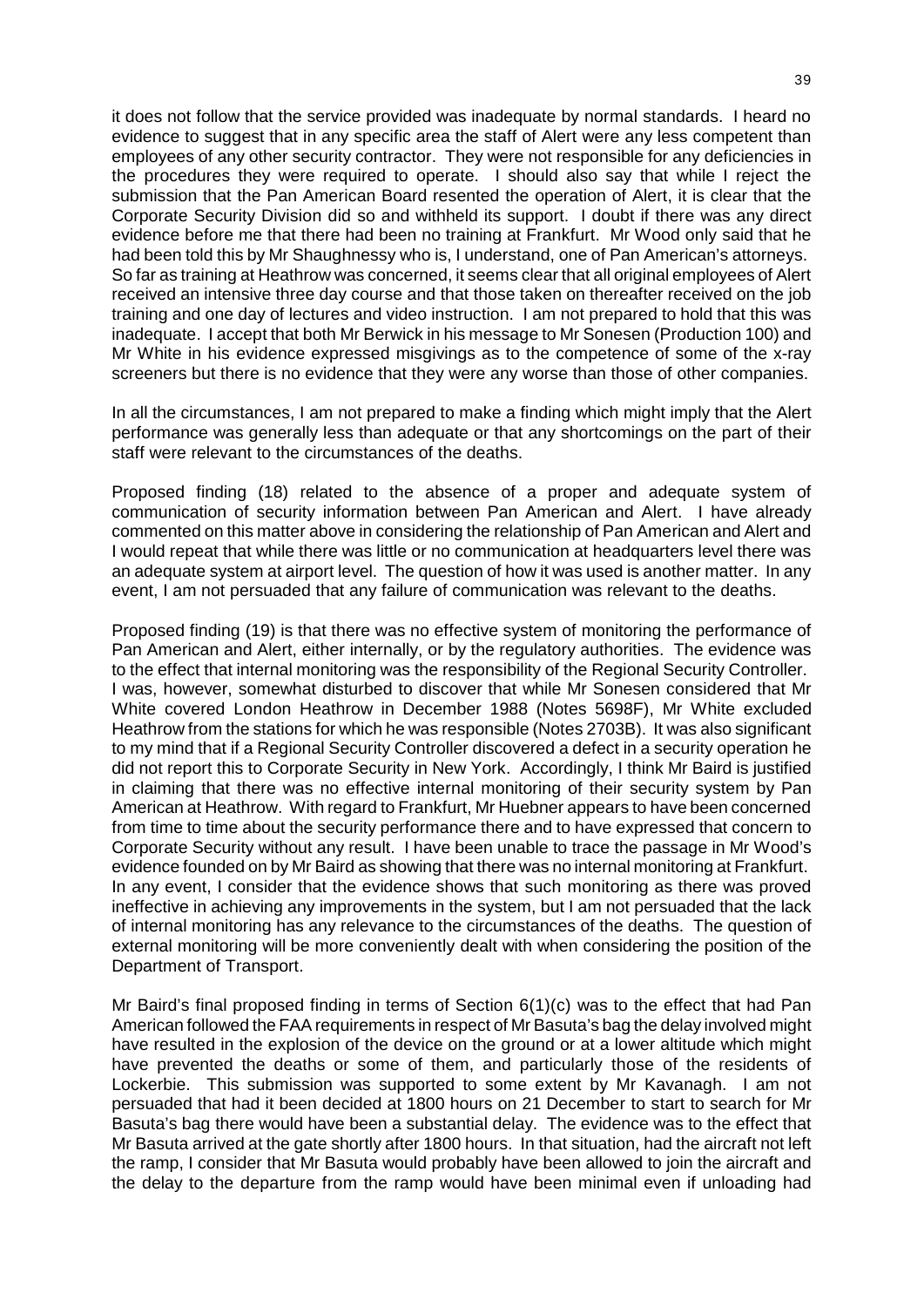it does not follow that the service provided was inadequate by normal standards. I heard no evidence to suggest that in any specific area the staff of Alert were any less competent than employees of any other security contractor. They were not responsible for any deficiencies in the procedures they were required to operate. I should also say that while I reject the submission that the Pan American Board resented the operation of Alert, it is clear that the Corporate Security Division did so and withheld its support. I doubt if there was any direct evidence before me that there had been no training at Frankfurt. Mr Wood only said that he had been told this by Mr Shaughnessy who is, I understand, one of Pan American's attorneys. So far as training at Heathrow was concerned, it seems clear that all original employees of Alert received an intensive three day course and that those taken on thereafter received on the job training and one day of lectures and video instruction. I am not prepared to hold that this was inadequate. I accept that both Mr Berwick in his message to Mr Sonesen (Production 100) and Mr White in his evidence expressed misgivings as to the competence of some of the x-ray screeners but there is no evidence that they were any worse than those of other companies.

In all the circumstances, I am not prepared to make a finding which might imply that the Alert performance was generally less than adequate or that any shortcomings on the part of their staff were relevant to the circumstances of the deaths.

Proposed finding (18) related to the absence of a proper and adequate system of communication of security information between Pan American and Alert. I have already commented on this matter above in considering the relationship of Pan American and Alert and I would repeat that while there was little or no communication at headquarters level there was an adequate system at airport level. The question of how it was used is another matter. In any event, I am not persuaded that any failure of communication was relevant to the deaths.

Proposed finding (19) is that there was no effective system of monitoring the performance of Pan American and Alert, either internally, or by the regulatory authorities. The evidence was to the effect that internal monitoring was the responsibility of the Regional Security Controller. I was, however, somewhat disturbed to discover that while Mr Sonesen considered that Mr White covered London Heathrow in December 1988 (Notes 5698F), Mr White excluded Heathrow from the stations for which he was responsible (Notes 2703B). It was also significant to my mind that if a Regional Security Controller discovered a defect in a security operation he did not report this to Corporate Security in New York. Accordingly, I think Mr Baird is justified in claiming that there was no effective internal monitoring of their security system by Pan American at Heathrow. With regard to Frankfurt, Mr Huebner appears to have been concerned from time to time about the security performance there and to have expressed that concern to Corporate Security without any result. I have been unable to trace the passage in Mr Wood's evidence founded on by Mr Baird as showing that there was no internal monitoring at Frankfurt. In any event, I consider that the evidence shows that such monitoring as there was proved ineffective in achieving any improvements in the system, but I am not persuaded that the lack of internal monitoring has any relevance to the circumstances of the deaths. The question of external monitoring will be more conveniently dealt with when considering the position of the Department of Transport.

Mr Baird's final proposed finding in terms of Section 6(1)(c) was to the effect that had Pan American followed the FAA requirements in respect of Mr Basuta's bag the delay involved might have resulted in the explosion of the device on the ground or at a lower altitude which might have prevented the deaths or some of them, and particularly those of the residents of Lockerbie. This submission was supported to some extent by Mr Kavanagh. I am not persuaded that had it been decided at 1800 hours on 21 December to start to search for Mr Basuta's bag there would have been a substantial delay. The evidence was to the effect that Mr Basuta arrived at the gate shortly after 1800 hours. In that situation, had the aircraft not left the ramp, I consider that Mr Basuta would probably have been allowed to join the aircraft and the delay to the departure from the ramp would have been minimal even if unloading had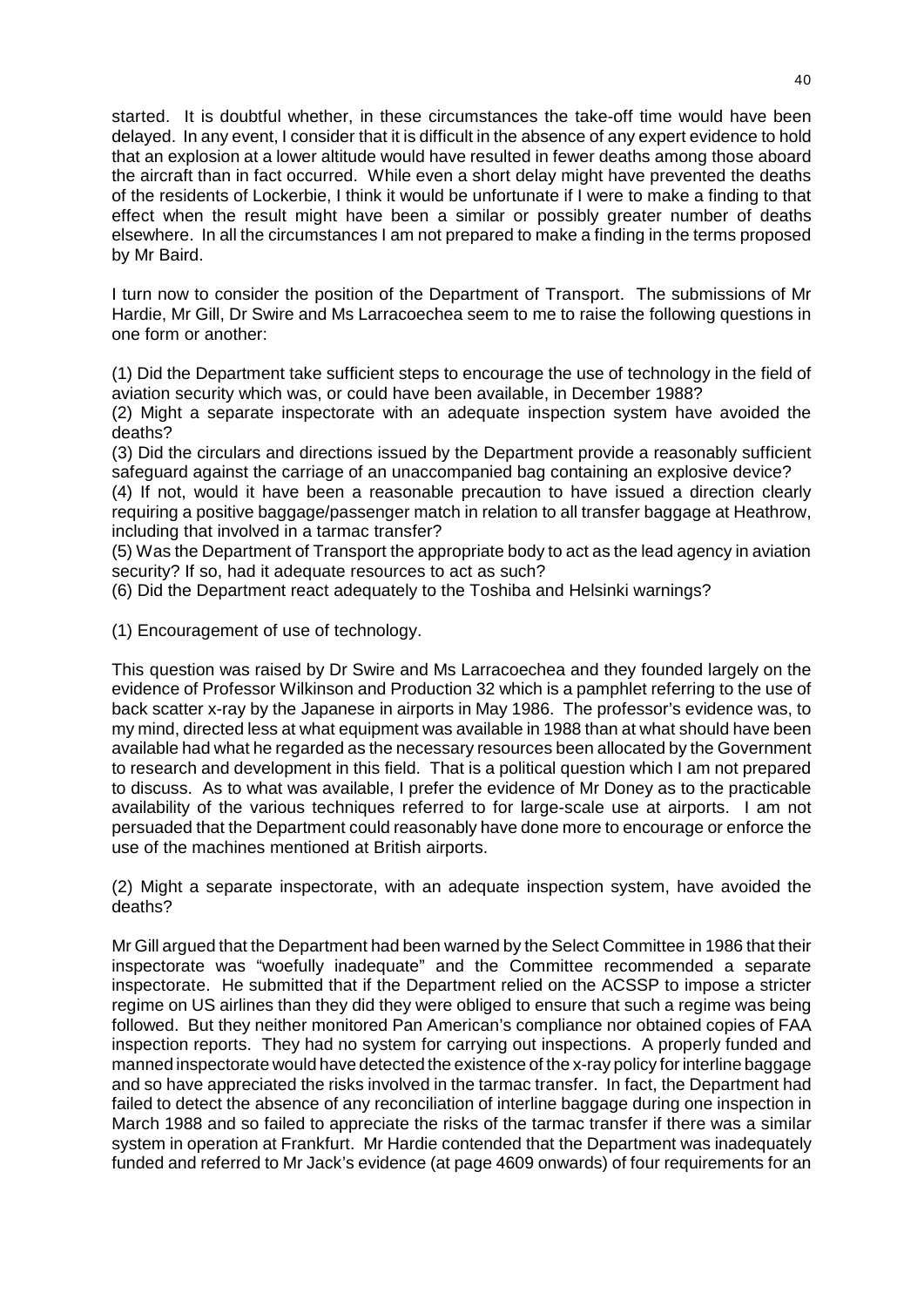started. It is doubtful whether, in these circumstances the take-off time would have been delayed. In any event, I consider that it is difficult in the absence of any expert evidence to hold that an explosion at a lower altitude would have resulted in fewer deaths among those aboard the aircraft than in fact occurred. While even a short delay might have prevented the deaths of the residents of Lockerbie, I think it would be unfortunate if I were to make a finding to that effect when the result might have been a similar or possibly greater number of deaths elsewhere. In all the circumstances I am not prepared to make a finding in the terms proposed by Mr Baird.

I turn now to consider the position of the Department of Transport. The submissions of Mr Hardie, Mr Gill, Dr Swire and Ms Larracoechea seem to me to raise the following questions in one form or another:

(1) Did the Department take sufficient steps to encourage the use of technology in the field of aviation security which was, or could have been available, in December 1988?

(2) Might a separate inspectorate with an adequate inspection system have avoided the deaths?

(3) Did the circulars and directions issued by the Department provide a reasonably sufficient safeguard against the carriage of an unaccompanied bag containing an explosive device?

(4) If not, would it have been a reasonable precaution to have issued a direction clearly requiring a positive baggage/passenger match in relation to all transfer baggage at Heathrow, including that involved in a tarmac transfer?

(5) Was the Department of Transport the appropriate body to act as the lead agency in aviation security? If so, had it adequate resources to act as such?

(6) Did the Department react adequately to the Toshiba and Helsinki warnings?

(1) Encouragement of use of technology.

This question was raised by Dr Swire and Ms Larracoechea and they founded largely on the evidence of Professor Wilkinson and Production 32 which is a pamphlet referring to the use of back scatter x-ray by the Japanese in airports in May 1986. The professor's evidence was, to my mind, directed less at what equipment was available in 1988 than at what should have been available had what he regarded as the necessary resources been allocated by the Government to research and development in this field. That is a political question which I am not prepared to discuss. As to what was available, I prefer the evidence of Mr Doney as to the practicable availability of the various techniques referred to for large-scale use at airports. I am not persuaded that the Department could reasonably have done more to encourage or enforce the use of the machines mentioned at British airports.

(2) Might a separate inspectorate, with an adequate inspection system, have avoided the deaths?

Mr Gill argued that the Department had been warned by the Select Committee in 1986 that their inspectorate was "woefully inadequate" and the Committee recommended a separate inspectorate. He submitted that if the Department relied on the ACSSP to impose a stricter regime on US airlines than they did they were obliged to ensure that such a regime was being followed. But they neither monitored Pan American's compliance nor obtained copies of FAA inspection reports. They had no system for carrying out inspections. A properly funded and manned inspectorate would have detected the existence of the x-ray policy for interline baggage and so have appreciated the risks involved in the tarmac transfer. In fact, the Department had failed to detect the absence of any reconciliation of interline baggage during one inspection in March 1988 and so failed to appreciate the risks of the tarmac transfer if there was a similar system in operation at Frankfurt. Mr Hardie contended that the Department was inadequately funded and referred to Mr Jack's evidence (at page 4609 onwards) of four requirements for an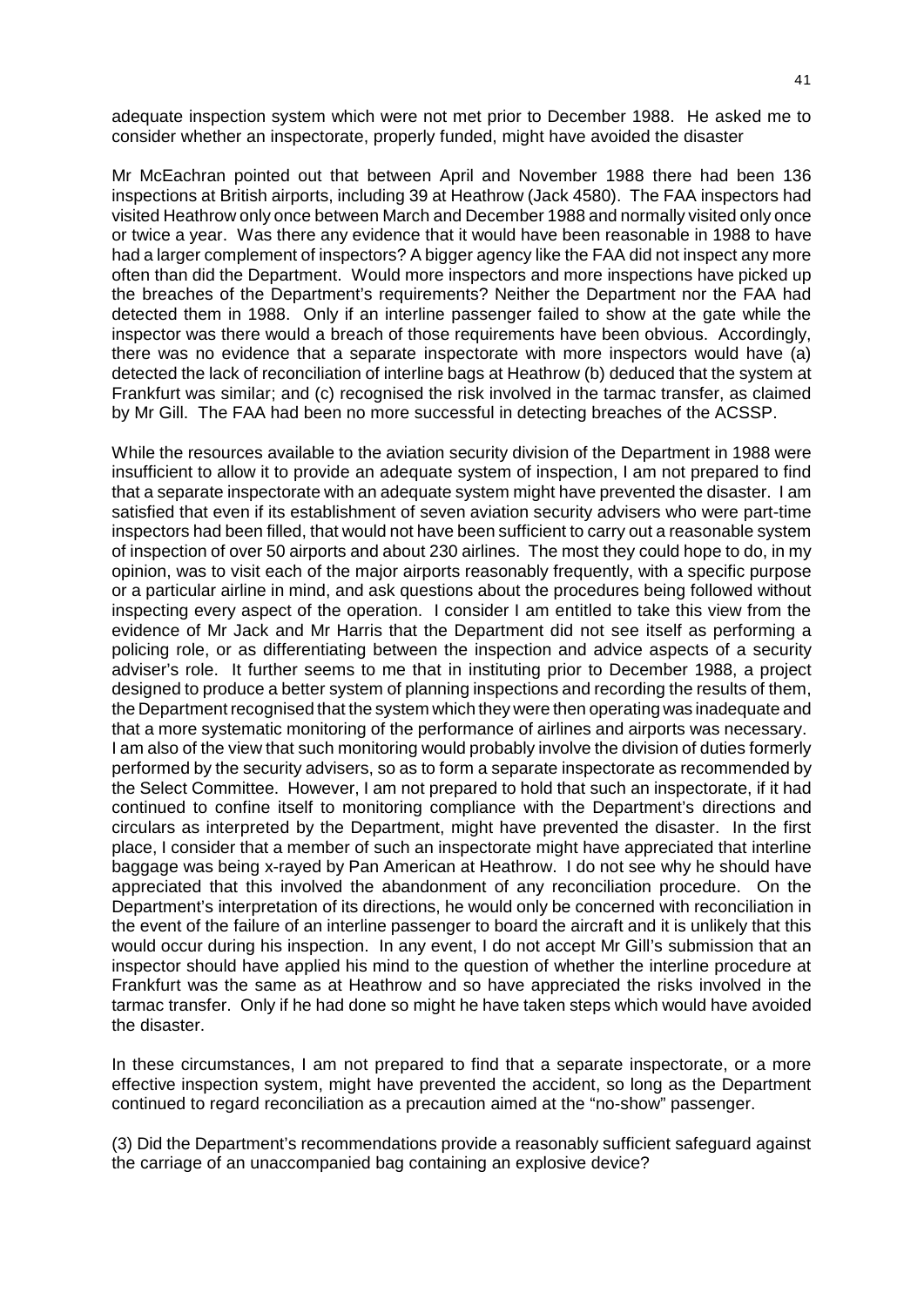adequate inspection system which were not met prior to December 1988. He asked me to consider whether an inspectorate, properly funded, might have avoided the disaster

Mr McEachran pointed out that between April and November 1988 there had been 136 inspections at British airports, including 39 at Heathrow (Jack 4580). The FAA inspectors had visited Heathrow only once between March and December 1988 and normally visited only once or twice a year. Was there any evidence that it would have been reasonable in 1988 to have had a larger complement of inspectors? A bigger agency like the FAA did not inspect any more often than did the Department. Would more inspectors and more inspections have picked up the breaches of the Department's requirements? Neither the Department nor the FAA had detected them in 1988. Only if an interline passenger failed to show at the gate while the inspector was there would a breach of those requirements have been obvious. Accordingly, there was no evidence that a separate inspectorate with more inspectors would have (a) detected the lack of reconciliation of interline bags at Heathrow (b) deduced that the system at Frankfurt was similar; and (c) recognised the risk involved in the tarmac transfer, as claimed by Mr Gill. The FAA had been no more successful in detecting breaches of the ACSSP.

While the resources available to the aviation security division of the Department in 1988 were insufficient to allow it to provide an adequate system of inspection, I am not prepared to find that a separate inspectorate with an adequate system might have prevented the disaster. I am satisfied that even if its establishment of seven aviation security advisers who were part-time inspectors had been filled, that would not have been sufficient to carry out a reasonable system of inspection of over 50 airports and about 230 airlines. The most they could hope to do, in my opinion, was to visit each of the major airports reasonably frequently, with a specific purpose or a particular airline in mind, and ask questions about the procedures being followed without inspecting every aspect of the operation. I consider I am entitled to take this view from the evidence of Mr Jack and Mr Harris that the Department did not see itself as performing a policing role, or as differentiating between the inspection and advice aspects of a security adviser's role. It further seems to me that in instituting prior to December 1988, a project designed to produce a better system of planning inspections and recording the results of them, the Department recognised that the system which they were then operating was inadequate and that a more systematic monitoring of the performance of airlines and airports was necessary. I am also of the view that such monitoring would probably involve the division of duties formerly performed by the security advisers, so as to form a separate inspectorate as recommended by the Select Committee. However, I am not prepared to hold that such an inspectorate, if it had continued to confine itself to monitoring compliance with the Department's directions and circulars as interpreted by the Department, might have prevented the disaster. In the first place, I consider that a member of such an inspectorate might have appreciated that interline baggage was being x-rayed by Pan American at Heathrow. I do not see why he should have appreciated that this involved the abandonment of any reconciliation procedure. On the Department's interpretation of its directions, he would only be concerned with reconciliation in the event of the failure of an interline passenger to board the aircraft and it is unlikely that this would occur during his inspection. In any event, I do not accept Mr Gill's submission that an inspector should have applied his mind to the question of whether the interline procedure at Frankfurt was the same as at Heathrow and so have appreciated the risks involved in the tarmac transfer. Only if he had done so might he have taken steps which would have avoided the disaster.

In these circumstances, I am not prepared to find that a separate inspectorate, or a more effective inspection system, might have prevented the accident, so long as the Department continued to regard reconciliation as a precaution aimed at the "no-show" passenger.

(3) Did the Department's recommendations provide a reasonably sufficient safeguard against the carriage of an unaccompanied bag containing an explosive device?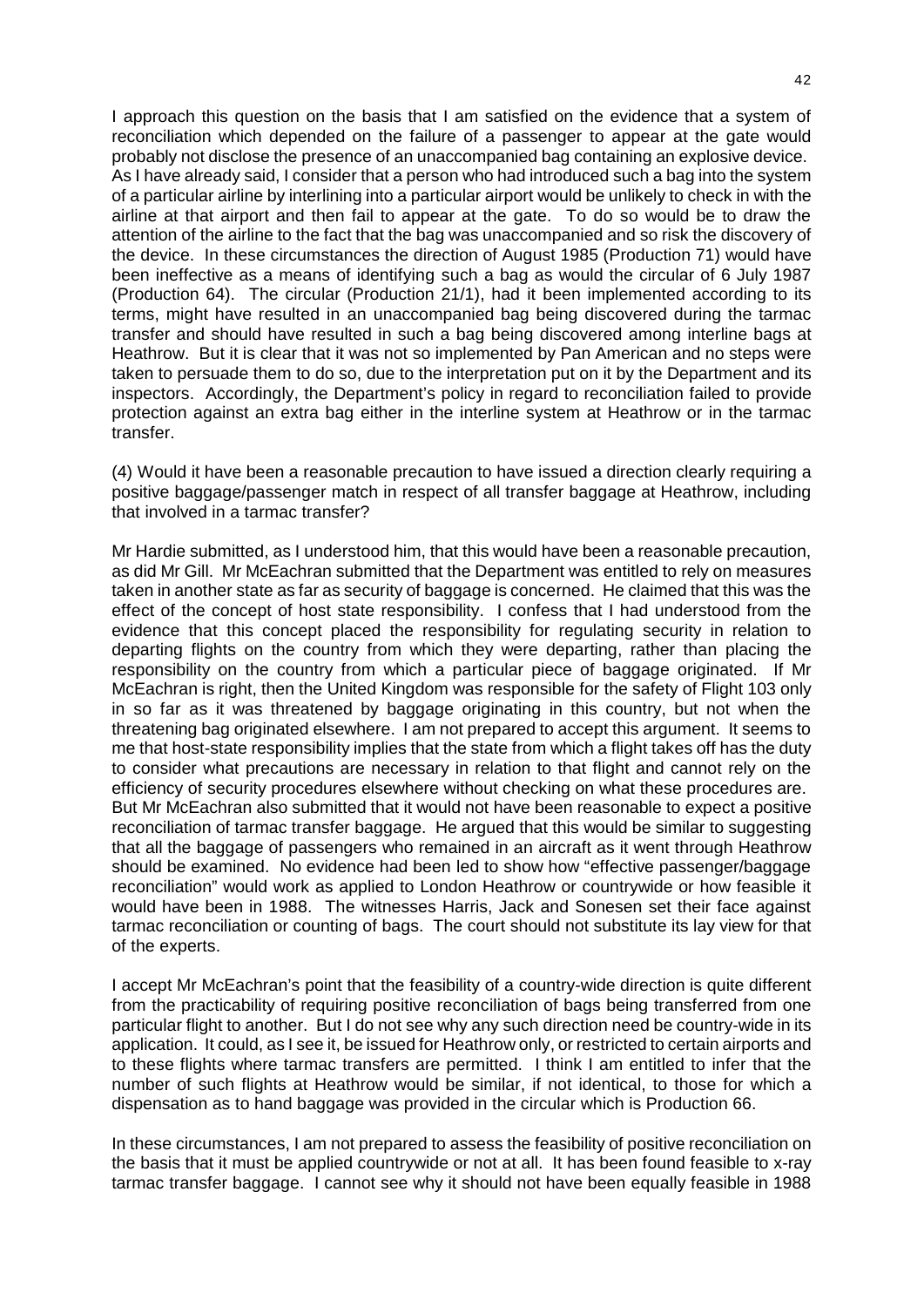I approach this question on the basis that I am satisfied on the evidence that a system of reconciliation which depended on the failure of a passenger to appear at the gate would probably not disclose the presence of an unaccompanied bag containing an explosive device. As I have already said, I consider that a person who had introduced such a bag into the system of a particular airline by interlining into a particular airport would be unlikely to check in with the airline at that airport and then fail to appear at the gate. To do so would be to draw the attention of the airline to the fact that the bag was unaccompanied and so risk the discovery of the device. In these circumstances the direction of August 1985 (Production 71) would have been ineffective as a means of identifying such a bag as would the circular of 6 July 1987 (Production 64). The circular (Production 21/1), had it been implemented according to its terms, might have resulted in an unaccompanied bag being discovered during the tarmac transfer and should have resulted in such a bag being discovered among interline bags at Heathrow. But it is clear that it was not so implemented by Pan American and no steps were taken to persuade them to do so, due to the interpretation put on it by the Department and its inspectors. Accordingly, the Department's policy in regard to reconciliation failed to provide protection against an extra bag either in the interline system at Heathrow or in the tarmac transfer.

(4) Would it have been a reasonable precaution to have issued a direction clearly requiring a positive baggage/passenger match in respect of all transfer baggage at Heathrow, including that involved in a tarmac transfer?

Mr Hardie submitted, as I understood him, that this would have been a reasonable precaution, as did Mr Gill. Mr McEachran submitted that the Department was entitled to rely on measures taken in another state as far as security of baggage is concerned. He claimed that this was the effect of the concept of host state responsibility. I confess that I had understood from the evidence that this concept placed the responsibility for regulating security in relation to departing flights on the country from which they were departing, rather than placing the responsibility on the country from which a particular piece of baggage originated. If Mr McEachran is right, then the United Kingdom was responsible for the safety of Flight 103 only in so far as it was threatened by baggage originating in this country, but not when the threatening bag originated elsewhere. I am not prepared to accept this argument. It seems to me that host-state responsibility implies that the state from which a flight takes off has the duty to consider what precautions are necessary in relation to that flight and cannot rely on the efficiency of security procedures elsewhere without checking on what these procedures are. But Mr McEachran also submitted that it would not have been reasonable to expect a positive reconciliation of tarmac transfer baggage. He argued that this would be similar to suggesting that all the baggage of passengers who remained in an aircraft as it went through Heathrow should be examined. No evidence had been led to show how "effective passenger/baggage reconciliation" would work as applied to London Heathrow or countrywide or how feasible it would have been in 1988. The witnesses Harris, Jack and Sonesen set their face against tarmac reconciliation or counting of bags. The court should not substitute its lay view for that of the experts.

I accept Mr McEachran's point that the feasibility of a country-wide direction is quite different from the practicability of requiring positive reconciliation of bags being transferred from one particular flight to another. But I do not see why any such direction need be country-wide in its application. It could, as I see it, be issued for Heathrow only, or restricted to certain airports and to these flights where tarmac transfers are permitted. I think I am entitled to infer that the number of such flights at Heathrow would be similar, if not identical, to those for which a dispensation as to hand baggage was provided in the circular which is Production 66.

In these circumstances, I am not prepared to assess the feasibility of positive reconciliation on the basis that it must be applied countrywide or not at all. It has been found feasible to x-ray tarmac transfer baggage. I cannot see why it should not have been equally feasible in 1988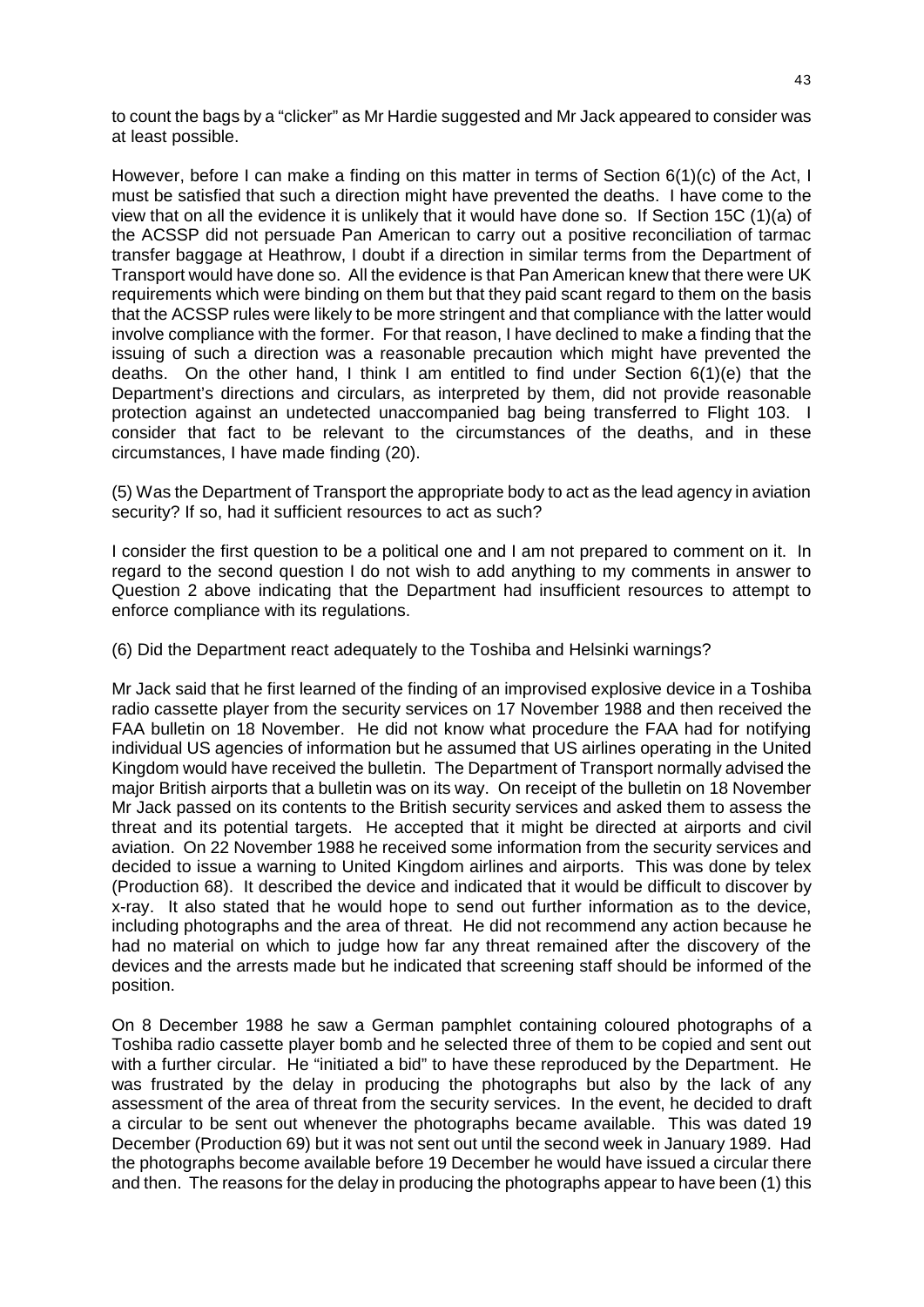to count the bags by a "clicker" as Mr Hardie suggested and Mr Jack appeared to consider was at least possible.

However, before I can make a finding on this matter in terms of Section 6(1)(c) of the Act, I must be satisfied that such a direction might have prevented the deaths. I have come to the view that on all the evidence it is unlikely that it would have done so. If Section 15C (1)(a) of the ACSSP did not persuade Pan American to carry out a positive reconciliation of tarmac transfer baggage at Heathrow, I doubt if a direction in similar terms from the Department of Transport would have done so. All the evidence is that Pan American knew that there were UK requirements which were binding on them but that they paid scant regard to them on the basis that the ACSSP rules were likely to be more stringent and that compliance with the latter would involve compliance with the former. For that reason, I have declined to make a finding that the issuing of such a direction was a reasonable precaution which might have prevented the deaths. On the other hand, I think I am entitled to find under Section 6(1)(e) that the Department's directions and circulars, as interpreted by them, did not provide reasonable protection against an undetected unaccompanied bag being transferred to Flight 103. I consider that fact to be relevant to the circumstances of the deaths, and in these circumstances, I have made finding (20).

(5) Was the Department of Transport the appropriate body to act as the lead agency in aviation security? If so, had it sufficient resources to act as such?

I consider the first question to be a political one and I am not prepared to comment on it. In regard to the second question I do not wish to add anything to my comments in answer to Question 2 above indicating that the Department had insufficient resources to attempt to enforce compliance with its regulations.

(6) Did the Department react adequately to the Toshiba and Helsinki warnings?

Mr Jack said that he first learned of the finding of an improvised explosive device in a Toshiba radio cassette player from the security services on 17 November 1988 and then received the FAA bulletin on 18 November. He did not know what procedure the FAA had for notifying individual US agencies of information but he assumed that US airlines operating in the United Kingdom would have received the bulletin. The Department of Transport normally advised the major British airports that a bulletin was on its way. On receipt of the bulletin on 18 November Mr Jack passed on its contents to the British security services and asked them to assess the threat and its potential targets. He accepted that it might be directed at airports and civil aviation. On 22 November 1988 he received some information from the security services and decided to issue a warning to United Kingdom airlines and airports. This was done by telex (Production 68). It described the device and indicated that it would be difficult to discover by x-ray. It also stated that he would hope to send out further information as to the device, including photographs and the area of threat. He did not recommend any action because he had no material on which to judge how far any threat remained after the discovery of the devices and the arrests made but he indicated that screening staff should be informed of the position.

On 8 December 1988 he saw a German pamphlet containing coloured photographs of a Toshiba radio cassette player bomb and he selected three of them to be copied and sent out with a further circular. He "initiated a bid" to have these reproduced by the Department. He was frustrated by the delay in producing the photographs but also by the lack of any assessment of the area of threat from the security services. In the event, he decided to draft a circular to be sent out whenever the photographs became available. This was dated 19 December (Production 69) but it was not sent out until the second week in January 1989. Had the photographs become available before 19 December he would have issued a circular there and then. The reasons for the delay in producing the photographs appear to have been (1) this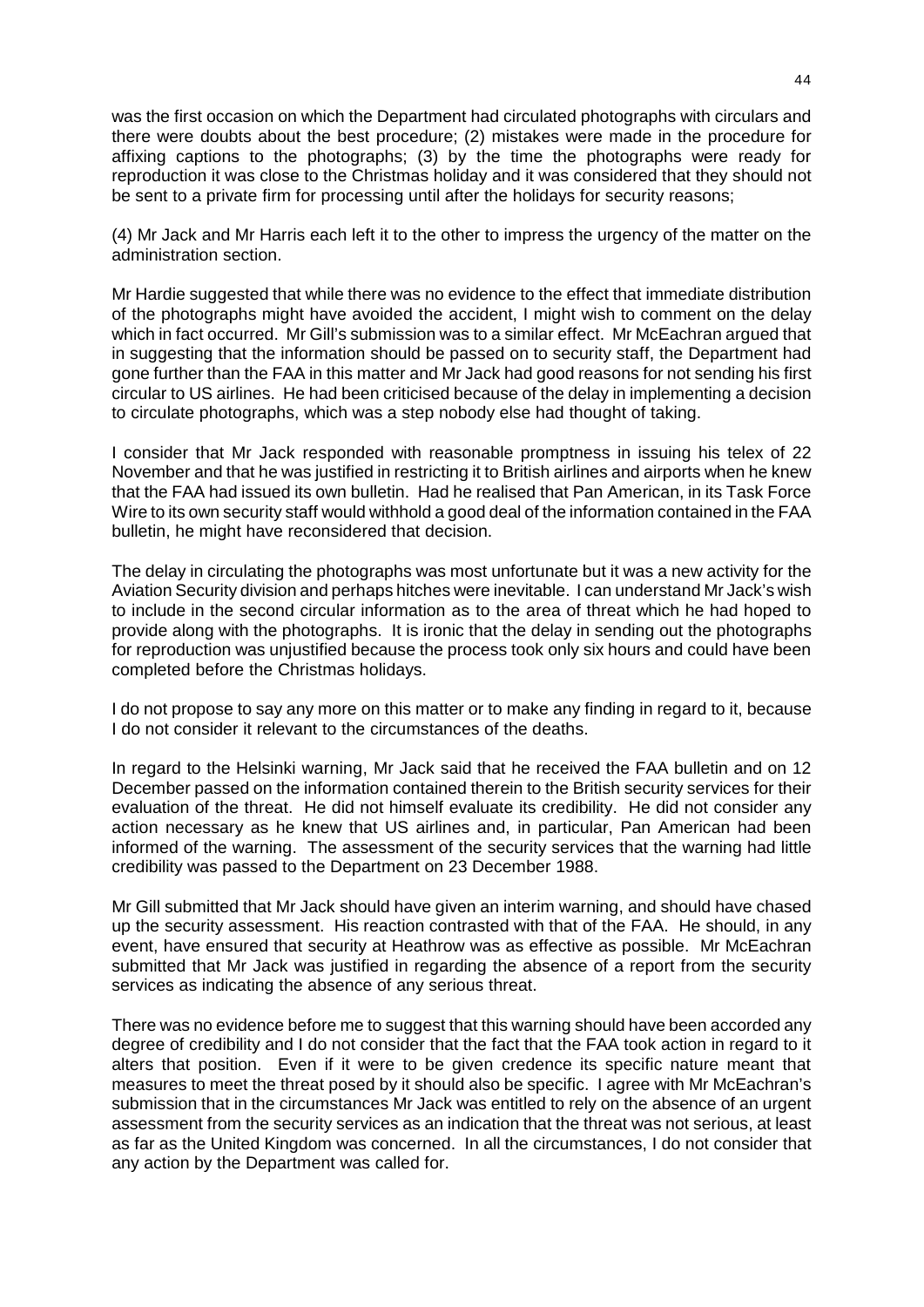was the first occasion on which the Department had circulated photographs with circulars and there were doubts about the best procedure; (2) mistakes were made in the procedure for affixing captions to the photographs; (3) by the time the photographs were ready for reproduction it was close to the Christmas holiday and it was considered that they should not be sent to a private firm for processing until after the holidays for security reasons;

(4) Mr Jack and Mr Harris each left it to the other to impress the urgency of the matter on the administration section.

Mr Hardie suggested that while there was no evidence to the effect that immediate distribution of the photographs might have avoided the accident, I might wish to comment on the delay which in fact occurred. Mr Gill's submission was to a similar effect. Mr McEachran argued that in suggesting that the information should be passed on to security staff, the Department had gone further than the FAA in this matter and Mr Jack had good reasons for not sending his first circular to US airlines. He had been criticised because of the delay in implementing a decision to circulate photographs, which was a step nobody else had thought of taking.

I consider that Mr Jack responded with reasonable promptness in issuing his telex of 22 November and that he was justified in restricting it to British airlines and airports when he knew that the FAA had issued its own bulletin. Had he realised that Pan American, in its Task Force Wire to its own security staff would withhold a good deal of the information contained in the FAA bulletin, he might have reconsidered that decision.

The delay in circulating the photographs was most unfortunate but it was a new activity for the Aviation Security division and perhaps hitches were inevitable. I can understand Mr Jack's wish to include in the second circular information as to the area of threat which he had hoped to provide along with the photographs. It is ironic that the delay in sending out the photographs for reproduction was unjustified because the process took only six hours and could have been completed before the Christmas holidays.

I do not propose to say any more on this matter or to make any finding in regard to it, because I do not consider it relevant to the circumstances of the deaths.

In regard to the Helsinki warning, Mr Jack said that he received the FAA bulletin and on 12 December passed on the information contained therein to the British security services for their evaluation of the threat. He did not himself evaluate its credibility. He did not consider any action necessary as he knew that US airlines and, in particular, Pan American had been informed of the warning. The assessment of the security services that the warning had little credibility was passed to the Department on 23 December 1988.

Mr Gill submitted that Mr Jack should have given an interim warning, and should have chased up the security assessment. His reaction contrasted with that of the FAA. He should, in any event, have ensured that security at Heathrow was as effective as possible. Mr McEachran submitted that Mr Jack was justified in regarding the absence of a report from the security services as indicating the absence of any serious threat.

There was no evidence before me to suggest that this warning should have been accorded any degree of credibility and I do not consider that the fact that the FAA took action in regard to it alters that position. Even if it were to be given credence its specific nature meant that measures to meet the threat posed by it should also be specific. I agree with Mr McEachran's submission that in the circumstances Mr Jack was entitled to rely on the absence of an urgent assessment from the security services as an indication that the threat was not serious, at least as far as the United Kingdom was concerned. In all the circumstances, I do not consider that any action by the Department was called for.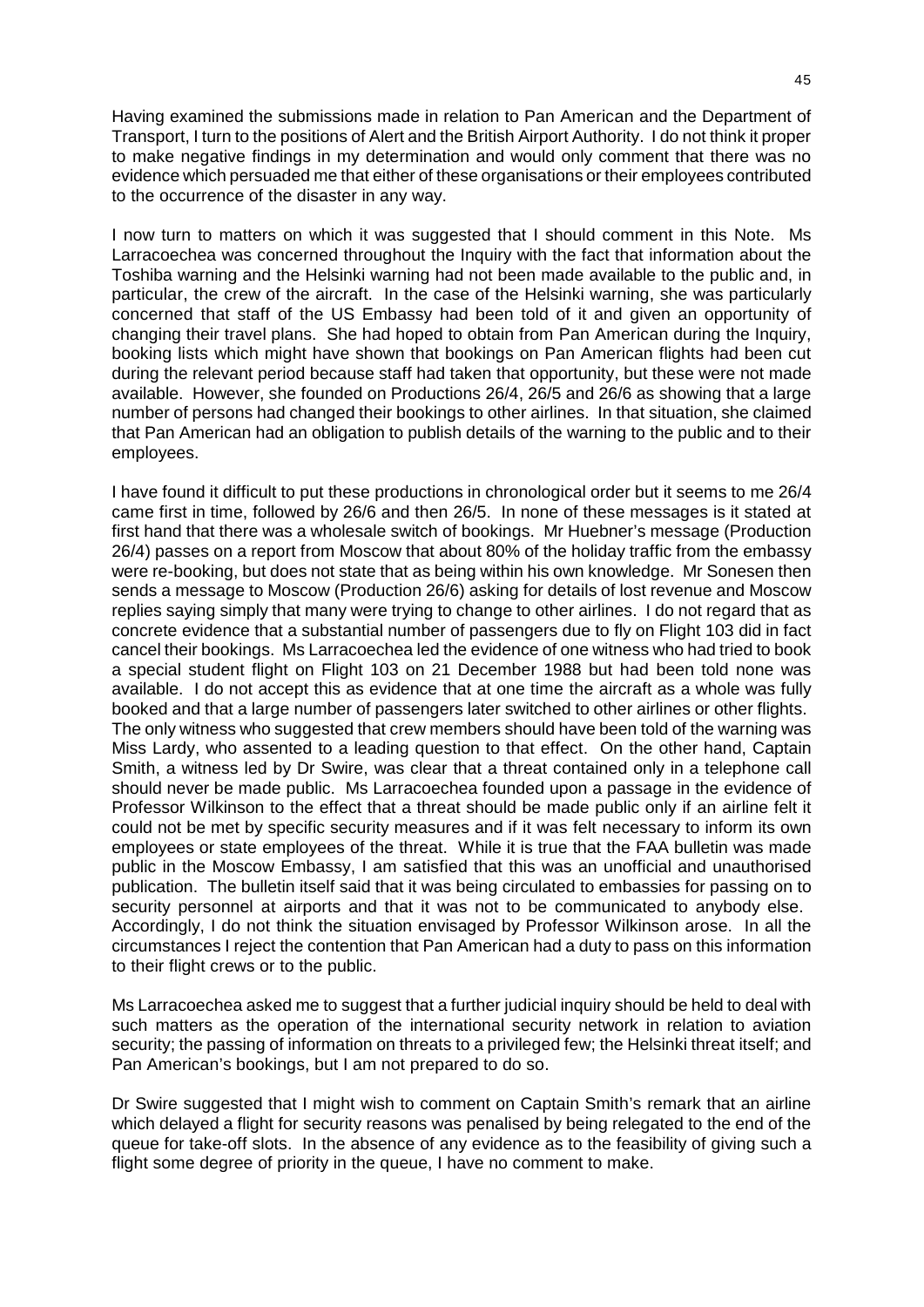Having examined the submissions made in relation to Pan American and the Department of Transport, I turn to the positions of Alert and the British Airport Authority. I do not think it proper to make negative findings in my determination and would only comment that there was no evidence which persuaded me that either of these organisations or their employees contributed to the occurrence of the disaster in any way.

I now turn to matters on which it was suggested that I should comment in this Note. Ms Larracoechea was concerned throughout the Inquiry with the fact that information about the Toshiba warning and the Helsinki warning had not been made available to the public and, in particular, the crew of the aircraft. In the case of the Helsinki warning, she was particularly concerned that staff of the US Embassy had been told of it and given an opportunity of changing their travel plans. She had hoped to obtain from Pan American during the Inquiry, booking lists which might have shown that bookings on Pan American flights had been cut during the relevant period because staff had taken that opportunity, but these were not made available. However, she founded on Productions 26/4, 26/5 and 26/6 as showing that a large number of persons had changed their bookings to other airlines. In that situation, she claimed that Pan American had an obligation to publish details of the warning to the public and to their employees.

I have found it difficult to put these productions in chronological order but it seems to me 26/4 came first in time, followed by 26/6 and then 26/5. In none of these messages is it stated at first hand that there was a wholesale switch of bookings. Mr Huebner's message (Production 26/4) passes on a report from Moscow that about 80% of the holiday traffic from the embassy were re-booking, but does not state that as being within his own knowledge. Mr Sonesen then sends a message to Moscow (Production 26/6) asking for details of lost revenue and Moscow replies saying simply that many were trying to change to other airlines. I do not regard that as concrete evidence that a substantial number of passengers due to fly on Flight 103 did in fact cancel their bookings. Ms Larracoechea led the evidence of one witness who had tried to book a special student flight on Flight 103 on 21 December 1988 but had been told none was available. I do not accept this as evidence that at one time the aircraft as a whole was fully booked and that a large number of passengers later switched to other airlines or other flights. The only witness who suggested that crew members should have been told of the warning was Miss Lardy, who assented to a leading question to that effect. On the other hand, Captain Smith, a witness led by Dr Swire, was clear that a threat contained only in a telephone call should never be made public. Ms Larracoechea founded upon a passage in the evidence of Professor Wilkinson to the effect that a threat should be made public only if an airline felt it could not be met by specific security measures and if it was felt necessary to inform its own employees or state employees of the threat. While it is true that the FAA bulletin was made public in the Moscow Embassy, I am satisfied that this was an unofficial and unauthorised publication. The bulletin itself said that it was being circulated to embassies for passing on to security personnel at airports and that it was not to be communicated to anybody else. Accordingly, I do not think the situation envisaged by Professor Wilkinson arose. In all the circumstances I reject the contention that Pan American had a duty to pass on this information to their flight crews or to the public.

Ms Larracoechea asked me to suggest that a further judicial inquiry should be held to deal with such matters as the operation of the international security network in relation to aviation security; the passing of information on threats to a privileged few; the Helsinki threat itself; and Pan American's bookings, but I am not prepared to do so.

Dr Swire suggested that I might wish to comment on Captain Smith's remark that an airline which delayed a flight for security reasons was penalised by being relegated to the end of the queue for take-off slots. In the absence of any evidence as to the feasibility of giving such a flight some degree of priority in the queue, I have no comment to make.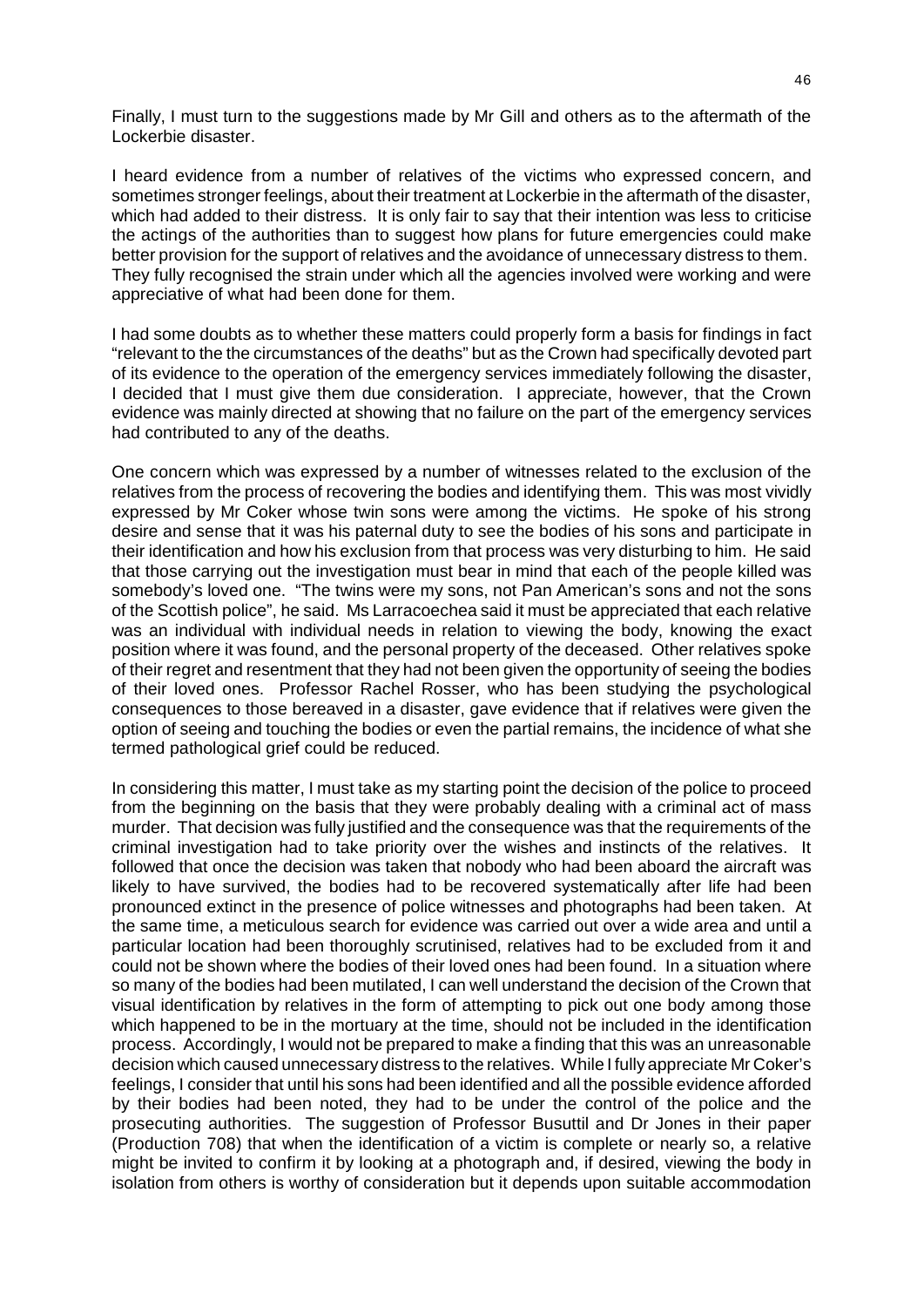Finally, I must turn to the suggestions made by Mr Gill and others as to the aftermath of the Lockerbie disaster.

I heard evidence from a number of relatives of the victims who expressed concern, and sometimes stronger feelings, about their treatment at Lockerbie in the aftermath of the disaster, which had added to their distress. It is only fair to say that their intention was less to criticise the actings of the authorities than to suggest how plans for future emergencies could make better provision for the support of relatives and the avoidance of unnecessary distress to them. They fully recognised the strain under which all the agencies involved were working and were appreciative of what had been done for them.

I had some doubts as to whether these matters could properly form a basis for findings in fact "relevant to the the circumstances of the deaths" but as the Crown had specifically devoted part of its evidence to the operation of the emergency services immediately following the disaster, I decided that I must give them due consideration. I appreciate, however, that the Crown evidence was mainly directed at showing that no failure on the part of the emergency services had contributed to any of the deaths.

One concern which was expressed by a number of witnesses related to the exclusion of the relatives from the process of recovering the bodies and identifying them. This was most vividly expressed by Mr Coker whose twin sons were among the victims. He spoke of his strong desire and sense that it was his paternal duty to see the bodies of his sons and participate in their identification and how his exclusion from that process was very disturbing to him. He said that those carrying out the investigation must bear in mind that each of the people killed was somebody's loved one. "The twins were my sons, not Pan American's sons and not the sons of the Scottish police", he said. Ms Larracoechea said it must be appreciated that each relative was an individual with individual needs in relation to viewing the body, knowing the exact position where it was found, and the personal property of the deceased. Other relatives spoke of their regret and resentment that they had not been given the opportunity of seeing the bodies of their loved ones. Professor Rachel Rosser, who has been studying the psychological consequences to those bereaved in a disaster, gave evidence that if relatives were given the option of seeing and touching the bodies or even the partial remains, the incidence of what she termed pathological grief could be reduced.

In considering this matter, I must take as my starting point the decision of the police to proceed from the beginning on the basis that they were probably dealing with a criminal act of mass murder. That decision was fully justified and the consequence was that the requirements of the criminal investigation had to take priority over the wishes and instincts of the relatives. It followed that once the decision was taken that nobody who had been aboard the aircraft was likely to have survived, the bodies had to be recovered systematically after life had been pronounced extinct in the presence of police witnesses and photographs had been taken. At the same time, a meticulous search for evidence was carried out over a wide area and until a particular location had been thoroughly scrutinised, relatives had to be excluded from it and could not be shown where the bodies of their loved ones had been found. In a situation where so many of the bodies had been mutilated, I can well understand the decision of the Crown that visual identification by relatives in the form of attempting to pick out one body among those which happened to be in the mortuary at the time, should not be included in the identification process. Accordingly, I would not be prepared to make a finding that this was an unreasonable decision which caused unnecessary distress to the relatives. While I fully appreciate Mr Coker's feelings, I consider that until his sons had been identified and all the possible evidence afforded by their bodies had been noted, they had to be under the control of the police and the prosecuting authorities. The suggestion of Professor Busuttil and Dr Jones in their paper (Production 708) that when the identification of a victim is complete or nearly so, a relative might be invited to confirm it by looking at a photograph and, if desired, viewing the body in isolation from others is worthy of consideration but it depends upon suitable accommodation